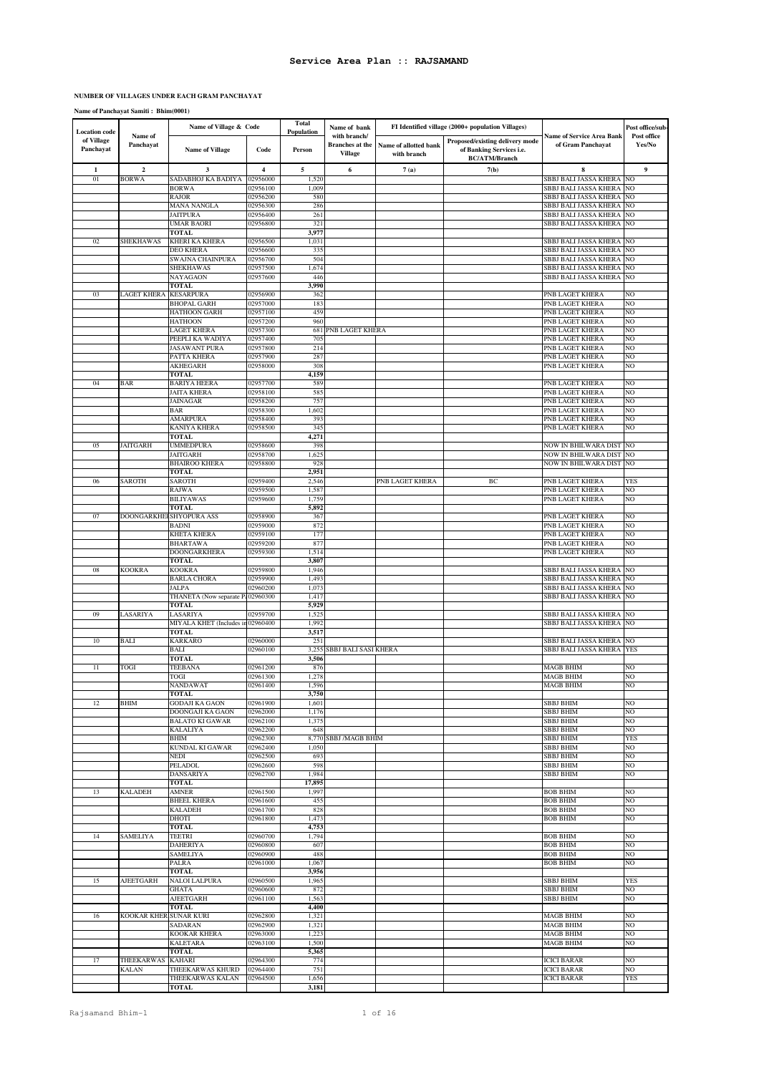### **NUMBER OF VILLAGES UNDER EACH GRAM PANCHAYAT**

**Name of Panchayat Samiti : Bhim(0001)**

| <b>Location</b> code    |                        | Name of Village & Code                           |                         | Total<br>Population | Name of bank                                             |                                      | FI Identified village (2000+ population Villages)                                   |                                                       | Post office/sub-      |
|-------------------------|------------------------|--------------------------------------------------|-------------------------|---------------------|----------------------------------------------------------|--------------------------------------|-------------------------------------------------------------------------------------|-------------------------------------------------------|-----------------------|
| of Village<br>Panchayat | Name of<br>Panchayat   | <b>Name of Village</b>                           | Code                    | Person              | with branch/<br><b>Branches</b> at the<br><b>Village</b> | Name of allotted bank<br>with branch | Proposed/existing delivery mode<br>of Banking Services i.e.<br><b>BC/ATM/Branch</b> | <b>Name of Service Area Bank</b><br>of Gram Panchayat | Post office<br>Yes/No |
| 1                       | $\mathbf 2$            | 3                                                | $\overline{\mathbf{4}}$ | 5                   | 6                                                        | 7(a)                                 | 7(b)                                                                                | 8                                                     | 9                     |
| 01                      | <b>BORWA</b>           | SADABHOJ KA BADIYA                               | 02956000                | 1,520               |                                                          |                                      |                                                                                     | SBBJ BALI JASSA KHERA                                 | NO                    |
|                         |                        | <b>BORWA</b>                                     | 02956100                | 1,009               |                                                          |                                      |                                                                                     | SBBJ BALI JASSA KHERA                                 | NO                    |
|                         |                        | <b>RAJOR</b>                                     | 02956200                | 580                 |                                                          |                                      |                                                                                     | SBBJ BALI JASSA KHERA                                 | NO                    |
|                         |                        | <b>MANA NANGLA</b><br><b>JAITPURA</b>            | 02956300<br>02956400    | 286<br>261          |                                                          |                                      |                                                                                     | SBBJ BALI JASSA KHERA<br>SBBJ BALI JASSA KHERA        | NO<br>NO              |
|                         |                        | <b>UMAR BAORI</b>                                | 02956800                | 321                 |                                                          |                                      |                                                                                     | SBBJ BALI JASSA KHERA                                 | NO                    |
|                         |                        | <b>TOTAL</b>                                     |                         | 3,977               |                                                          |                                      |                                                                                     |                                                       |                       |
| 02                      | SHEKHAWAS              | KHERI KA KHERA                                   | 02956500                | 1,031               |                                                          |                                      |                                                                                     | SBBJ BALI JASSA KHERA                                 | NO                    |
|                         |                        | DEO KHERA                                        | 02956600                | 335                 |                                                          |                                      |                                                                                     | SBBJ BALI JASSA KHERA                                 | NO                    |
|                         |                        | SWAJNA CHAINPURA                                 | 02956700                | 504                 |                                                          |                                      |                                                                                     | SBBJ BALI JASSA KHERA                                 | NO                    |
|                         |                        | <b>SHEKHAWAS</b><br>NAYAGAON                     | 02957500<br>02957600    | 1,674<br>446        |                                                          |                                      |                                                                                     | SBBJ BALI JASSA KHERA<br>SBBJ BALI JASSA KHERA        | NO<br>NO              |
|                         |                        | TOTAL                                            |                         | 3,990               |                                                          |                                      |                                                                                     |                                                       |                       |
| 03                      | LAGET KHERA            | <b>KESARPURA</b>                                 | 02956900                | 362                 |                                                          |                                      |                                                                                     | PNB LAGET KHERA                                       | NO                    |
|                         |                        | <b>BHOPAL GARH</b>                               | 02957000                | 183                 |                                                          |                                      |                                                                                     | PNB LAGET KHERA                                       | NO                    |
|                         |                        | <b>HATHOON GARH</b>                              | 02957100                | 459                 |                                                          |                                      |                                                                                     | PNB LAGET KHERA                                       | NO                    |
|                         |                        | <b>HATHOON</b>                                   | 02957200                | 960                 |                                                          |                                      |                                                                                     | PNB LAGET KHERA                                       | NO                    |
|                         |                        | LAGET KHERA<br>PEEPLI KA WADIYA                  | 02957300<br>02957400    | 681<br>705          | PNB LAGET KHERA                                          |                                      |                                                                                     | PNB LAGET KHERA<br>PNB LAGET KHERA                    | NO<br>NO              |
|                         |                        | <b>JASAWANT PURA</b>                             | 02957800                | 214                 |                                                          |                                      |                                                                                     | PNB LAGET KHERA                                       | NO                    |
|                         |                        | PATTA KHERA                                      | 02957900                | 287                 |                                                          |                                      |                                                                                     | PNB LAGET KHERA                                       | NO                    |
|                         |                        | <b>AKHEGARH</b>                                  | 02958000                | 308                 |                                                          |                                      |                                                                                     | PNB LAGET KHERA                                       | NO                    |
|                         |                        | <b>TOTAL</b>                                     |                         | 4,159               |                                                          |                                      |                                                                                     |                                                       |                       |
| 04                      | BAR                    | <b>BARIYA HEERA</b>                              | 02957700                | 589                 |                                                          |                                      |                                                                                     | PNB LAGET KHERA                                       | NO                    |
|                         |                        | <b>JAITA KHERA</b><br>JAINAGAR                   | 02958100<br>02958200    | 585<br>757          |                                                          |                                      |                                                                                     | PNB LAGET KHERA<br>PNB LAGET KHERA                    | NO<br>NO              |
|                         |                        | <b>BAR</b>                                       | 02958300                | 1,602               |                                                          |                                      |                                                                                     | PNB LAGET KHERA                                       | NO                    |
|                         |                        | AMARPURA                                         | 02958400                | 393                 |                                                          |                                      |                                                                                     | PNB LAGET KHERA                                       | NO                    |
|                         |                        | KANIYA KHERA                                     | 02958500                | 345                 |                                                          |                                      |                                                                                     | PNB LAGET KHERA                                       | NO                    |
|                         |                        | <b>TOTAL</b>                                     |                         | 4,271               |                                                          |                                      |                                                                                     |                                                       |                       |
| 05                      | JAITGARH               | <b>UMMEDPURA</b>                                 | 02958600                | 398                 |                                                          |                                      |                                                                                     | NOW IN BHILWARA DIST                                  | NO                    |
|                         |                        | <b>JAITGARH</b>                                  | 02958700                | 1,625               |                                                          |                                      |                                                                                     | NOW IN BHILWARA DIST                                  | NO<br>NO.             |
|                         |                        | <b>BHAIROO KHERA</b><br><b>TOTAL</b>             | 02958800                | 928<br>2,951        |                                                          |                                      |                                                                                     | NOW IN BHILWARA DIST                                  |                       |
| 06                      | SAROTH                 | <b>SAROTH</b>                                    | 02959400                | 2,546               |                                                          | PNB LAGET KHERA                      | BC                                                                                  | PNB LAGET KHERA                                       | YES                   |
|                         |                        | <b>RAJWA</b>                                     | 02959500                | 1,587               |                                                          |                                      |                                                                                     | PNB LAGET KHERA                                       | NO                    |
|                         |                        | <b>BILIYAWAS</b>                                 | 02959600                | 1,759               |                                                          |                                      |                                                                                     | PNB LAGET KHERA                                       | NO                    |
|                         |                        | <b>TOTAL</b>                                     |                         | 5,892               |                                                          |                                      |                                                                                     |                                                       |                       |
| 07                      | DOONGARKHEI            | SHYOPURA ASS                                     | 02958900                | 367                 |                                                          |                                      |                                                                                     | PNB LAGET KHERA                                       | NO                    |
|                         |                        | <b>BADNI</b>                                     | 02959000                | 872<br>177          |                                                          |                                      |                                                                                     | PNB LAGET KHERA<br>PNB LAGET KHERA                    | NO<br>NO              |
|                         |                        | KHETA KHERA<br><b>BHARTAWA</b>                   | 02959100<br>02959200    | 877                 |                                                          |                                      |                                                                                     | PNB LAGET KHERA                                       | NO                    |
|                         |                        | DOONGARKHERA                                     | 02959300                | 1,514               |                                                          |                                      |                                                                                     | PNB LAGET KHERA                                       | NO                    |
|                         |                        | <b>TOTAL</b>                                     |                         | 3,807               |                                                          |                                      |                                                                                     |                                                       |                       |
| $08\,$                  | KOOKRA                 | <b>KOOKRA</b>                                    | 02959800                | 1,946               |                                                          |                                      |                                                                                     | SBBJ BALI JASSA KHERA                                 | NO                    |
|                         |                        | <b>BARLA CHORA</b>                               | 02959900                | 1,493               |                                                          |                                      |                                                                                     | SBBJ BALI JASSA KHERA                                 | NO                    |
|                         |                        | JALPA                                            | 02960200                | 1,073               |                                                          |                                      |                                                                                     | SBBJ BALI JASSA KHERA                                 | NO                    |
|                         |                        | THANETA (Now separate Pa02960300<br><b>TOTAL</b> |                         | 1,417<br>5,929      |                                                          |                                      |                                                                                     | SBBJ BALI JASSA KHERA                                 | NO                    |
| 09                      | LASARIYA               | LASARIYA                                         | 02959700                | 1,525               |                                                          |                                      |                                                                                     | SBBJ BALI JASSA KHERA                                 | NO                    |
|                         |                        | MIYALA KHET (Includes in 02960400                |                         | 1,992               |                                                          |                                      |                                                                                     | SBBJ BALI JASSA KHERA                                 | NO                    |
|                         |                        | TOTAL                                            |                         | 3,517               |                                                          |                                      |                                                                                     |                                                       |                       |
| 10                      | BALI                   | KARKARO                                          | 02960000                | 251                 |                                                          |                                      |                                                                                     | SBBJ BALI JASSA KHERA                                 | NO                    |
|                         |                        | <b>BALI</b>                                      | 02960100                | 3,255               | SBBJ BALI SASI KHERA                                     |                                      |                                                                                     | SBBJ BALI JASSA KHERA                                 | <b>YES</b>            |
| 11                      | TOGI                   | <b>TOTAL</b><br><b>TEEBANA</b>                   | 02961200                | 3,506<br>876        |                                                          |                                      |                                                                                     | MAGB BHIM                                             | NO                    |
|                         |                        | TOGI                                             | 02961300                | 1,278               |                                                          |                                      |                                                                                     | <b>MAGB BHIM</b>                                      | NO                    |
|                         |                        | NANDAWAT                                         | 02961400                | 1,596               |                                                          |                                      |                                                                                     | <b>MAGB BHIM</b>                                      | NO                    |
|                         |                        | TOTAL                                            |                         | 3,750               |                                                          |                                      |                                                                                     |                                                       |                       |
| 12                      | BHIM                   | <b>GODAJI KA GAON</b>                            | 02961900                | 1,601               |                                                          |                                      |                                                                                     | SBBJ BHIM                                             | NO                    |
|                         |                        | DOONGAJI KA GAON                                 | 02962000                | 1,176               |                                                          |                                      |                                                                                     | SBBJ BHIM                                             | NO                    |
|                         |                        | <b>BALATO KI GAWAR</b><br><b>KALALIYA</b>        | 02962100<br>02962200    | 1,375<br>648        |                                                          |                                      |                                                                                     | SBBJ BHIM<br>SBBJ BHIM                                | NO<br>NO              |
|                         |                        | BHIM                                             | 02962300                |                     | 8,770 SBBJ /MAGB BHIM                                    |                                      |                                                                                     | SBBJ BHIM                                             | <b>YES</b>            |
|                         |                        | KUNDAL KI GAWAR                                  | 02962400                | 1,050               |                                                          |                                      |                                                                                     | SBBJ BHIM                                             | NO                    |
|                         |                        | NEDI                                             | 02962500                | 693                 |                                                          |                                      |                                                                                     | SBBJ BHIM                                             | NO                    |
|                         |                        | PELADOL                                          | 02962600                | 598                 |                                                          |                                      |                                                                                     | SBBJ BHIM                                             | NO                    |
|                         |                        | <b>DANSARIYA</b>                                 | 02962700                | 1,984               |                                                          |                                      |                                                                                     | SBBJ BHIM                                             | NO                    |
| 13                      | <b>KALADEH</b>         | <b>TOTAL</b><br>AMNER                            | 02961500                | 17,895<br>1,997     |                                                          |                                      |                                                                                     | <b>BOB BHIM</b>                                       | NO                    |
|                         |                        | <b>BHEEL KHERA</b>                               | 02961600                | 455                 |                                                          |                                      |                                                                                     | <b>BOB BHIM</b>                                       | NO                    |
|                         |                        | <b>KALADEH</b>                                   | 02961700                | 828                 |                                                          |                                      |                                                                                     | <b>BOB BHIM</b>                                       | NO                    |
|                         |                        | <b>DHOTI</b>                                     | 02961800                | 1,473               |                                                          |                                      |                                                                                     | <b>BOB BHIM</b>                                       | NO                    |
|                         |                        | TOTAL                                            |                         | 4,753               |                                                          |                                      |                                                                                     |                                                       |                       |
| 14                      | <b>SAMELIYA</b>        | <b>TEETRI</b>                                    | 02960700                | 1,794               |                                                          |                                      |                                                                                     | <b>BOB BHIM</b>                                       | NO                    |
|                         |                        | <b>DAHERIYA</b><br><b>SAMELIYA</b>               | 02960800<br>02960900    | 607<br>488          |                                                          |                                      |                                                                                     | <b>BOB BHIM</b><br><b>BOB BHIM</b>                    | NO<br>NO              |
|                         |                        | PALRA                                            | 02961000                | 1,067               |                                                          |                                      |                                                                                     | <b>BOB BHIM</b>                                       | NO                    |
|                         |                        | TOTAL                                            |                         | 3,956               |                                                          |                                      |                                                                                     |                                                       |                       |
| 15                      | <b>AJEETGARH</b>       | <b>NALOI LALPURA</b>                             | 02960500                | 1,965               |                                                          |                                      |                                                                                     | SBBJ BHIM                                             | <b>YES</b>            |
|                         |                        | GHATA                                            | 02960600                | 872                 |                                                          |                                      |                                                                                     | <b>SBBJ BHIM</b>                                      | NO                    |
|                         |                        | <b>AJEETGARH</b>                                 | 02961100                | 1,563               |                                                          |                                      |                                                                                     | <b>SBBJ BHIM</b>                                      | NO                    |
|                         |                        | <b>TOTAL</b>                                     |                         | 4,400               |                                                          |                                      |                                                                                     |                                                       |                       |
| 16                      | KOOKAR KHER SUNAR KURI | SADARAN                                          | 02962800<br>02962900    | 1,321<br>1,321      |                                                          |                                      |                                                                                     | <b>MAGB BHIM</b><br><b>MAGB BHIM</b>                  | NO<br>NO              |
|                         |                        | KOOKAR KHERA                                     | 02963000                | 1,223               |                                                          |                                      |                                                                                     | <b>MAGB BHIM</b>                                      | NO                    |
|                         |                        | <b>KALETARA</b>                                  | 02963100                | 1,500               |                                                          |                                      |                                                                                     | <b>MAGB BHIM</b>                                      | NO                    |
|                         |                        | <b>TOTAL</b>                                     |                         | 5,365               |                                                          |                                      |                                                                                     |                                                       |                       |
| 17                      | THEEKARWAS             | <b>KAHARI</b>                                    | 02964300                | 774                 |                                                          |                                      |                                                                                     | <b>ICICI BARAR</b>                                    | NO                    |
|                         | KALAN                  | THEEKARWAS KHURD                                 | 02964400                | 751                 |                                                          |                                      |                                                                                     | <b>ICICI BARAR</b>                                    | NO                    |
|                         |                        | THEEKARWAS KALAN                                 | 02964500                | 1,656               |                                                          |                                      |                                                                                     | <b>ICICI BARAR</b>                                    | <b>YES</b>            |
|                         |                        | <b>TOTAL</b>                                     |                         | 3,181               |                                                          |                                      |                                                                                     |                                                       |                       |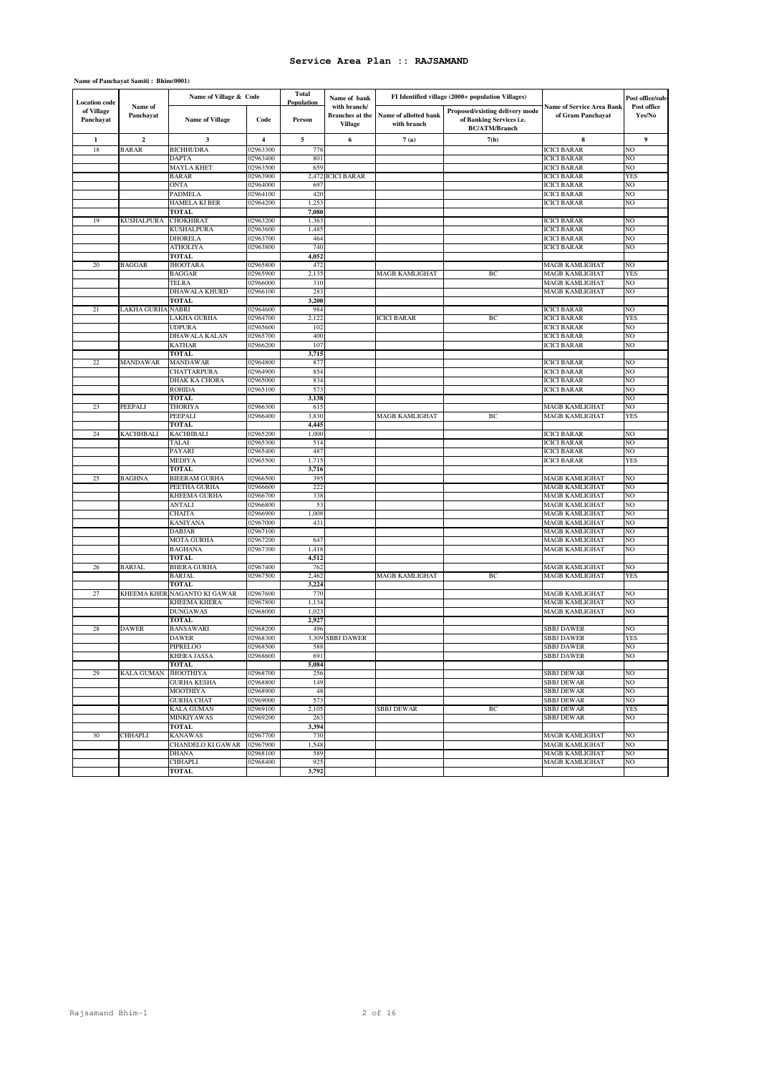# **Name of Panchayat Samiti : Bhim(0001)**

| <b>Location</b> code    |                         | Name of Village & Code          |                         | <b>Total</b><br>Population | Name of bank                                             |                                      | FI Identified village (2000+ population Villages)                                   |                                                | Post office/sub-      |
|-------------------------|-------------------------|---------------------------------|-------------------------|----------------------------|----------------------------------------------------------|--------------------------------------|-------------------------------------------------------------------------------------|------------------------------------------------|-----------------------|
| of Village<br>Panchayat | Name of<br>Panchayat    | <b>Name of Village</b>          | Code                    | Person                     | with branch/<br><b>Branches</b> at the<br><b>Village</b> | Name of allotted bank<br>with branch | Proposed/existing delivery mode<br>of Banking Services i.e.<br><b>BC/ATM/Branch</b> | Name of Service Area Bank<br>of Gram Panchayat | Post office<br>Yes/No |
| 1                       | $\overline{\mathbf{c}}$ | $\mathbf{3}$                    | $\overline{\mathbf{4}}$ | 5                          | 6                                                        | 7(a)                                 | 7(b)                                                                                | 8                                              | 9                     |
| 18                      | BARAR                   | <b>BICHHUDRA</b>                | 02963300                | 778                        |                                                          |                                      |                                                                                     | <b>ICICI BARAR</b>                             | NO                    |
|                         |                         | <b>DAPTA</b>                    | 02963400                | 801                        |                                                          |                                      |                                                                                     | <b>ICICI BARAR</b>                             | NO                    |
|                         |                         | <b>MAYLA KHET</b>               | 02963500                | 659                        |                                                          |                                      |                                                                                     | <b>ICICI BARAR</b>                             | NO                    |
|                         |                         | <b>BARAR</b><br><b>ONTA</b>     | 02963900<br>02964000    | 2,472<br>69                | <b>ICICI BARAR</b>                                       |                                      |                                                                                     | <b>ICICI BARAR</b><br><b>ICICI BARAR</b>       | <b>YES</b><br>NO      |
|                         |                         | <b>PADMELA</b>                  | 02964100                | 420                        |                                                          |                                      |                                                                                     | ICICI BARAR                                    | NO                    |
|                         |                         | HAMELA KI BER                   | 02964200                | 1,253                      |                                                          |                                      |                                                                                     | <b>ICICI BARAR</b>                             | NO                    |
|                         |                         | <b>TOTAL</b>                    |                         | 7,080                      |                                                          |                                      |                                                                                     |                                                |                       |
| 19                      | <b>KUSHALPURA</b>       | <b>CHOKHIRAT</b>                | 02963200                | 1,363                      |                                                          |                                      |                                                                                     | ICICI BARAR                                    | NO                    |
|                         |                         | <b>KUSHALPURA</b>               | 02963600                | 1,485                      |                                                          |                                      |                                                                                     | <b>ICICI BARAR</b>                             | NO                    |
|                         |                         | <b>DHORELA</b>                  | 02963700                | 464                        |                                                          |                                      |                                                                                     | <b>ICICI BARAR</b>                             | NO                    |
|                         |                         | <b>ATHOLIYA</b>                 | 02963800                | 740                        |                                                          |                                      |                                                                                     | <b>ICICI BARAR</b>                             | NO                    |
| 20                      | <b>BAGGAR</b>           | <b>TOTAL</b><br><b>JHOOTARA</b> | 02965800                | 4,052<br>472               |                                                          |                                      |                                                                                     | MAGB KAMLIGHAT                                 | NO                    |
|                         |                         | <b>BAGGAR</b>                   | 02965900                | 2,135                      |                                                          | MAGB KAMLIGHAT                       | ВC                                                                                  | MAGB KAMLIGHAT                                 | <b>YES</b>            |
|                         |                         | TELRA                           | 02966000                | 310                        |                                                          |                                      |                                                                                     | MAGB KAMLIGHAT                                 | NO                    |
|                         |                         | DHAWALA KHURD                   | 02966100                | 283                        |                                                          |                                      |                                                                                     | MAGB KAMLIGHAT                                 | NO                    |
|                         |                         | <b>TOTAL</b>                    |                         | 3,200                      |                                                          |                                      |                                                                                     |                                                |                       |
| 21                      | LAKHA GURHA             | <b>NABRI</b>                    | 02964600                | 984                        |                                                          |                                      |                                                                                     | <b>ICICI BARAR</b>                             | NO                    |
|                         |                         | LAKHA GURHA                     | 02964700                | 2,122                      |                                                          | <b>ICICI BARAR</b>                   | ВC                                                                                  | <b>ICICI BARAR</b>                             | <b>YES</b>            |
|                         |                         | <b>UDPURA</b>                   | 02965600                | 102                        |                                                          |                                      |                                                                                     | <b>ICICI BARAR</b>                             | NO                    |
|                         |                         | DHAWALA KALAN                   | 02965700                | 400                        |                                                          |                                      |                                                                                     | <b>ICICI BARAR</b>                             | NO                    |
|                         |                         | <b>KATHAR</b>                   | 02966200                | 107                        |                                                          |                                      |                                                                                     | <b>ICICI BARAR</b>                             | NO                    |
| 22                      | MANDAWAR                | <b>TOTAL</b><br><b>MANDAWAR</b> | 02964800                | 3,715<br>877               |                                                          |                                      |                                                                                     | <b>ICICI BARAR</b>                             | NO                    |
|                         |                         | CHATTARPURA                     | 02964900                | 854                        |                                                          |                                      |                                                                                     | <b>ICICI BARAR</b>                             | NO                    |
|                         |                         | DHAK KA CHORA                   | 02965000                | 834                        |                                                          |                                      |                                                                                     | <b>ICICI BARAR</b>                             | NO                    |
|                         |                         | <b>ROHIDA</b>                   | 02965100                | 573                        |                                                          |                                      |                                                                                     | ICICI BARAR                                    | NO                    |
|                         |                         | <b>TOTAL</b>                    |                         | 3,138                      |                                                          |                                      |                                                                                     |                                                | NO                    |
| 23                      | PEEPALI                 | <b>THORIYA</b>                  | 02966300                | 615                        |                                                          |                                      |                                                                                     | MAGB KAMLIGHAT                                 | NO                    |
|                         |                         | PEEPALI                         | 02966400                | 3,830                      |                                                          | <b>MAGB KAMLIGHAT</b>                | BC                                                                                  | MAGB KAMLIGHAT                                 | <b>YES</b>            |
|                         |                         | <b>TOTAL</b>                    |                         | 4,445                      |                                                          |                                      |                                                                                     |                                                |                       |
| 24                      | <b>KACHHBALI</b>        | KACHHBALI                       | 02965200                | 1,000                      |                                                          |                                      |                                                                                     | <b>ICICI BARAR</b>                             | NO                    |
|                         |                         | TALAI<br>PAYARI                 | 02965300<br>02965400    | 514<br>487                 |                                                          |                                      |                                                                                     | <b>ICICI BARAR</b><br><b>ICICI BARAR</b>       | NO<br>NO              |
|                         |                         | <b>MEDIYA</b>                   | 02965500                | 1,715                      |                                                          |                                      |                                                                                     | <b>ICICI BARAR</b>                             | <b>YES</b>            |
|                         |                         | <b>TOTAL</b>                    |                         | 3,716                      |                                                          |                                      |                                                                                     |                                                |                       |
| 25                      | <b>BAGHNA</b>           | <b>BIEERAM GURHA</b>            | 02966500                | 395                        |                                                          |                                      |                                                                                     | MAGB KAMLIGHAT                                 | NO                    |
|                         |                         | PEETHA GURHA                    | 02966600                | 222                        |                                                          |                                      |                                                                                     | MAGB KAMLIGHAT                                 | NO                    |
|                         |                         | KHEEMA GURHA                    | 02966700                | 338                        |                                                          |                                      |                                                                                     | MAGB KAMLIGHAT                                 | NO                    |
|                         |                         | <b>ANTALI</b>                   | 02966800                | 53                         |                                                          |                                      |                                                                                     | MAGB KAMLIGHAT                                 | NO                    |
|                         |                         | <b>CHAITA</b>                   | 02966900                | 1,008                      |                                                          |                                      |                                                                                     | MAGB KAMLIGHAT                                 | NO                    |
|                         |                         | KANIYANA                        | 02967000                | 431                        |                                                          |                                      |                                                                                     | MAGB KAMLIGHAT                                 | NO                    |
|                         |                         | DABJAR<br><b>MOTA GURHA</b>     | 02967100<br>02967200    | 647                        |                                                          |                                      |                                                                                     | MAGB KAMLIGHAT<br>MAGB KAMLIGHAT               | NO<br>NO              |
|                         |                         | <b>BAGHANA</b>                  | 02967300                | 1,418                      |                                                          |                                      |                                                                                     | MAGB KAMLIGHAT                                 | NO                    |
|                         |                         | <b>TOTAL</b>                    |                         | 4,512                      |                                                          |                                      |                                                                                     |                                                |                       |
| 26                      | BARJAL                  | <b>BHERA GURHA</b>              | 02967400                | 762                        |                                                          |                                      |                                                                                     | MAGB KAMLIGHAT                                 | NO                    |
|                         |                         | <b>BARJAL</b>                   | 02967500                | 2,462                      |                                                          | MAGB KAMLIGHAT                       | BC                                                                                  | MAGB KAMLIGHAT                                 | YES                   |
|                         |                         | <b>TOTAL</b>                    |                         | 3,224                      |                                                          |                                      |                                                                                     |                                                |                       |
| $27\,$                  | KHEEMA KHER             | NAGANTO KI GAWAR                | 02967600                | 770                        |                                                          |                                      |                                                                                     | MAGB KAMLIGHAT                                 | NO                    |
|                         |                         | KHEEMA KHERA                    | 02967800                | 1,134                      |                                                          |                                      |                                                                                     | MAGB KAMLIGHAT                                 | NO                    |
|                         |                         | <b>DUNGAWAS</b><br><b>TOTAL</b> | 02968000                | 1,023<br>2,927             |                                                          |                                      |                                                                                     | MAGB KAMLIGHAT                                 | NO                    |
| 28                      | DAWER                   | <b>BANSAWARI</b>                | 02968200                | 496                        |                                                          |                                      |                                                                                     | SBBJ DAWER                                     | NO                    |
|                         |                         | <b>DAWER</b>                    | 02968300                | 3,309                      | <b>SBBJ DAWER</b>                                        |                                      |                                                                                     | <b>SBBJ DAWER</b>                              | <b>YES</b>            |
|                         |                         | PIPRELOO                        | 02968500                | 588                        |                                                          |                                      |                                                                                     | <b>SBBJ DAWER</b>                              | NO                    |
|                         |                         | <b>KHERA JASSA</b>              | 02968600                | 691                        |                                                          |                                      |                                                                                     | <b>SBBJ DAWER</b>                              | N <sub>O</sub>        |
|                         |                         | TOTAL                           |                         | 5,084                      |                                                          |                                      |                                                                                     |                                                |                       |
| 29                      | <b>KALA GUMAN</b>       | <b>JHOOTHIYA</b>                | 02968700                | 256                        |                                                          |                                      |                                                                                     | <b>SBBJ DEWAR</b>                              | NO                    |
|                         |                         | <b>GURHA KESHA</b>              | 02968800                | 149                        |                                                          |                                      |                                                                                     | <b>SBBJ DEWAR</b>                              | NO                    |
|                         |                         | MOOTHIYA                        | 02968900                | 48                         |                                                          |                                      |                                                                                     | <b>SBBJ DEWAR</b>                              | NO                    |
|                         |                         | <b>GURHA CHAT</b>               | 02969000                | 573                        |                                                          |                                      |                                                                                     | <b>SBBJ DEWAR</b>                              | NO                    |
|                         |                         | <b>KALA GUMAN</b><br>MINKIYAWAS | 02969100<br>02969200    | 2,105<br>263               |                                                          | <b>SBBJ DEWAR</b>                    | BC                                                                                  | <b>SBBJ DEWAR</b><br><b>SBBJ DEWAR</b>         | <b>YES</b><br>NO      |
|                         |                         | <b>TOTAL</b>                    |                         | 3,394                      |                                                          |                                      |                                                                                     |                                                |                       |
| 30                      | <b>CHHAPLI</b>          | <b>KANAWAS</b>                  | 02967700                | 730                        |                                                          |                                      |                                                                                     | <b>MAGB KAMLIGHAT</b>                          | NO                    |
|                         |                         | CHANDELO KI GAWAR               | 02967900                | 1,548                      |                                                          |                                      |                                                                                     | MAGB KAMLIGHAT                                 | NO                    |
|                         |                         | <b>DHANA</b>                    | 02968100                | 589                        |                                                          |                                      |                                                                                     | MAGB KAMLIGHAT                                 | NO                    |
|                         |                         | CHHAPLI                         | 02968400                | 925                        |                                                          |                                      |                                                                                     | MAGB KAMLIGHAT                                 | NO                    |
|                         |                         | <b>TOTAL</b>                    |                         | 3,792                      |                                                          |                                      |                                                                                     |                                                |                       |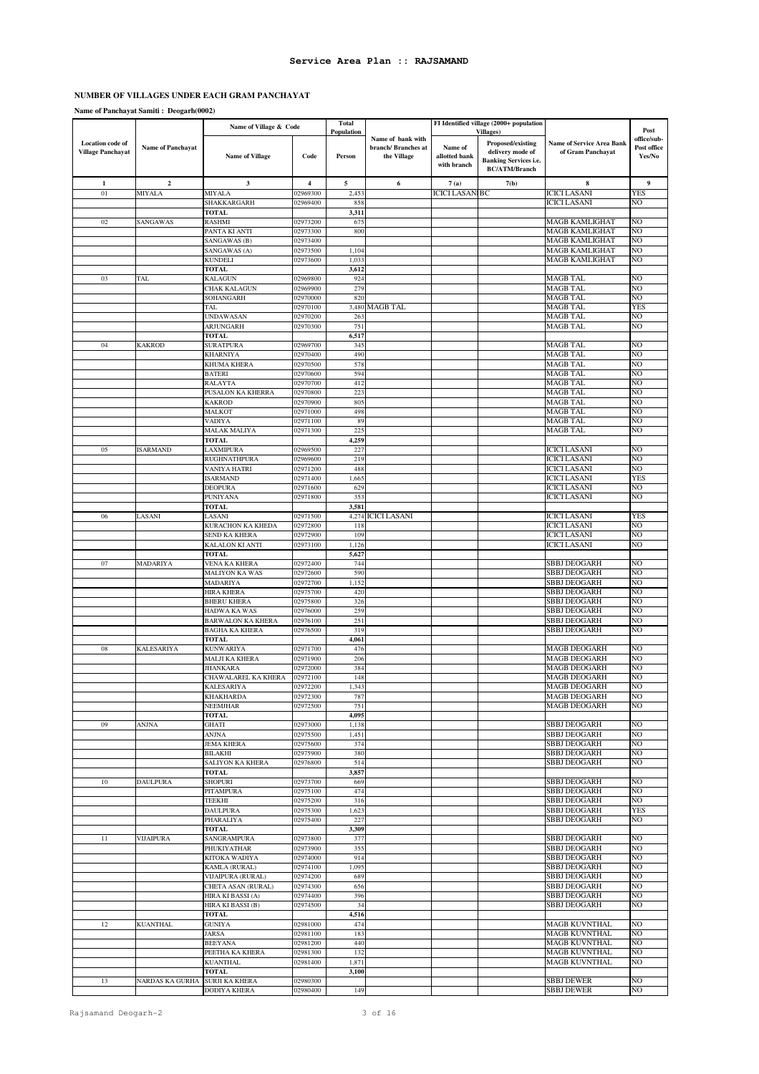# **NUMBER OF VILLAGES UNDER EACH GRAM PANCHAYAT**

**Name of Panchayat Samiti : Deogarh(0002)**

|                                                     |                          | Name of Village & Code                 |                      | <b>Total</b>                |                                                        |                                         | FI Identified village (2000+ population                                                                            |                                                       | Post                                 |
|-----------------------------------------------------|--------------------------|----------------------------------------|----------------------|-----------------------------|--------------------------------------------------------|-----------------------------------------|--------------------------------------------------------------------------------------------------------------------|-------------------------------------------------------|--------------------------------------|
| <b>Location</b> code of<br><b>Village Panchayat</b> | <b>Name of Panchayat</b> | <b>Name of Village</b>                 | Code                 | <b>Population</b><br>Person | Name of bank with<br>branch/Branches at<br>the Village | Name of<br>allotted bank<br>with branch | <b>Villages</b> )<br>Proposed/existing<br>delivery mode of<br><b>Banking Services i.e.</b><br><b>BC/ATM/Branch</b> | <b>Name of Service Area Bank</b><br>of Gram Panchayat | office/sub-<br>Post office<br>Yes/No |
| $\mathbf 1$                                         | $\boldsymbol{2}$         | $\mathbf{3}$                           | 4                    | 5                           | 6                                                      | 7(a)                                    | 7(b)                                                                                                               | 8                                                     | 9                                    |
| 01                                                  | <b>MIYALA</b>            | MIYALA                                 | 02969300             | 2,45                        |                                                        | <b>ICICI LASANIBC</b>                   |                                                                                                                    | <b>ICICI LASANI</b>                                   | YES                                  |
|                                                     |                          | SHAKKARGARH                            | 02969400             | 858                         |                                                        |                                         |                                                                                                                    | <b>ICICI LASANI</b>                                   | NO                                   |
| 02                                                  | SANGAWAS                 | <b>TOTAL</b><br><b>RASHMI</b>          | 02973200             | 3,311<br>675                |                                                        |                                         |                                                                                                                    | <b>MAGB KAMLIGHAT</b>                                 | NО                                   |
|                                                     |                          | PANTA KI ANTI                          | 02973300             | 800                         |                                                        |                                         |                                                                                                                    | <b>MAGB KAMLIGHAT</b>                                 | NO                                   |
|                                                     |                          | SANGAWAS (B)                           | 02973400             |                             |                                                        |                                         |                                                                                                                    | <b>MAGB KAMLIGHAT</b>                                 | NО                                   |
|                                                     |                          | SANGAWAS (A)                           | 02973500             | 1,104                       |                                                        |                                         |                                                                                                                    | <b>MAGB KAMLIGHAT</b>                                 | NO                                   |
|                                                     |                          | <b>KUNDELI</b>                         | 02973600             | 1,033                       |                                                        |                                         |                                                                                                                    | <b>MAGB KAMLIGHAT</b>                                 | NО                                   |
| 03                                                  | TAL                      | <b>TOTAL</b><br><b>KALAGUN</b>         | 02969800             | 3,612<br>924                |                                                        |                                         |                                                                                                                    | <b>MAGB TAL</b>                                       | NO                                   |
|                                                     |                          | CHAK KALAGUN                           | 02969900             | 279                         |                                                        |                                         |                                                                                                                    | <b>MAGB TAL</b>                                       | NO                                   |
|                                                     |                          | SOHANGARH                              | 02970000             | 820                         |                                                        |                                         |                                                                                                                    | <b>MAGB TAL</b>                                       | NО                                   |
|                                                     |                          | TAL                                    | 02970100             |                             | 3,480 MAGB TAL                                         |                                         |                                                                                                                    | MAGB TAL                                              | <b>YES</b>                           |
|                                                     |                          | UNDAWASAN                              | 02970200             | 263                         |                                                        |                                         |                                                                                                                    | <b>MAGB TAL</b><br>MAGB TAL                           | NO<br>NO                             |
|                                                     |                          | <b>ARJUNGARH</b><br>TOTAL              | 02970300             | 751<br>6,517                |                                                        |                                         |                                                                                                                    |                                                       |                                      |
| 04                                                  | <b>KAKROD</b>            | <b>SURATPURA</b>                       | 02969700             | 345                         |                                                        |                                         |                                                                                                                    | <b>MAGB TAL</b>                                       | NO                                   |
|                                                     |                          | <b>KHARNIYA</b>                        | 02970400             | 490                         |                                                        |                                         |                                                                                                                    | <b>MAGB TAL</b>                                       | NO                                   |
|                                                     |                          | KHUMA KHERA                            | 02970500             | 578                         |                                                        |                                         |                                                                                                                    | <b>MAGB TAL</b>                                       | NO                                   |
|                                                     |                          | <b>BATERI</b><br><b>RALAYTA</b>        | 02970600<br>02970700 | 594<br>412                  |                                                        |                                         |                                                                                                                    | <b>MAGB TAL</b><br><b>MAGB TAL</b>                    | NO<br>NO                             |
|                                                     |                          | PUSALON KA KHERRA                      | 02970800             | 223                         |                                                        |                                         |                                                                                                                    | <b>MAGB TAL</b>                                       | NO                                   |
|                                                     |                          | <b>KAKROD</b>                          | 02970900             | 805                         |                                                        |                                         |                                                                                                                    | <b>MAGB TAL</b>                                       | NO                                   |
|                                                     |                          | MALKOT                                 | 02971000             | 498                         |                                                        |                                         |                                                                                                                    | <b>MAGB TAL</b>                                       | NO                                   |
|                                                     |                          | VADIYA                                 | 02971100             | 89                          |                                                        |                                         |                                                                                                                    | <b>MAGB TAL</b>                                       | NO                                   |
|                                                     |                          | <b>MALAK MALIYA</b><br><b>TOTAL</b>    | 02971300             | 225<br>4,259                |                                                        |                                         |                                                                                                                    | MAGB TAL                                              | NO                                   |
| 05                                                  | <b>ISARMAND</b>          | LAXMIPURA                              | 02969500             | 227                         |                                                        |                                         |                                                                                                                    | <b>ICICI LASANI</b>                                   | NO                                   |
|                                                     |                          | RUGHNATHPURA                           | 02969600             | 219                         |                                                        |                                         |                                                                                                                    | <b>ICICI LASANI</b>                                   | NО                                   |
|                                                     |                          | <b>VANIYA HATRI</b>                    | 02971200             | 488                         |                                                        |                                         |                                                                                                                    | <b>ICICI LASANI</b>                                   | NO                                   |
|                                                     |                          | <b>ISARMAND</b>                        | 02971400             | 1,665                       |                                                        |                                         |                                                                                                                    | <b>ICICI LASANI</b>                                   | YES                                  |
|                                                     |                          | <b>DEOPURA</b><br>PUNIYANA             | 02971600<br>02971800 | 629<br>353                  |                                                        |                                         |                                                                                                                    | <b>ICICI LASANI</b><br><b>ICICI LASANI</b>            | NO<br>NО                             |
|                                                     |                          | <b>TOTAL</b>                           |                      | 3,581                       |                                                        |                                         |                                                                                                                    |                                                       |                                      |
| 06                                                  | LASANI                   | LASANI                                 | 02971500             |                             | 4,274 ICICI LASANI                                     |                                         |                                                                                                                    | <b>ICICI LASANI</b>                                   | YES                                  |
|                                                     |                          | KURACHON KA KHEDA                      | 02972800             | 118                         |                                                        |                                         |                                                                                                                    | <b>ICICI LASANI</b>                                   | NO                                   |
|                                                     |                          | SEND KA KHERA<br>KALALON KI ANTI       | 02972900<br>02973100 | 109<br>1,126                |                                                        |                                         |                                                                                                                    | <b>ICICI LASANI</b><br><b>ICICI LASANI</b>            | NO<br>NO                             |
|                                                     |                          | <b>TOTAL</b>                           |                      | 5,627                       |                                                        |                                         |                                                                                                                    |                                                       |                                      |
| 07                                                  | MADARIYA                 | VENA KA KHERA                          | 02972400             | 744                         |                                                        |                                         |                                                                                                                    | SBBJ DEOGARH                                          | NO                                   |
|                                                     |                          | MALIYON KA WAS                         | 02972600             | 590                         |                                                        |                                         |                                                                                                                    | SBBJ DEOGARH                                          | NO                                   |
|                                                     |                          | MADARIYA                               | 02972700             | 1,152                       |                                                        |                                         |                                                                                                                    | SBBJ DEOGARH                                          | NO                                   |
|                                                     |                          | HIRA KHERA<br><b>BHERU KHERA</b>       | 02975700<br>02975800 | 420<br>326                  |                                                        |                                         |                                                                                                                    | <b>SBBJ DEOGARH</b><br><b>SBBJ DEOGARH</b>            | NO<br>NO                             |
|                                                     |                          | HADWA KA WAS                           | 02976000             | 259                         |                                                        |                                         |                                                                                                                    | <b>SBBJ DEOGARH</b>                                   | NO                                   |
|                                                     |                          | <b>BARWALON KA KHERA</b>               | 02976100             | 251                         |                                                        |                                         |                                                                                                                    | SBBJ DEOGARH                                          | NO                                   |
|                                                     |                          | <b>BAGHA KA KHERA</b>                  | 02976500             | 319                         |                                                        |                                         |                                                                                                                    | <b>SBBJ DEOGARH</b>                                   | NO                                   |
| ${\bf 08}$                                          | KALESARIYA               | <b>TOTAL</b><br><b>KUNWARIYA</b>       | 02971700             | 4,061<br>476                |                                                        |                                         |                                                                                                                    | <b>MAGB DEOGARH</b>                                   | NO                                   |
|                                                     |                          | MALJI KA KHERA                         | 02971900             | 206                         |                                                        |                                         |                                                                                                                    | <b>MAGB DEOGARH</b>                                   | NО                                   |
|                                                     |                          | <b>JHANKARA</b>                        | 02972000             | 384                         |                                                        |                                         |                                                                                                                    | <b>MAGB DEOGARH</b>                                   | NO                                   |
|                                                     |                          | CHAWALAREL KA KHERA                    | 02972100             | 148                         |                                                        |                                         |                                                                                                                    | <b>MAGB DEOGARH</b>                                   | NO                                   |
|                                                     |                          | <b>KALESARIYA</b>                      | 02972200             | 1,343                       |                                                        |                                         |                                                                                                                    | <b>MAGB DEOGARH</b>                                   | N <sub>O</sub>                       |
|                                                     |                          | KHAKHARDA<br><b>NEEMJHAR</b>           | 02972300<br>02972500 | 787<br>751                  |                                                        |                                         |                                                                                                                    | <b>MAGB DEOGARH</b><br><b>MAGB DEOGARH</b>            | NO<br>NO                             |
|                                                     |                          | <b>TOTAL</b>                           |                      | 4,095                       |                                                        |                                         |                                                                                                                    |                                                       |                                      |
| 09                                                  | <b>ANJNA</b>             | <b>GHATI</b>                           | 02973000             | 1,138                       |                                                        |                                         |                                                                                                                    | <b>SBBJ DEOGARH</b>                                   | NO                                   |
|                                                     |                          | <b>ANJNA</b>                           | 02975500             | 1,451                       |                                                        |                                         |                                                                                                                    | <b>SBBJ DEOGARH</b>                                   | NO                                   |
|                                                     |                          | <b>JEMA KHERA</b><br><b>BILAKHI</b>    | 02975600<br>02975900 | 374<br>380                  |                                                        |                                         |                                                                                                                    | <b>SBBJ DEOGARH</b><br><b>SBBJ DEOGARH</b>            | NO<br>NO                             |
|                                                     |                          | <b>SALIYON KA KHERA</b>                | 02976800             | 514                         |                                                        |                                         |                                                                                                                    | <b>SBBJ DEOGARH</b>                                   | NO                                   |
|                                                     |                          | <b>TOTAL</b>                           |                      | 3,857                       |                                                        |                                         |                                                                                                                    |                                                       |                                      |
| $10\,$                                              | <b>DAULPURA</b>          | SHOPURI                                | 02973700             | 669                         |                                                        |                                         |                                                                                                                    | SBBJ DEOGARH                                          | NO                                   |
|                                                     |                          | PITAMPURA<br>TEEKHI                    | 02975100<br>02975200 | 474<br>316                  |                                                        |                                         |                                                                                                                    | <b>SBBJ DEOGARH</b><br><b>SBBJ DEOGARH</b>            | NO<br>NO                             |
|                                                     |                          | <b>DAULPURA</b>                        | 02975300             | 1,623                       |                                                        |                                         |                                                                                                                    | <b>SBBJ DEOGARH</b>                                   | YES                                  |
|                                                     |                          | PHARALIYA                              | 02975400             | 227                         |                                                        |                                         |                                                                                                                    | <b>SBBJ DEOGARH</b>                                   | NO                                   |
|                                                     |                          | <b>TOTAL</b>                           |                      | 3,309                       |                                                        |                                         |                                                                                                                    |                                                       |                                      |
| 11                                                  | <b>VIJAIPURA</b>         | SANGRAMPURA<br><b>PHUKIYATHAR</b>      | 02973800<br>02973900 | 377<br>355                  |                                                        |                                         |                                                                                                                    | <b>SBBJ DEOGARH</b><br><b>SBBJ DEOGARH</b>            | NO<br>NO                             |
|                                                     |                          | KITOKA WADIYA                          | 02974000             | 914                         |                                                        |                                         |                                                                                                                    | <b>SBBJ DEOGARH</b>                                   | NO                                   |
|                                                     |                          | KAMLA (RURAL)                          | 02974100             | 1,095                       |                                                        |                                         |                                                                                                                    | <b>SBBJ DEOGARH</b>                                   | NO                                   |
|                                                     |                          | VIJAIPURA (RURAL)                      | 02974200             | 689                         |                                                        |                                         |                                                                                                                    | <b>SBBJ DEOGARH</b>                                   | NO                                   |
|                                                     |                          | CHETA ASAN (RURAL)                     | 02974300             | 656                         |                                                        |                                         |                                                                                                                    | <b>SBBJ DEOGARH</b>                                   | NO                                   |
|                                                     |                          | HIRA KI BASSI (A)<br>HIRA KI BASSI (B) | 02974400<br>02974500 | 396<br>34                   |                                                        |                                         |                                                                                                                    | SBBJ DEOGARH<br><b>SBBJ DEOGARH</b>                   | NO<br>NO                             |
|                                                     |                          | TOTAL                                  |                      | 4,516                       |                                                        |                                         |                                                                                                                    |                                                       |                                      |
| 12                                                  | <b>KUANTHAL</b>          | <b>GUNIYA</b>                          | 02981000             | 474                         |                                                        |                                         |                                                                                                                    | <b>MAGB KUVNTHAL</b>                                  | NO                                   |
|                                                     |                          | JARSA                                  | 02981100             | 183                         |                                                        |                                         |                                                                                                                    | <b>MAGB KUVNTHAL</b>                                  | NO                                   |
|                                                     |                          | <b>BEEYANA</b>                         | 02981200             | 440<br>132                  |                                                        |                                         |                                                                                                                    | <b>MAGB KUVNTHAL</b><br><b>MAGB KUVNTHAL</b>          | NO<br>NO                             |
|                                                     |                          | PEETHA KA KHERA<br><b>KUANTHAL</b>     | 02981300<br>02981400 | 1,871                       |                                                        |                                         |                                                                                                                    | <b>MAGB KUVNTHAL</b>                                  | NO                                   |
|                                                     |                          | <b>TOTAL</b>                           |                      | 3,100                       |                                                        |                                         |                                                                                                                    |                                                       |                                      |
| 13                                                  | NARDAS KA GURHA          | <b>SURJI KA KHERA</b>                  | 02980300             |                             |                                                        |                                         |                                                                                                                    | <b>SBBJ DEWER</b>                                     | NO                                   |
|                                                     |                          | <b>DODIYA KHERA</b>                    | 02980400             | 149                         |                                                        |                                         |                                                                                                                    | <b>SBBJ DEWER</b>                                     | NO                                   |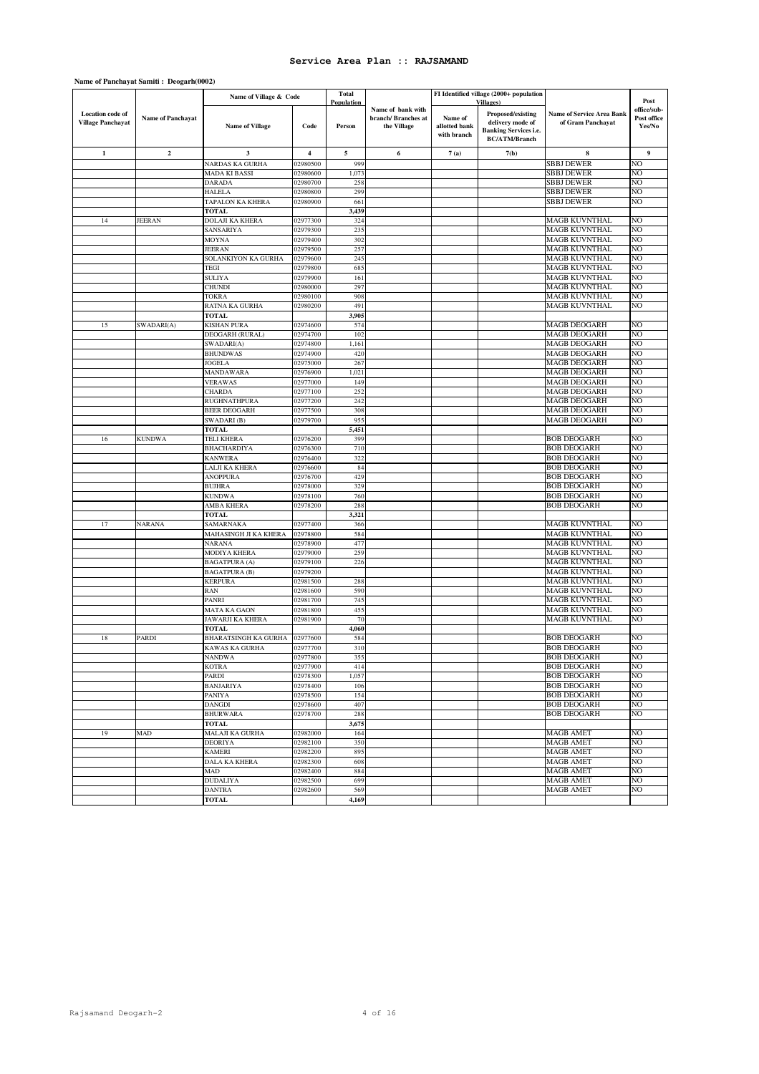|                          |                          | Name of Village & Code |                         | <b>Total</b>      |                                         |               | FI Identified village (2000+ population |                                  |                            |
|--------------------------|--------------------------|------------------------|-------------------------|-------------------|-----------------------------------------|---------------|-----------------------------------------|----------------------------------|----------------------------|
|                          |                          |                        |                         | <b>Population</b> |                                         |               | <b>Villages</b> )                       |                                  | Post                       |
| <b>Location code of</b>  | <b>Name of Panchayat</b> |                        |                         |                   | Name of bank with<br>branch/Branches at | Name of       | Proposed/existing                       | <b>Name of Service Area Bank</b> | office/sub-<br>Post office |
| <b>Village Panchayat</b> |                          | <b>Name of Village</b> | Code                    | Person            | the Village                             | allotted bank | delivery mode of                        | of Gram Panchayat                | Yes/No                     |
|                          |                          |                        |                         |                   |                                         | with branch   | <b>Banking Services i.e.</b>            |                                  |                            |
|                          |                          |                        |                         |                   |                                         |               | <b>BC/ATM/Branch</b>                    |                                  |                            |
| $\mathbf 1$              | $\mathbf 2$              | 3                      | $\overline{\mathbf{4}}$ |                   | 6                                       |               |                                         | 8                                | 9                          |
|                          |                          |                        |                         | 5                 |                                         | 7(a)          | 7(b)                                    |                                  |                            |
|                          |                          | NARDAS KA GURHA        | 02980500                | 999               |                                         |               |                                         | <b>SBBJ DEWER</b>                | NO                         |
|                          |                          | MADA KI BASSI          | 02980600                | 1,073             |                                         |               |                                         | SBBJ DEWER                       | NO                         |
|                          |                          | DARADA                 | 02980700                | 258               |                                         |               |                                         | SBBJ DEWER                       | NO                         |
|                          |                          | <b>HALELA</b>          | 02980800                | 299               |                                         |               |                                         | SBBJ DEWER                       | NO                         |
|                          |                          | TAPALON KA KHERA       | 02980900                | 661               |                                         |               |                                         | SBBJ DEWER                       | NO                         |
|                          |                          | <b>TOTAL</b>           |                         | 3,439             |                                         |               |                                         |                                  |                            |
| 14                       | <b>JEERAN</b>            | <b>DOLAJI KA KHERA</b> | 02977300                | 324               |                                         |               |                                         | <b>MAGB KUVNTHAL</b>             | NO                         |
|                          |                          | SANSARIYA              | 02979300                | 235               |                                         |               |                                         | MAGB KUVNTHAL                    | NO                         |
|                          |                          | MOYNA                  | 02979400                | 302               |                                         |               |                                         | <b>MAGB KUVNTHAL</b>             | NO                         |
|                          |                          | JEERAN                 | 02979500                | 257               |                                         |               |                                         | <b>MAGB KUVNTHAL</b>             | NO                         |
|                          |                          |                        |                         |                   |                                         |               |                                         |                                  | NO                         |
|                          |                          | SOLANKIYON KA GURHA    | 02979600                | 245               |                                         |               |                                         | <b>MAGB KUVNTHAL</b>             |                            |
|                          |                          | TEGI                   | 02979800                | 685               |                                         |               |                                         | MAGB KUVNTHAL                    | NO                         |
|                          |                          | <b>SULIYA</b>          | 02979900                | 161               |                                         |               |                                         | MAGB KUVNTHAL                    | NO                         |
|                          |                          | <b>CHUNDI</b>          | 02980000                | 297               |                                         |               |                                         | <b>MAGB KUVNTHAL</b>             | NO                         |
|                          |                          | TOKRA                  | 02980100                | 908               |                                         |               |                                         | MAGB KUVNTHAL                    | NO                         |
|                          |                          | RATNA KA GURHA         | 02980200                | 491               |                                         |               |                                         | MAGB KUVNTHAL                    | NO                         |
|                          |                          | TOTAL                  |                         | 3,905             |                                         |               |                                         |                                  |                            |
| 15                       | SWADARI(A)               | <b>KISHAN PURA</b>     | 02974600                | 574               |                                         |               |                                         | <b>MAGB DEOGARH</b>              | NO                         |
|                          |                          | DEOGARH (RURAL)        | 02974700                | 102               |                                         |               |                                         | <b>MAGB DEOGARH</b>              | NO                         |
|                          |                          | SWADARI(A)             | 02974800                | 1,161             |                                         |               |                                         | <b>MAGB DEOGARH</b>              | NO                         |
|                          |                          | <b>BHUNDWAS</b>        | 02974900                | 420               |                                         |               |                                         | <b>MAGB DEOGARH</b>              | NO                         |
|                          |                          |                        |                         |                   |                                         |               |                                         |                                  |                            |
|                          |                          | JOGELA                 | 02975000                | 267               |                                         |               |                                         | <b>MAGB DEOGARH</b>              | NO                         |
|                          |                          | MANDAWARA              | 02976900                | 1,021             |                                         |               |                                         | <b>MAGB DEOGARH</b>              | NO                         |
|                          |                          | VERAWAS                | 02977000                | 149               |                                         |               |                                         | <b>MAGB DEOGARH</b>              | NO                         |
|                          |                          | <b>CHARDA</b>          | 02977100                | 252               |                                         |               |                                         | MAGB DEOGARH                     | NO                         |
|                          |                          | RUGHNATHPURA           | 02977200                | 242               |                                         |               |                                         | <b>MAGB DEOGARH</b>              | NO                         |
|                          |                          | <b>BEER DEOGARH</b>    | 02977500                | 308               |                                         |               |                                         | <b>MAGB DEOGARH</b>              | NO                         |
|                          |                          | SWADARI(B)             | 02979700                | 955               |                                         |               |                                         | <b>MAGB DEOGARH</b>              | NO                         |
|                          |                          | <b>TOTAL</b>           |                         | 5,451             |                                         |               |                                         |                                  |                            |
| 16                       | <b>KUNDWA</b>            | TELI KHERA             | 02976200                | 399               |                                         |               |                                         | <b>BOB DEOGARH</b>               | NO                         |
|                          |                          | BHACHARDIYA            | 02976300                | 710               |                                         |               |                                         | <b>BOB DEOGARH</b>               | NO                         |
|                          |                          |                        |                         | 322               |                                         |               |                                         |                                  | NO                         |
|                          |                          | <b>KANWERA</b>         | 02976400                |                   |                                         |               |                                         | <b>BOB DEOGARH</b>               |                            |
|                          |                          | LALJI KA KHERA         | 02976600                | 84                |                                         |               |                                         | <b>BOB DEOGARH</b>               | N <sub>O</sub>             |
|                          |                          | <b>ANOPPURA</b>        | 02976700                | 429               |                                         |               |                                         | <b>BOB DEOGARH</b>               | NO                         |
|                          |                          | <b>BUJHRA</b>          | 02978000                | 329               |                                         |               |                                         | <b>BOB DEOGARH</b>               | NO                         |
|                          |                          | <b>KUNDWA</b>          | 02978100                | 760               |                                         |               |                                         | <b>BOB DEOGARH</b>               | NO                         |
|                          |                          | AMBA KHERA             | 02978200                | 288               |                                         |               |                                         | <b>BOB DEOGARH</b>               | NO                         |
|                          |                          | TOTAL                  |                         | 3,321             |                                         |               |                                         |                                  |                            |
| 17                       | <b>NARANA</b>            | SAMARNAKA              | 02977400                | 366               |                                         |               |                                         | MAGB KUVNTHAL                    | NO                         |
|                          |                          | MAHASINGH JI KA KHERA  | 02978800                | 584               |                                         |               |                                         | <b>MAGB KUVNTHAL</b>             | NO                         |
|                          |                          | NARANA                 | 02978900                | 477               |                                         |               |                                         | MAGB KUVNTHAL                    | NO                         |
|                          |                          | MODIYA KHERA           | 02979000                | 259               |                                         |               |                                         | <b>MAGB KUVNTHAL</b>             | NO                         |
|                          |                          | <b>BAGATPURA (A)</b>   | 02979100                | 226               |                                         |               |                                         | <b>MAGB KUVNTHAL</b>             | NO                         |
|                          |                          | <b>BAGATPURA (B)</b>   | 02979200                |                   |                                         |               |                                         | <b>MAGB KUVNTHAL</b>             | NO                         |
|                          |                          | <b>KERPURA</b>         | 02981500                |                   |                                         |               |                                         | <b>MAGB KUVNTHAL</b>             | NO                         |
|                          |                          |                        |                         | 288               |                                         |               |                                         |                                  |                            |
|                          |                          | RAN                    | 02981600                | 590               |                                         |               |                                         | <b>MAGB KUVNTHAL</b>             | NO                         |
|                          |                          | PANRI                  | 02981700                | 745               |                                         |               |                                         | <b>MAGB KUVNTHAL</b>             | NO                         |
|                          |                          | MATA KA GAON           | 02981800                | 455               |                                         |               |                                         | <b>MAGB KUVNTHAL</b>             | NO                         |
|                          |                          | JAWARJI KA KHERA       | 02981900                | 70                |                                         |               |                                         | MAGB KUVNTHAL                    | NO                         |
|                          |                          | <b>TOTAL</b>           |                         | 4,060             |                                         |               |                                         |                                  |                            |
| 18                       | PARDI                    | BHARATSINGH KA GURHA   | 02977600                | 584               |                                         |               |                                         | <b>BOB DEOGARH</b>               | NO                         |
|                          |                          | KAWAS KA GURHA         | 02977700                | 310               |                                         |               |                                         | <b>BOB DEOGARH</b>               | NO                         |
|                          |                          | <b>NANDWA</b>          | 02977800                | 355               |                                         |               |                                         | <b>BOB DEOGARH</b>               | NO                         |
|                          |                          | <b>KOTRA</b>           | 02977900                | 414               |                                         |               |                                         | <b>BOB DEOGARH</b>               | NO                         |
|                          |                          | PARDI                  | 02978300                | 1,057             |                                         |               |                                         | <b>BOB DEOGARH</b>               | NO                         |
|                          |                          | <b>BANJARIYA</b>       | 02978400                | 106               |                                         |               |                                         | <b>BOB DEOGARH</b>               | NO                         |
|                          |                          | PANIYA                 | 02978500                | 154               |                                         |               |                                         | <b>BOB DEOGARH</b>               | NO                         |
|                          |                          |                        |                         | 407               |                                         |               |                                         |                                  | NO                         |
|                          |                          | DANGDI                 | 02978600                |                   |                                         |               |                                         | <b>BOB DEOGARH</b>               |                            |
|                          |                          | <b>BHURWARA</b>        | 02978700                | 288               |                                         |               |                                         | <b>BOB DEOGARH</b>               | NO                         |
|                          |                          | <b>TOTAL</b>           |                         | 3,675             |                                         |               |                                         |                                  |                            |
| 19                       | MAD                      | MALAJI KA GURHA        | 02982000                | 164               |                                         |               |                                         | <b>MAGB AMET</b>                 | NO                         |
|                          |                          | <b>DEORIYA</b>         | 02982100                | 350               |                                         |               |                                         | <b>MAGB AMET</b>                 | NO                         |
|                          |                          | <b>KAMERI</b>          | 02982200                | 895               |                                         |               |                                         | <b>MAGB AMET</b>                 | NO                         |
|                          |                          | DALA KA KHERA          | 02982300                | 608               |                                         |               |                                         | <b>MAGB AMET</b>                 | NO                         |
|                          |                          | MAD                    | 02982400                | 884               |                                         |               |                                         | <b>MAGB AMET</b>                 | NO                         |
|                          |                          | <b>DUDALIYA</b>        | 02982500                | 699               |                                         |               |                                         | <b>MAGB AMET</b>                 | NO                         |
|                          |                          | <b>DANTRA</b>          | 02982600                | 569               |                                         |               |                                         | <b>MAGB AMET</b>                 | NO                         |
|                          |                          | TOTAL                  |                         | 4,169             |                                         |               |                                         |                                  |                            |

# **Name of Panchayat Samiti : Deogarh(0002)**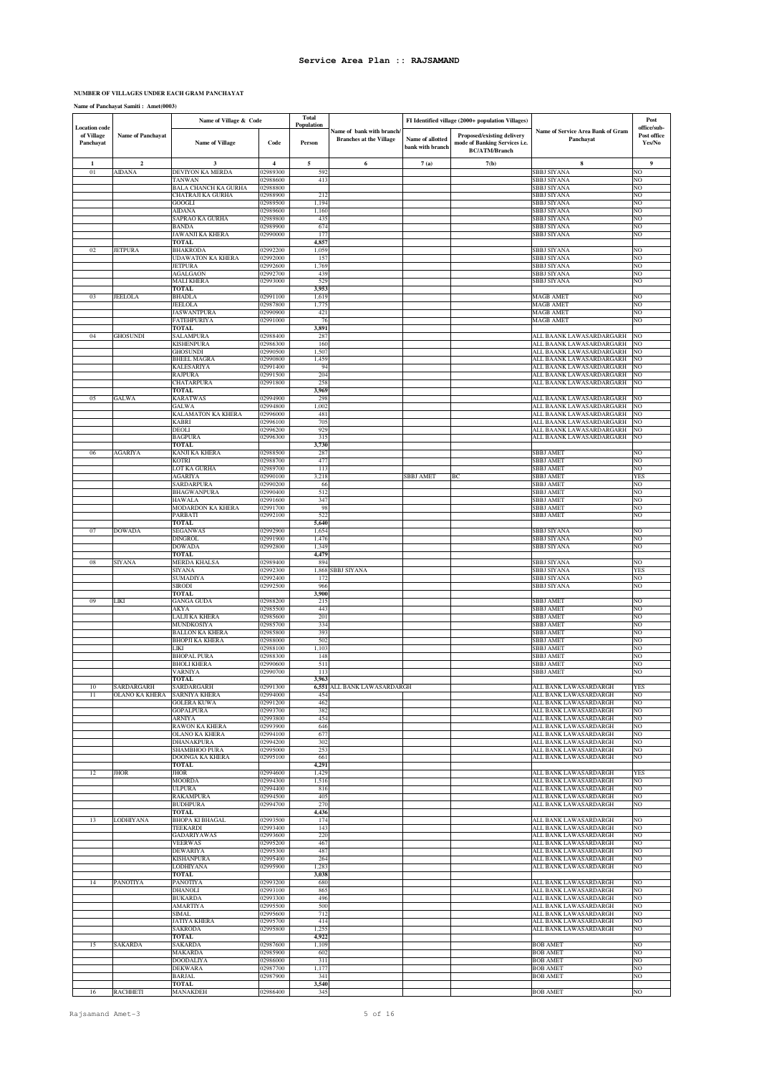#### **NUMBER OF VILLAGES UNDER EACH GRAM PANCHAYAT**

**Name of Panchayat Samiti : Amet(0003)**

| <b>Location</b> code    |                          | Name of Village & Code                         |                      | Total<br><b>Population</b> |                                                            |                                      | FI Identified village (2000+ population Villages)                                   |                                                      | Post<br>office/sub-   |
|-------------------------|--------------------------|------------------------------------------------|----------------------|----------------------------|------------------------------------------------------------|--------------------------------------|-------------------------------------------------------------------------------------|------------------------------------------------------|-----------------------|
| of Village<br>Panchayat | <b>Name of Panchayat</b> | <b>Name of Village</b>                         | Code                 | Person                     | Name of bank with branch<br><b>Branches at the Village</b> | Name of allotted<br>bank with branch | Proposed/existing delivery<br>mode of Banking Services i.e.<br><b>BC/ATM/Branch</b> | Name of Service Area Bank of Gram<br>Panchayat       | Post office<br>Yes/No |
| $\mathbf{1}$            | $\mathbf{2}$             | $\overline{\mathbf{3}}$                        | $\overline{4}$       | 5                          | 6                                                          | 7(a)                                 | 7(b)                                                                                | $\bf8$                                               | $\boldsymbol{9}$      |
| 01                      | AIDANA                   | DEVIYON KA MERDA                               | 02989300             | 59.                        |                                                            |                                      |                                                                                     | SBBJ SIYANA                                          | NО                    |
|                         |                          | TANWAN<br><b>BALA CHANCH KA GURHA</b>          | 02988600<br>02988800 | 413                        |                                                            |                                      |                                                                                     | <b>SBBJ SIYANA</b><br>SBBJ SIYANA                    | NO<br>NO              |
|                         |                          | CHATRAJI KA GURHA                              | 02988900             | 212                        |                                                            |                                      |                                                                                     | SBBJ SIYANA                                          | NO                    |
|                         |                          | GOOGLI<br>AIDANA                               | 02989500<br>02989600 | 1,194<br>1,160             |                                                            |                                      |                                                                                     | <b>SBBJ SIYANA</b><br>SBBJ SIYANA                    | NO<br>NO              |
|                         |                          | SAPRAO KA GURHA                                | 02989800             | 435                        |                                                            |                                      |                                                                                     | SBBJ SIYANA                                          | NO                    |
|                         |                          | <b>BANDA</b><br><b>JAWANJI KA KHERA</b>        | 02989900<br>02990000 | 674<br>177                 |                                                            |                                      |                                                                                     | SBBJ SIYANA<br>SBBJ SIYANA                           | NO<br>NO              |
|                         |                          | TOTAL                                          |                      | 4,857                      |                                                            |                                      |                                                                                     |                                                      |                       |
| 02                      | <b>JETPURA</b>           | <b>BHAKRODA</b><br><b>UDAWATON KA KHERA</b>    | 02992200<br>02992000 | 1,059<br>157               |                                                            |                                      |                                                                                     | <b>SBBJ SIYANA</b><br><b>SBBJ SIYANA</b>             | NO.<br>NO             |
|                         |                          | <b>JETPURA</b>                                 | 02992600             | 1,769                      |                                                            |                                      |                                                                                     | <b>SBBJ SIYANA</b>                                   | NO                    |
|                         |                          | AGALGAON<br><b>MALI KHERA</b>                  | 02992700<br>02993000 | 439<br>529                 |                                                            |                                      |                                                                                     | SBBJ SIYANA<br>SBBJ SIYANA                           | NO<br>NO              |
|                         |                          | <b>TOTAL</b>                                   |                      | 3,953                      |                                                            |                                      |                                                                                     |                                                      |                       |
| 03                      | JEELOLA                  | <b>BHADLA</b><br><b>JEELOLA</b>                | 02991100<br>02987800 | 1,619<br>1,775             |                                                            |                                      |                                                                                     | <b>MAGB AMET</b><br><b>MAGB AMET</b>                 | NO<br>NO              |
|                         |                          | <b>JASWANTPURA</b>                             | 02990900             | 421                        |                                                            |                                      |                                                                                     | <b>MAGB AMET</b>                                     | NO.                   |
|                         |                          | <b>FATEHPURIYA</b>                             | 02991000             | 76                         |                                                            |                                      |                                                                                     | <b>MAGB AMET</b>                                     | NO                    |
| 04                      | GHOSUNDI                 | TOTAL<br>SALAMPURA                             | 02988400             | 3,891<br>287               |                                                            |                                      |                                                                                     | ALL BAANK LAWASARDARGARH                             | NO                    |
|                         |                          | <b>KISHENPURA</b>                              | 02986300             | 160                        |                                                            |                                      |                                                                                     | ALL BAANK LAWASARDARGARH                             | NO                    |
|                         |                          | <b>GHOSUNDI</b><br><b>BHEEL MAGRA</b>          | 02990500<br>02990800 | 1,507<br>1,459             |                                                            |                                      |                                                                                     | ALL BAANK LAWASARDARGARH<br>ALL BAANK LAWASARDARGARH | NO<br>NO              |
|                         |                          | <b>KALESARIYA</b>                              | 02991400             | 9.                         |                                                            |                                      |                                                                                     | ALL BAANK LAWASARDARGARH                             | NO                    |
|                         |                          | RAJPURA<br>CHATARPURA                          | 02991500<br>02991800 | 204<br>258                 |                                                            |                                      |                                                                                     | ALL BAANK LAWASARDARGARH<br>ALL BAANK LAWASARDARGARH | NO<br>NО              |
|                         |                          | <b>TOTAL</b>                                   |                      | 3,969                      |                                                            |                                      |                                                                                     |                                                      |                       |
| 05                      | GALWA                    | <b>KARATWAS</b><br><b>GALWA</b>                | 02994900<br>02994800 | 298<br>1,002               |                                                            |                                      |                                                                                     | ALL BAANK LAWASARDARGARH<br>ALL BAANK LAWASARDARGARH | NO<br>NO              |
|                         |                          | KALAMATON KA KHERA                             | 02996000             | 481                        |                                                            |                                      |                                                                                     | ALL BAANK LAWASARDARGARH                             | NO                    |
|                         |                          | <b>KABRI</b><br><b>DEOLI</b>                   | 02996100<br>02996200 | 705<br>929                 |                                                            |                                      |                                                                                     | ALL BAANK LAWASARDARGARH<br>ALL BAANK LAWASARDARGARH | NO<br>NO              |
|                         |                          | <b>BAGPURA</b>                                 | 02996300             | 315                        |                                                            |                                      |                                                                                     | ALL BAANK LAWASARDARGARH                             | NO                    |
|                         |                          | <b>TOTAL</b>                                   |                      | 3,730                      |                                                            |                                      |                                                                                     |                                                      |                       |
| 06                      | AGARIYA                  | <b>KANJI KA KHERA</b><br><b>KOTRI</b>          | 02988500<br>02988700 | 287<br>477                 |                                                            |                                      |                                                                                     | <b>SBBJ AMET</b><br><b>SBBJ AMET</b>                 | NO<br>NO              |
|                         |                          | LOT KA GURHA                                   | 02989700             | 113                        |                                                            |                                      |                                                                                     | SBBJ AMET                                            | NO                    |
|                         |                          | <b>AGARIYA</b><br>SARDARPURA                   | 02990100<br>02990200 | 3,218<br>66                |                                                            | <b>SBBJ AMET</b>                     | ВC                                                                                  | SBBJ AMET<br>SBBJ AMET                               | YES<br>NO             |
|                         |                          | BHAGWANPURA                                    | 02990400             | 512                        |                                                            |                                      |                                                                                     | SBBJ AMET                                            | NO                    |
|                         |                          | <b>HAWALA</b><br>MODARDON KA KHERA             | 02991600<br>02991700 | 347<br>98                  |                                                            |                                      |                                                                                     | <b>SBBJ AMET</b><br><b>SBBJ AMET</b>                 | NO<br>NO              |
|                         |                          | PARBATI                                        | 02992100             | 522                        |                                                            |                                      |                                                                                     | <b>SBBJ AMET</b>                                     | NO                    |
|                         | <b>OWADA</b>             | TOTAL                                          | 02992900             | 5,640                      |                                                            |                                      |                                                                                     |                                                      |                       |
| 07                      |                          | SEGANWAS<br><b>DINGROL</b>                     | 02991900             | 1,654<br>1,476             |                                                            |                                      |                                                                                     | SBBJ SIYANA<br>SBBJ SIYANA                           | NO<br>NO              |
|                         |                          | <b>DOWADA</b>                                  | 02992800             | 1,349                      |                                                            |                                      |                                                                                     | SBBJ SIYANA                                          | NO                    |
| $08\,$                  | SIYANA                   | <b>TOTAL</b><br>MERDA KHALSA                   | 02989400             | 4,479<br>894               |                                                            |                                      |                                                                                     | SBBJ SIYANA                                          | NO                    |
|                         |                          | SIYANA                                         | 02992300             | 1,868                      | SBBJ SIYANA                                                |                                      |                                                                                     | SBBJ SIYANA                                          | YES                   |
|                         |                          | SUMADIYA<br>SIRODI                             | 02992400<br>02992500 | 172<br>966                 |                                                            |                                      |                                                                                     | SBBJ SIYANA<br>SBBJ SIYANA                           | NO<br>NO              |
|                         |                          | TOTAL                                          |                      | 3,900                      |                                                            |                                      |                                                                                     |                                                      |                       |
| 09                      | LIKI                     | <b>GANGA GUDA</b><br>AKYA                      | 02988200<br>02985500 | 215<br>443                 |                                                            |                                      |                                                                                     | SBBJ AMET<br>SBBJ AMET                               | NO<br>NO              |
|                         |                          | LALJI KA KHERA                                 | 02985600             | 201                        |                                                            |                                      |                                                                                     | <b>SBBJ AMET</b>                                     | NO                    |
|                         |                          | MUNDKOSIYA<br><b>BALLON KA KHERA</b>           | 02985700<br>02985800 | 334<br>393                 |                                                            |                                      |                                                                                     | <b>SBBJ AMET</b><br><b>SBBJ AMET</b>                 | NO<br>NO              |
|                         |                          | <b>BHOPJI KA KHERA</b>                         | 02988000             | 502                        |                                                            |                                      |                                                                                     | SBBJ AMET                                            | NO                    |
|                         |                          | <b>LIKI</b>                                    | 02988100             | 1,10.                      |                                                            |                                      |                                                                                     | SBBJ AMET                                            | NO                    |
|                         |                          | <b>BHOPAL PURA</b><br><b>BHOLI KHERA</b>       | 02988300<br>02990600 | 148<br>511                 |                                                            |                                      |                                                                                     | SBBJ AMET<br>SBBJ AMET                               | NO<br>NO              |
|                         |                          | VARNIYA                                        | 02990700             | 113                        |                                                            |                                      |                                                                                     | SBBJ AMET                                            | NO                    |
|                         | <b>SAPDAPGAPH</b>        | <b>TOTAL</b><br>SARDARGARH                     |                      | 3,963<br>, 551             | ALL RANK LAWASARD                                          |                                      |                                                                                     | ALL BANK LAWASARDARGH                                |                       |
| $\overline{11}$         | OLANO KA KHERA           | <b>SARNIYA KHERA</b>                           | 02994000             | 454                        |                                                            |                                      |                                                                                     | ALL BANK LAWASARDARGH                                | NO                    |
|                         |                          | <b>GOLERA KUWA</b><br><b>GOPALPURA</b>         | 02991200<br>02993700 | 462<br>382                 |                                                            |                                      |                                                                                     | ALL BANK LAWASARDARGH<br>ALL BANK LAWASARDARGH       | NO<br>NO              |
|                         |                          | ARNIYA                                         | 02993800             | 454                        |                                                            |                                      |                                                                                     | ALL BANK LAWASARDARGH                                | NO                    |
|                         |                          | <b>RAWON KA KHERA</b><br><b>OLANO KA KHERA</b> | 02993900<br>02994100 | 646<br>677                 |                                                            |                                      |                                                                                     | ALL BANK LAWASARDARGH<br>ALL BANK LAWASARDARGH       | NO<br>NO              |
|                         |                          | DHANAKPURA                                     | 02994200             | 302                        |                                                            |                                      |                                                                                     | ALL BANK LAWASARDARGH                                | NO                    |
|                         |                          | SHAMBHOO PURA<br><b>DOONGA KA KHERA</b>        | 02995000<br>02995100 | 25.<br>661                 |                                                            |                                      |                                                                                     | ALL BANK LAWASARDARGH<br>ALL BANK LAWASARDARGH       | NO<br>NO              |
|                         |                          | <b>TOTAL</b>                                   |                      | 4,291                      |                                                            |                                      |                                                                                     |                                                      |                       |
| 12                      | <b>JHOR</b>              | <b>JHOR</b>                                    | 02994600             | 1,429                      |                                                            |                                      |                                                                                     | ALL BANK LAWASARDARGH<br>ALL BANK LAWASARDARGH       | YES                   |
|                         |                          | <b>MOORDA</b><br><b>ULPURA</b>                 | 02994300<br>02994400 | 1,516<br>816               |                                                            |                                      |                                                                                     | ALL BANK LAWASARDARGH                                | NO<br>NO              |
|                         |                          | <b>RAKAMPURA</b>                               | 02994500             | 405                        |                                                            |                                      |                                                                                     | ALL BANK LAWASARDARGH                                | NO                    |
|                         |                          | <b>BUDHPURA</b><br>TOTAL                       | 02994700             | 270<br>4,436               |                                                            |                                      |                                                                                     | ALL BANK LAWASARDARGH                                | NO                    |
| 13                      | LODHIYANA                | <b>BHOPA KI BHAGAL</b>                         | 02993500             | 174                        |                                                            |                                      |                                                                                     | ALL BANK LAWASARDARGH                                | NO                    |
|                         |                          | <b>TEEKARDI</b><br><b>GADARIYAWAS</b>          | 02993400<br>02993600 | 143<br>220                 |                                                            |                                      |                                                                                     | ALL BANK LAWASARDARGH<br>ALL BANK LAWASARDARGH       | NO.<br>NO             |
|                         |                          | <b>VEERWAS</b>                                 | 02995200             | 467                        |                                                            |                                      |                                                                                     | ALL BANK LAWASARDARGH                                | NO                    |
|                         |                          | <b>DEWARIYA</b><br><b>KISHANPURA</b>           | 02995300<br>02995400 | 487<br>264                 |                                                            |                                      |                                                                                     | ALL BANK LAWASARDARGH<br>ALL BANK LAWASARDARGH       | NO<br>NO              |
|                         |                          | <b>LODHIYANA</b>                               | 02995900             | 1,28                       |                                                            |                                      |                                                                                     | ALL BANK LAWASARDARGH                                | NO                    |
| 14                      | PANOTIYA                 | <b>TOTAL</b><br><b>PANOTIYA</b>                | 02993200             | 3,038<br>680               |                                                            |                                      |                                                                                     | ALL BANK LAWASARDARGH                                | NO                    |
|                         |                          | DHANOLI                                        | 02993100             | 865                        |                                                            |                                      |                                                                                     | ALL BANK LAWASARDARGH                                | NO                    |
|                         |                          | <b>BUKARDA</b>                                 | 02993300             | 496                        |                                                            |                                      |                                                                                     | ALL BANK LAWASARDARGH                                | NO                    |
|                         |                          | AMARTIYA<br>SIMAL                              | 02995500<br>02995600 | 500<br>712                 |                                                            |                                      |                                                                                     | ALL BANK LAWASARDARGH<br>ALL BANK LAWASARDARGH       | NO<br>NO              |
|                         |                          | JATIYA KHERA                                   | 02995700             | 414                        |                                                            |                                      |                                                                                     | ALL BANK LAWASARDARGH                                | NO                    |
|                         |                          | <b>SAKRODA</b><br><b>TOTAL</b>                 | 02995800             | 1,25<br>4,922              |                                                            |                                      |                                                                                     | ALL BANK LAWASARDARGH                                | NO                    |
| 15                      | SAKARDA                  | <b>SAKARDA</b>                                 | 02987600             | 1,109                      |                                                            |                                      |                                                                                     | <b>BOB AMET</b>                                      | NO                    |
|                         |                          | <b>MAKARDA</b><br><b>DOODALIYA</b>             | 02985900<br>02986000 | 602<br>311                 |                                                            |                                      |                                                                                     | <b>BOB AMET</b><br><b>BOB AMET</b>                   | NO<br>NO              |
|                         |                          | <b>DEKWARA</b>                                 | 02987700             | 1,177                      |                                                            |                                      |                                                                                     | <b>BOB AMET</b>                                      | NO                    |
|                         |                          | <b>BARJAL</b>                                  | 02987900             | 341                        |                                                            |                                      |                                                                                     | <b>BOB AMET</b>                                      | NO                    |
| 16                      | <b>RACHHETI</b>          | TOTAL<br>MANAKDEH                              | 02986400             | 3,540<br>345               |                                                            |                                      |                                                                                     | <b>BOB AMET</b>                                      | NO                    |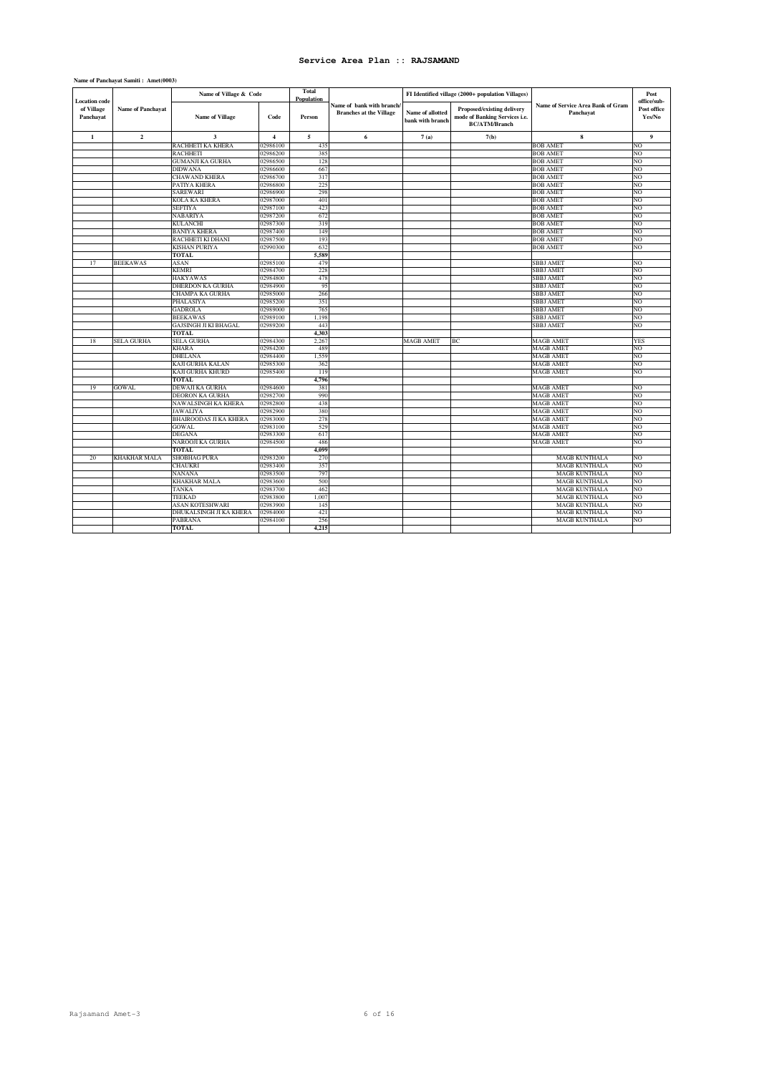| <b>Location</b> code    |                          | Name of Village & Code        |                | Total<br>Population |                                                             |                                      | FI Identified village (2000+ population Villages)                                   |                                                | Post<br>office/sub-   |
|-------------------------|--------------------------|-------------------------------|----------------|---------------------|-------------------------------------------------------------|--------------------------------------|-------------------------------------------------------------------------------------|------------------------------------------------|-----------------------|
| of Village<br>Panchayat | <b>Name of Panchayat</b> | <b>Name of Village</b>        | Code           | Person              | Name of bank with branch/<br><b>Branches at the Village</b> | Name of allotted<br>bank with branch | Proposed/existing delivery<br>mode of Banking Services i.e.<br><b>BC/ATM/Branch</b> | Name of Service Area Bank of Gram<br>Panchayat | Post office<br>Yes/No |
| $\mathbf{1}$            | $\overline{2}$           | $\overline{\mathbf{3}}$       | $\overline{4}$ | $\overline{5}$      | 6                                                           | 7(a)                                 | 7(b)                                                                                | 8                                              | $\overline{9}$        |
|                         |                          | RACHHETI KA KHERA             | 02986100       | 435                 |                                                             |                                      |                                                                                     | <b>BOB AMET</b>                                | NO                    |
|                         |                          | <b>RACHHETI</b>               | 02986200       | 385                 |                                                             |                                      |                                                                                     | <b>BOB AMET</b>                                | NO                    |
|                         |                          | <b>GUMANJI KA GURHA</b>       | 02986500       | 128                 |                                                             |                                      |                                                                                     | <b>BOB AMET</b>                                | NO                    |
|                         |                          | <b>DIDWANA</b>                | 02986600       | 667                 |                                                             |                                      |                                                                                     | <b>BOB AMET</b>                                | NO                    |
|                         |                          | <b>CHAWAND KHERA</b>          | 02986700       | 317                 |                                                             |                                      |                                                                                     | <b>BOB AMET</b>                                | NO                    |
|                         |                          | PATIYA KHERA                  | 02986800       | 225                 |                                                             |                                      |                                                                                     | <b>BOB AMET</b>                                | NO                    |
|                         |                          | SAREWARI                      | 02986900       | 298                 |                                                             |                                      |                                                                                     | <b>BOB AMET</b>                                | NO                    |
|                         |                          | <b>KOLA KA KHERA</b>          | 02987000       | 401                 |                                                             |                                      |                                                                                     | <b>BOB AMET</b>                                | NO                    |
|                         |                          | <b>SEFTIYA</b>                | 02987100       | 423                 |                                                             |                                      |                                                                                     | <b>BOB AMET</b>                                | NO                    |
|                         |                          | NABARIYA                      | 02987200       | 672                 |                                                             |                                      |                                                                                     | <b>BOB AMET</b>                                | NO                    |
|                         |                          | <b>KULANCHI</b>               | 02987300       | 319                 |                                                             |                                      |                                                                                     | <b>BOB AMET</b>                                | NO                    |
|                         |                          | <b>BANIYA KHERA</b>           | 02987400       | 149                 |                                                             |                                      |                                                                                     | <b>BOB AMET</b>                                | NO                    |
|                         |                          | RACHHETI KI DHANI             | 02987500       | 193                 |                                                             |                                      |                                                                                     | <b>BOB AMET</b>                                | NO                    |
|                         |                          | KISHAN PURIYA                 | 02990300       | 632                 |                                                             |                                      |                                                                                     | <b>BOB AMET</b>                                | NO                    |
|                         |                          | <b>TOTAL</b>                  |                | 5,589               |                                                             |                                      |                                                                                     |                                                |                       |
| 17                      | <b>BEEKAWAS</b>          | ASAN                          | 02985100       | 479                 |                                                             |                                      |                                                                                     | <b>SBBJ AMET</b>                               | NO                    |
|                         |                          | <b>KEMRI</b>                  | 02984700       | 228                 |                                                             |                                      |                                                                                     | SBBJ AMET                                      | NO.                   |
|                         |                          | <b>HAKYAWAS</b>               | 02984800       | 478                 |                                                             |                                      |                                                                                     | SBBJ AMET                                      | NO                    |
|                         |                          | DHERDON KA GURHA              | 02984900       | 95                  |                                                             |                                      |                                                                                     | SBBJ AMET                                      | NO                    |
|                         |                          | CHAMPA KA GURHA               | 02985000       | 266                 |                                                             |                                      |                                                                                     | SBBJ AMET                                      | NO                    |
|                         |                          | PHALASIYA                     | 02985200       | 351                 |                                                             |                                      |                                                                                     | <b>SBBJ AMET</b>                               | NO                    |
|                         |                          | <b>GADROLA</b>                | 02989000       | 765                 |                                                             |                                      |                                                                                     | SBBJ AMET                                      | NO                    |
|                         |                          | <b>BEEKAWAS</b>               | 02989100       | 1,198               |                                                             |                                      |                                                                                     | SBBJ AMET                                      | NO                    |
|                         |                          | <b>GAJSINGH JI KI BHAGAL</b>  | 02989200       | 443                 |                                                             |                                      |                                                                                     | <b>SBBJ AMET</b>                               | NO                    |
|                         |                          | TOTAL                         |                | 4.303               |                                                             |                                      |                                                                                     |                                                |                       |
| 18                      | SELA GURHA               | <b>SELA GURHA</b>             | 02984300       | 2.267               |                                                             | MAGB AMET                            | ВC                                                                                  | <b>MAGB AMET</b>                               | <b>YES</b>            |
|                         |                          | <b>KHARA</b>                  | 02984200       | 489                 |                                                             |                                      |                                                                                     | <b>MAGB AMET</b>                               | NO                    |
|                         |                          | DHELANA                       | 02984400       | 1,559               |                                                             |                                      |                                                                                     | MAGB AMET                                      | NO                    |
|                         |                          | KAJI GURHA KALAN              | 02985300       | 362                 |                                                             |                                      |                                                                                     | <b>MAGB AMET</b>                               | NO                    |
|                         |                          | KAJI GURHA KHURD              | 02985400       | 119                 |                                                             |                                      |                                                                                     | <b>MAGB AMET</b>                               | NO                    |
|                         |                          | <b>TOTAL</b>                  |                | 4.796               |                                                             |                                      |                                                                                     |                                                |                       |
| 19                      | <b>GOWAL</b>             | DEWAJI KA GURHA               | 02984600       | 381                 |                                                             |                                      |                                                                                     | <b>MAGB AMET</b>                               | NO                    |
|                         |                          | DEORON KA GURHA               | 02982700       | 990                 |                                                             |                                      |                                                                                     | <b>MAGB AMET</b>                               | NO                    |
|                         |                          | NAWALSINGH KA KHERA           | 02982800       | 438                 |                                                             |                                      |                                                                                     | <b>MAGB AMET</b>                               | NO                    |
|                         |                          | <b>JAWALIYA</b>               | 02982900       | 380                 |                                                             |                                      |                                                                                     | <b>MAGB AMET</b>                               | NO                    |
|                         |                          | <b>BHAIROODAS JI KA KHERA</b> | 02983000       | 278                 |                                                             |                                      |                                                                                     | <b>MAGB AMET</b>                               | NO                    |
|                         |                          | <b>GOWAL</b>                  | 02983100       | 529                 |                                                             |                                      |                                                                                     | <b>MAGB AMET</b>                               | NO                    |
|                         |                          | <b>DEGANA</b>                 | 02983300       | 617                 |                                                             |                                      |                                                                                     | MAGB AMET                                      | NO                    |
|                         |                          | NAROOJI KA GURHA              | 02984500       | 486                 |                                                             |                                      |                                                                                     | <b>MAGB AMET</b>                               | NO                    |
|                         |                          | <b>TOTAL</b>                  |                | 4,099               |                                                             |                                      |                                                                                     |                                                |                       |
| 20                      | KHAKHAR MALA             | <b>SHOBHAG PURA</b>           | 02983200       | 270                 |                                                             |                                      |                                                                                     | <b>MAGB KUNTHALA</b>                           | NO                    |
|                         |                          | CHAUKRI                       | 02983400       | 357                 |                                                             |                                      |                                                                                     | <b>MAGB KUNTHALA</b>                           | NO                    |
|                         |                          | NANANA                        | 02983500       | 797                 |                                                             |                                      |                                                                                     | <b>MAGB KUNTHALA</b>                           | NO                    |
|                         |                          | <b>KHAKHAR MALA</b>           | 02983600       | 500                 |                                                             |                                      |                                                                                     | <b>MAGB KUNTHALA</b>                           | NO                    |
|                         |                          | <b>TANKA</b>                  | 02983700       | 462                 |                                                             |                                      |                                                                                     | <b>MAGB KUNTHALA</b>                           | NO                    |
|                         |                          | TEEKAD                        | 02983800       | 1,007               |                                                             |                                      |                                                                                     | <b>MAGB KUNTHALA</b>                           | NO                    |
|                         |                          | ASAN KOTESHWARI               | 02983900       | 145                 |                                                             |                                      |                                                                                     | <b>MAGB KUNTHALA</b>                           | NO                    |
|                         |                          | DHUKALSINGH JI KA KHERA       | 02984000       | 421                 |                                                             |                                      |                                                                                     | <b>MAGB KUNTHALA</b>                           | NO                    |
|                         |                          |                               |                |                     |                                                             |                                      |                                                                                     |                                                |                       |
|                         |                          | PABRANA                       | 02984100       | 256                 |                                                             |                                      |                                                                                     | <b>MAGB KUNTHALA</b>                           | NO                    |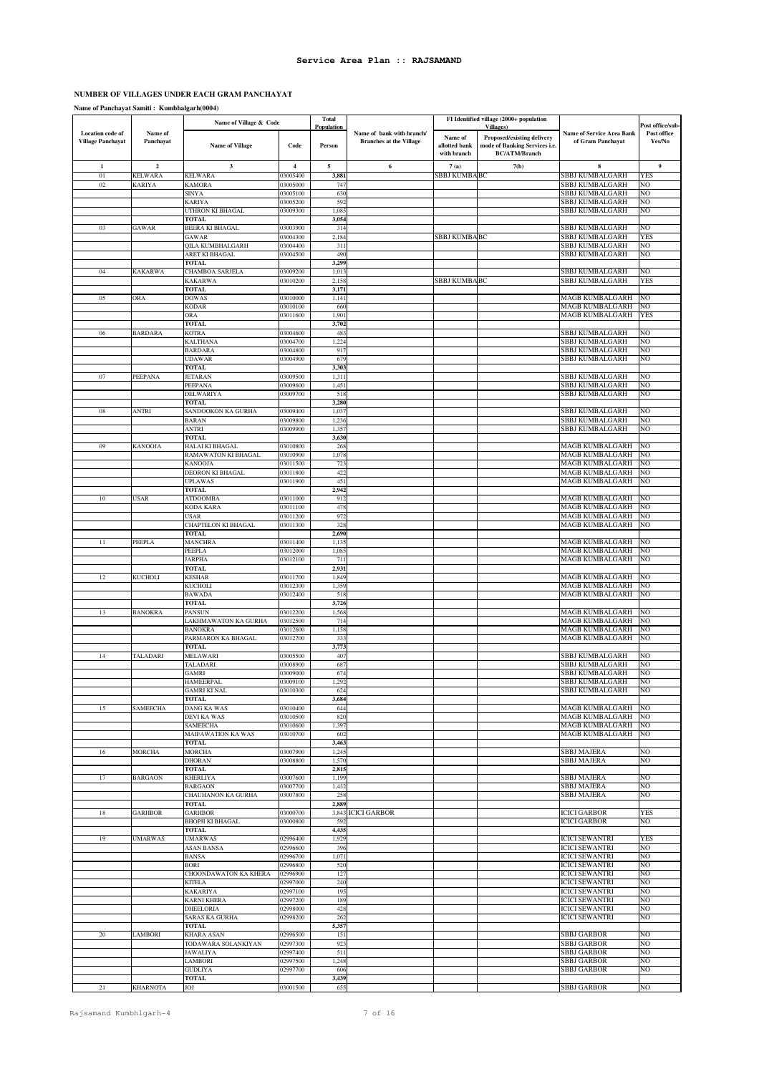# **NUMBER OF VILLAGES UNDER EACH GRAM PANCHAYAT**

**Name of Panchayat Samiti : Kumbhalgarh(0004)**

|                                              |                      | Name of Village & Code                   |                      | <b>Total</b><br>Population |                                                             |                                         | FI Identified village (2000+ population<br><b>Villages</b> )                        |                                                  | Post office/sub-      |
|----------------------------------------------|----------------------|------------------------------------------|----------------------|----------------------------|-------------------------------------------------------------|-----------------------------------------|-------------------------------------------------------------------------------------|--------------------------------------------------|-----------------------|
| Location code of<br><b>Village Panchayat</b> | Name of<br>Panchayat | <b>Name of Village</b>                   | Code                 | Person                     | Name of bank with branch/<br><b>Branches at the Village</b> | Name of<br>allotted bank<br>with branch | Proposed/existing delivery<br>mode of Banking Services i.e.<br><b>BC/ATM/Branch</b> | Name of Service Area Bank<br>of Gram Panchayat   | Post office<br>Yes/No |
| $\mathbf{1}$                                 | $\mathbf{2}$         | $\mathbf{3}$                             | $\overline{4}$       | 5                          | 6                                                           | 7(a)                                    | 7(b)                                                                                | 8                                                | 9                     |
| 01                                           | <b>KELWARA</b>       | <b>KELWARA</b>                           | 03005400             | 3,881                      |                                                             | SBBJ KUMBA BC                           |                                                                                     | SBBJ KUMBALGARH                                  | YES                   |
| 02                                           | <b><i>KARIYA</i></b> | <b>KAMORA</b><br><b>SINYA</b>            | 03005000             | 747<br>630                 |                                                             |                                         |                                                                                     | SBBJ KUMBALGARH                                  | NO<br>NO              |
|                                              |                      | <b>KARIYA</b>                            | 03005100<br>03005200 | 592                        |                                                             |                                         |                                                                                     | SBBJ KUMBALGARH<br>SBBJ KUMBALGARH               | NO                    |
|                                              |                      | UTHRON KI BHAGAL                         | 03009300             | 1,085                      |                                                             |                                         |                                                                                     | SBBJ KUMBALGARH                                  | NO                    |
|                                              |                      | <b>TOTAL</b>                             |                      | 3,054                      |                                                             |                                         |                                                                                     |                                                  |                       |
| 03                                           | GAWAR                | BEERA KI BHAGAL                          | 03003900             | 314                        |                                                             |                                         |                                                                                     | SBBJ KUMBALGARH                                  | NO                    |
|                                              |                      | GAWAR<br>QILA KUMBHALGARH                | 03004300<br>03004400 | 2,184<br>311               |                                                             | <b>SBBJ KUMBABC</b>                     |                                                                                     | SBBJ KUMBALGARH<br>SBBJ KUMBALGARH               | YES<br>NO             |
|                                              |                      | ARET KI BHAGAL                           | 03004500             | 490                        |                                                             |                                         |                                                                                     | SBBJ KUMBALGARH                                  | NO                    |
|                                              |                      | <b>TOTAL</b>                             |                      | 3,299                      |                                                             |                                         |                                                                                     |                                                  |                       |
| 04                                           | KAKARWA              | CHAMBOA SARJELA                          | 03009200             | 1,01                       |                                                             |                                         |                                                                                     | SBBJ KUMBALGARH                                  | NO                    |
|                                              |                      | KAKARWA<br><b>TOTAL</b>                  | 03010200             | 2,158<br>3,171             |                                                             | <b>SBBJ KUMBABC</b>                     |                                                                                     | SBBJ KUMBALGARH                                  | YES                   |
| 05                                           | ORA                  | <b>DOWAS</b>                             | 03010000             | 1,141                      |                                                             |                                         |                                                                                     | MAGB KUMBALGARH                                  | NO                    |
|                                              |                      | KODAR                                    | 03010100             | 660                        |                                                             |                                         |                                                                                     | MAGB KUMBALGARH                                  | NО                    |
|                                              |                      | ORA                                      | 03011600             | 1,901                      |                                                             |                                         |                                                                                     | MAGB KUMBALGARH                                  | YES                   |
| 06                                           | <b>BARDARA</b>       | <b>TOTAL</b><br><b>KOTRA</b>             | 03004600             | 3,702<br>483               |                                                             |                                         |                                                                                     | SBBJ KUMBALGARH                                  | NO                    |
|                                              |                      | <b>KALTHANA</b>                          | 03004700             | 1,224                      |                                                             |                                         |                                                                                     | SBBJ KUMBALGARH                                  | NO                    |
|                                              |                      | <b>BARDARA</b>                           | 03004800             | 917                        |                                                             |                                         |                                                                                     | SBBJ KUMBALGARH                                  | NO                    |
|                                              |                      | <b>UDAWAR</b>                            | 03004900             | 679                        |                                                             |                                         |                                                                                     | SBBJ KUMBALGARH                                  | NO                    |
| 07                                           | PEEPANA              | <b>TOTAL</b><br>JETARAN                  | 03009500             | 3,303<br>1,311             |                                                             |                                         |                                                                                     | SBBJ KUMBALGARH                                  | NO                    |
|                                              |                      | PEEPANA                                  | 03009600             | 1,451                      |                                                             |                                         |                                                                                     | SBBJ KUMBALGARH                                  | NO                    |
|                                              |                      | DELWARIYA                                | 03009700             | 518                        |                                                             |                                         |                                                                                     | SBBJ KUMBALGARH                                  | NO                    |
|                                              |                      | TOTAL                                    |                      | 3,280                      |                                                             |                                         |                                                                                     |                                                  |                       |
| 08                                           | ANTRI                | SANDOOKON KA GURHA<br><b>BARAN</b>       | 03009400<br>03009800 | 1,037<br>1,236             |                                                             |                                         |                                                                                     | SBBJ KUMBALGARH<br>SBBJ KUMBALGARH               | NO<br>NO              |
|                                              |                      | ANTRI                                    | 03009900             | 1,35                       |                                                             |                                         |                                                                                     | SBBJ KUMBALGARH                                  | NO                    |
|                                              |                      | <b>TOTAL</b>                             |                      | 3,630                      |                                                             |                                         |                                                                                     |                                                  |                       |
| 09                                           | KANOOJA              | HALAI KI BHAGAL                          | 03010800             | 268                        |                                                             |                                         |                                                                                     | MAGB KUMBALGARH                                  | NO                    |
|                                              |                      | RAMAWATON KI BHAGAL<br><b>KANOOJA</b>    | 03010900<br>03011500 | 1,078<br>723               |                                                             |                                         |                                                                                     | MAGB KUMBALGARH<br><b>MAGB KUMBALGARH</b>        | NO<br>NO              |
|                                              |                      | DEORON KI BHAGAL                         | 03011800             | 422                        |                                                             |                                         |                                                                                     | <b>MAGB KUMBALGARH</b>                           | NO                    |
|                                              |                      | <b>UPLAWAS</b>                           | 03011900             | 451                        |                                                             |                                         |                                                                                     | MAGB KUMBALGARH                                  | NO                    |
|                                              |                      | <b>TOTAL</b>                             |                      | 2,942                      |                                                             |                                         |                                                                                     |                                                  |                       |
| 10                                           | USAR                 | <b>ATDOOMBA</b>                          | 03011000             | 912                        |                                                             |                                         |                                                                                     | <b>MAGB KUMBALGARH</b>                           | NO<br>NO              |
|                                              |                      | KODA KARA<br>USAR                        | 03011100<br>03011200 | 478<br>972                 |                                                             |                                         |                                                                                     | MAGB KUMBALGARH<br>MAGB KUMBALGARH               | NO                    |
|                                              |                      | CHAPTELON KI BHAGAL                      | 03011300             | 328                        |                                                             |                                         |                                                                                     | <b>MAGB KUMBALGARH</b>                           | NO                    |
|                                              |                      | <b>TOTAL</b>                             |                      | 2,690                      |                                                             |                                         |                                                                                     |                                                  |                       |
| 11                                           | PEEPLA               | <b>MANCHRA</b><br>PEEPLA                 | 03011400<br>03012000 | 1,135<br>1,085             |                                                             |                                         |                                                                                     | MAGB KUMBALGARH<br>MAGB KUMBALGARH               | NO<br>NO              |
|                                              |                      | <b>JARPHA</b>                            | 03012100             | 711                        |                                                             |                                         |                                                                                     | <b>MAGB KUMBALGARH</b>                           | NO                    |
|                                              |                      | <b>TOTAL</b>                             |                      | 2,931                      |                                                             |                                         |                                                                                     |                                                  |                       |
| 12                                           | <b>KUCHOLI</b>       | <b>KESHAR</b>                            | 03011700             | 1,849                      |                                                             |                                         |                                                                                     | MAGB KUMBALGARH                                  | NO                    |
|                                              |                      | <b>KUCHOLI</b>                           | 03012300<br>03012400 | 1,359<br>518               |                                                             |                                         |                                                                                     | MAGB KUMBALGARH<br><b>MAGB KUMBALGARH</b>        | NO<br>NO              |
|                                              |                      | <b>BAWADA</b><br><b>TOTAL</b>            |                      | 3,726                      |                                                             |                                         |                                                                                     |                                                  |                       |
| 13                                           | <b>BANOKRA</b>       | PANSUN                                   | 03012200             | 1,568                      |                                                             |                                         |                                                                                     | MAGB KUMBALGARH                                  | NO                    |
|                                              |                      | LAKHMAWATON KA GURHA                     | 03012500             | 714                        |                                                             |                                         |                                                                                     | <b>MAGB KUMBALGARH</b>                           | NO                    |
|                                              |                      | <b>BANOKRA</b><br>PARMARON KA BHAGAL     | 03012600<br>03012700 | 1,158                      |                                                             |                                         |                                                                                     | MAGB KUMBALGARH<br>MAGB KUMBALGARH               | NO<br>NO              |
|                                              |                      | <b>TOTAL</b>                             |                      | 333<br>3,773               |                                                             |                                         |                                                                                     |                                                  |                       |
| 14                                           | TALADARI             | MELAWARI                                 | 03005500             | 407                        |                                                             |                                         |                                                                                     | SBBJ KUMBALGARH                                  | NO                    |
|                                              |                      | TALADARI                                 | 03008900             | 687                        |                                                             |                                         |                                                                                     | SBBJ KUMBALGARH                                  | NΟ                    |
|                                              |                      | <b>GAMRI</b><br>HAMEERPAL                | 03009000<br>03009100 | 674<br>1,292               |                                                             |                                         |                                                                                     | SBBJ KUMBALGARH<br>SBBJ KUMBALGARH               | NO<br>NO              |
|                                              |                      | <b>GAMRI KI NAL</b>                      | 03010300             | 624                        |                                                             |                                         |                                                                                     | SBBJ KUMBALGARH                                  | NO                    |
|                                              |                      | <b>TOTAL</b>                             |                      | 3,684                      |                                                             |                                         |                                                                                     |                                                  |                       |
| 15                                           | SAMEECHA             | <b>DANG KA WAS</b>                       | 03010400             | 644                        |                                                             |                                         |                                                                                     | <b>MAGB KUMBALGARH</b>                           | NO.                   |
|                                              |                      | DEVI KA WAS<br><b>SAMEECHA</b>           | 03010500<br>03010600 | 820<br>1,397               |                                                             |                                         |                                                                                     | <b>MAGB KUMBALGARH</b><br><b>MAGB KUMBALGARH</b> | NO<br>NO              |
|                                              |                      | MAIFAWATION KA WAS                       | 03010700             | 602                        |                                                             |                                         |                                                                                     | MAGB KUMBALGARH                                  | NO                    |
|                                              |                      | <b>TOTAL</b>                             |                      | 3,463                      |                                                             |                                         |                                                                                     |                                                  |                       |
| 16                                           | <b>MORCHA</b>        | <b>MORCHA</b>                            | 03007900             | 1,245                      |                                                             |                                         |                                                                                     | <b>SBBJ MAJERA</b>                               | NO                    |
|                                              |                      | <b>DHORAN</b><br><b>TOTAL</b>            | 03008800             | 1,570<br>2,815             |                                                             |                                         |                                                                                     | <b>SBBJ MAJERA</b>                               | NO                    |
| 17                                           | <b>BARGAON</b>       | <b>KHERLIYA</b>                          | 03007600             | 1,199                      |                                                             |                                         |                                                                                     | <b>SBBJ MAJERA</b>                               | NO                    |
|                                              |                      | <b>BARGAON</b>                           | 03007700             | 1,432                      |                                                             |                                         |                                                                                     | <b>SBBJ MAJERA</b>                               | NO                    |
|                                              |                      | CHAUHANON KA GURHA<br><b>TOTAL</b>       | 03007800             | 258<br>2,889               |                                                             |                                         |                                                                                     | <b>SBBJ MAJERA</b>                               | NO                    |
| 18                                           | <b>GARHBOR</b>       | <b>GARHBOR</b>                           | 03000700             |                            | 3,843 ICICI GARBOR                                          |                                         |                                                                                     | <b>ICICI GARBOR</b>                              | <b>YES</b>            |
|                                              |                      | <b>BHOPJI KI BHAGAL</b>                  | 03000800             | 592                        |                                                             |                                         |                                                                                     | <b>ICICI GARBOR</b>                              | NO                    |
|                                              |                      | TOTAL                                    |                      | 4,435                      |                                                             |                                         |                                                                                     |                                                  |                       |
| 19                                           | <b>UMARWAS</b>       | UMARWAS<br>ASAN BANSA                    | 02996400<br>02996600 | 1,929<br>396               |                                                             |                                         |                                                                                     | <b>ICICI SEWANTRI</b><br><b>ICICI SEWANTRI</b>   | YES<br>NO             |
|                                              |                      | <b>BANSA</b>                             | 02996700             | 1,071                      |                                                             |                                         |                                                                                     | <b>ICICI SEWANTRI</b>                            | NO                    |
|                                              |                      | <b>BORI</b>                              | 02996800             | 520                        |                                                             |                                         |                                                                                     | <b>ICICI SEWANTRI</b>                            | NO                    |
|                                              |                      | CHOONDAWATON KA KHERA                    | 02996900             | 127                        |                                                             |                                         |                                                                                     | <b>ICICI SEWANTRI</b>                            | NO                    |
|                                              |                      | <b>KITELA</b>                            | 02997000             | 240                        |                                                             |                                         |                                                                                     | <b>ICICI SEWANTRI</b>                            | NO                    |
|                                              |                      | KAKARIYA<br><b>KARNI KHERA</b>           | 02997100<br>02997200 | 195<br>189                 |                                                             |                                         |                                                                                     | <b>ICICI SEWANTRI</b><br><b>ICICI SEWANTRI</b>   | NO<br>NO              |
|                                              |                      | DHEELORIA                                | 02998000             | 428                        |                                                             |                                         |                                                                                     | <b>ICICI SEWANTRI</b>                            | NO                    |
|                                              |                      | <b>SARAS KA GURHA</b>                    | 02998200             | 262                        |                                                             |                                         |                                                                                     | <b>ICICI SEWANTRI</b>                            | NO                    |
|                                              |                      | <b>TOTAL</b>                             |                      | 5,357                      |                                                             |                                         |                                                                                     |                                                  |                       |
| 20                                           | LAMBORI              | <b>KHARA ASAN</b><br>TODAWARA SOLANKIYAN | 02996500<br>02997300 | 151<br>923                 |                                                             |                                         |                                                                                     | <b>SBBJ GARBOR</b><br><b>SBBJ GARBOR</b>         | NO<br>NO              |
|                                              |                      | JAWALIYA                                 | 02997400             | 511                        |                                                             |                                         |                                                                                     | SBBJ GARBOR                                      | NO                    |
|                                              |                      | LAMBORI                                  | 02997500             | 1,248                      |                                                             |                                         |                                                                                     | SBBJ GARBOR                                      | NO                    |
|                                              |                      | <b>GUDLIYA</b><br><b>TOTAL</b>           | 02997700             | 606<br>3,439               |                                                             |                                         |                                                                                     | <b>SBBJ GARBOR</b>                               | NO                    |
| 21                                           | KHARNOTA             | JOJ                                      | 03001500             | 655                        |                                                             |                                         |                                                                                     | <b>SBBJ GARBOR</b>                               | NO                    |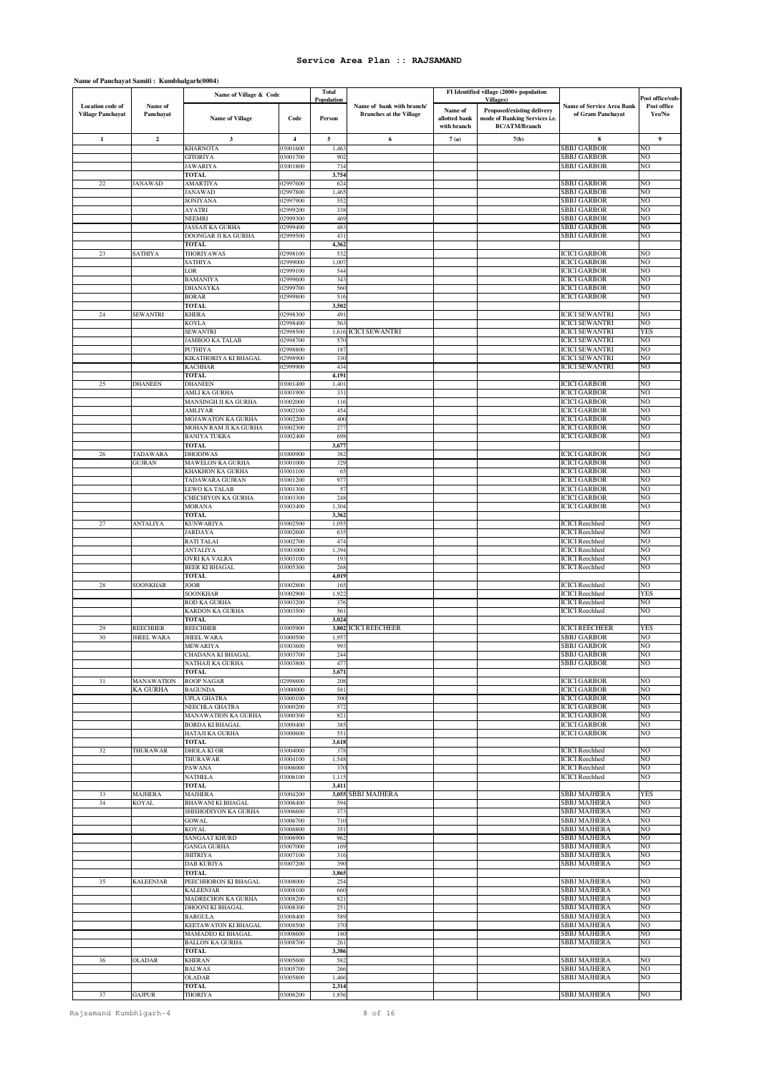#### **Total Population Name of Village Code Person Name of allotted bank with branch Proposed/existing delivery mode of Banking Services i.e. BC/ATM/Branch 1 2 3 4 5 6 7 (a) 7(b) 8 9 Post office/sub-Post office Yes/No Location code of Village Panchayat Name of Panchayat Name of Village & Code Name of bank with branch/ Branches at the Village FI Identified village (2000+ population Villages) Name of Service Area Bank of Gram Panchayat**  KHARNOTA 03001600 1,463 SBBJ GARBOR NO GITORIYA 03001700 902 SBBJ GARBOR NO JAWARIYA 03001800 734 SBBJ GARBOR NO **TOTAL 3,754** 22 JANAWAD AMARTIYA 02997600 624 SBBJ GARBOR NO JANAWAD 02997800 1,465 SBBJ GARBOR NO A A CHARA CHARACTER (1999) (1999) (1999) (1999) (1999) (1999) (1999) (1999) (1999) (1999) (1999) (1999) (1999) (1999) (1999) (1999) (1999) (1999) (1999) (1999) (1999) (1999) (1999) (1999) (1999) (1999) (1999) (1999) (1999) AYATRI 02999200 338 SBBJ GARBOR NO NEEMRI 02999300 469 SBBJ GARBOR NO JASSAJI KA GURHA 02999400 483 SBBJ GARBOR NO ONGAR JI KA GURHA **TOTAL** 4,362<br>
THORIYAWAS 02998100 532<br>
SATHIYA 02999000 1,007 23 SATHIYA THORIYAWAS 02998100 532 ICICI GARBOR NO SATHIYA 02999000 1,007 ICICI GARBOR NO LOR 102999100 544 544 ICICI GARBOR NO BAMANIYA 02999600 343 ICICI GARBOR NO DHANAYKA 02999700 560 ICICI GARBOR NO BORAR 02999800 516 ICICI GARBOR NO **TOTAL** 3,502<br> **EXHERA** 3,502<br> **3,502** 24 SEWANTRI KHERA 02998300 491 ICICI SEWANTRI NO KOYLA 02998400 563 ICICI SEWANTRI NO SEWANTRI 02998500 1,616 ICICI SEWANTRI ICICI SEWANTRI YES JAMBOO KA TALAB 02998700 570 ICICI SEWANTRI NO PUTHIT AND INCREDIBLY THE RESERVANTRI NO. 187 INCREDIBLY AND INCREDIBLY AND INCREDIBLY AND INCREDIBLY AND INCREDIBLY A STATE OF A STATE OF A STATE OF A STATE OF A STATE OF A STATE OF A STATE OF A STATE OF A STATE OF A STAT KIKATHORIYA KI BHAGAL 02998900 330 ICICI SEWANTRI NO KACHHAR 02999900 434 ICICI SEWANTRI NO **TOTAL 4,191**<br>DHANEEN 03001400 1.401 25 DHANEEN DHANEEN 03001400 1,401 ICICI GARBOR NO AMLI KA GURHA 03001900 331 ICICI GARBOR NO MANSINGH JI KA GURHA 03002000 116 ICICI GARBOR NO AMLIYAR 03002100 454 ICICI GARBOR NO MOJAWATON KA GURHA 03002200 400 ICICI GARBOR NO MOHAN RAM JI KA GURHA 03002300 277 ICICI GARBOR NO BANIYA TUKRA 03002400 698 ICICI GARBOR NO **TOTAL 3,677** 26 TADAWARA DHODIWAS 03000900 382 ICICI GARBOR NO GUJRAN MAWELON KA GURHA 03001000 329 ICICI GARBOR NO KHAKHON KA GURHA 03001100 65 ICICI GARBOR NO NIARAN 03001200 977<br>
TADAWARA GUJRAN 03001300 977 ICICI GARBOR NG<br>
ICICI GARBOR NG<br>
CHECHIYON KA GURHA 03003300 248 ICICI GARBOR NG LEWO KA TALAB 03001300 57 ICICI GARBOR NO CHECHIYON KA GURHA 03003300 248 ICICI GARBOR NO MORANA 03003400 1,304 ICICI GARBOR NO **TOTAL 3,36**<br> **3,36**<br> **3,36**<br> **5,300**<br> **5,105** 27 ANTALIYA KUNWARIYA 03002500 1,055 ICICI Reechhed NO JARDAYA 03002600 635 ICICI Reechhed NO RATI TALAI 03002700 474 ICICI Reechhed NO ANTALIYA 03003000 1,394 ICICI Reechhed NO OVRI KA VALRA 03003100 193 ICICI Reechhed NO BEER KI BHAGAL 03005300 268 ICICI Reechhed NO **TOTAL 4,019** 28 SOONKHAR JOOR 03002800 165 ICICI Reechhed NO SOONKHAR 03002900 1,922 ICICI Reechhed YES ROD KA GURHA 03003200 376 ICICI Reechhed NO KARDON KA GURHA 03003500 561 ICICI Reechhed NO **TOTAL 3,024**<br>**TOTAL 3,024** 29 REECHHER REECHHER 03005900 **3,802** ICICI REECHEER ICICI REECHEER YES 30 JHEEL WARA JHEEL WARA 03000500 1,957 SBBJ GARBOR NO MEWARIYA 03003600 993 SBBJ GARBOR NO CHADANA KI BHAGAL 03003700 244 SBBJ GARBOR NO NATHAJI KA GURHA (193003700 244 1) (SBBJ GARBOR NON-NATHAJI KA GURHA (193003800 244 1) (SBBJ GARBOR NON-NATHAJI KA GURHA (193003800 244 1) (SBBJ GARBOR NON-NATHAJI KA GURHA (193003800 2565) (SBBJ GARBOR NON-NATHAJI KA GURH **TOTAL**<br>ROOP NAGAR 31 MANAWATION ROOP NAGAR 02998600 208 ICICI GARBOR NO KA GURHA BAGUNDA 03000000 581 ICICI GARBOR NO UPLA GHATRA 03000100 500 ICICI GARBOR NO NEECHLA GHATRA 03000200 572 ICICI GARBOR NO MANAWATION KA GURHA 03000300 821 821 ICICI GARBOR NORTHA NORTH NORTH STATES OF REAL AND ICICI GARBOR NORTH STATES OF REAL AND ICICI GARBOR NORTH STATES OF REAL AND ICICI GARBOR NORTH STATES OF REAL AND ICICI GARBOR NORTH S BORDA KI BHAGAL 03000400 385 ICICI GARBOR NO HATAJI KA GURHA 03000600 551 ICICI GARBOR NO **TOTAL** 3,618<br> **DHOLA KLOR** (3004000 375 32 THURAWAR DHOLA KI OR 03004000 378 ICICI Reechhed NO THURAWAR 03004100 1,548 1CICI Reechhed NO PAWANA 03006000 370 ICICI Reechhed NO NATHELA 03006100 1,115 ICICI Reechhed NO **TOTAL** 3,411<br> **MAJHERA** 03004200 3,055 33 MAJHERA MAJHERA 03004200 **3,055** SBBJ MAJHERA SBBJ MAJHERA YES 339 KOYAL BHAWANI KI BHAGAL 03006400 594 SBBJ MAJHERA NO SBBJ MAJHERA NO SBBJ MAJHERA NO SBBJ MAJHERA NO SBBJ MAJHERA SHISHODIYON KA GURHA 03006600 37 GOWAL 03006700 710 SBBJ MAJHERA NO KOYAL 03006800 351 SBBJ MAJHERA NO SANGAAT KHURD 03006900 962 SBBJ MAJHERA NO GANGA GURHA 03007000 169 SBBJ MAJHERA NO JHITRIYA 03007100 316 SBBJ MAJHERA NO DAB KURIYA 03007200 390 SBBJ MAJHERA NO **TOTAL 3,86** 35 KALEENJAR PEECHHORON KI BHAGAL 03008000 254 SBBJ MAJHERA NO KALEENJAR 03008100 660 SBBJ MAJHERA NO MADRECHON KA GURHA 03008200 821 SBBJ MAJHERA NO DHOONI KI BHAGAL 03008300 251 SBBJ MAJHERA NO BARGULA 03008400 589 SBBJ MAJHERA NO KEETAWATON KI BHAGAL 03008500 370 SBBJ MAJHERA NO MAMADEO KI BHAGAL 03008600 180 SBBJ MAJHERA NO BALLON KA GURHA 03008700 261 SBBJ MAJHERA NO **TOTAL 3,386** 36 OLADAR KHERAN 03005600 582 SBBJ MAJHERA NO BALWAS 03005700 266 SBBJ MAJHERA NO 03005800 1,466 SBBJ MAJHERA NO<br>
03005800 1,466 SBBJ MAJHERA NO<br>
10TAL 2,314 SBBJ MAJHERA NO  $\frac{1}{2}$ **TOTAL** 37 GAJPUR THORIYA 03006200 1,856 SBBJ MAJHERA NO

**Name of Panchayat Samiti : Kumbhalgarh(0004)**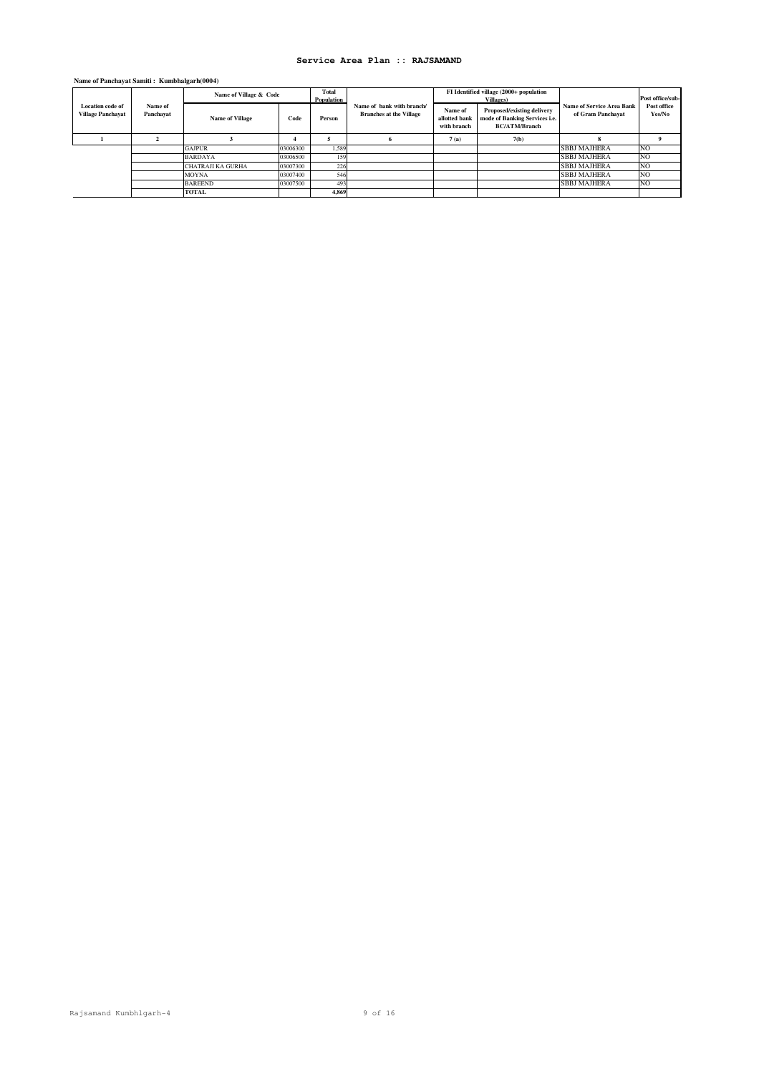# **Name of Panchayat Samiti : Kumbhalgarh(0004)**

|                                                     |                      | Name of Village & Code |          | Total<br>Population |                                                             |                                         | FI Identified village (2000+ population<br><b>Villages</b> )                        |                                                       | Post office/sub-      |
|-----------------------------------------------------|----------------------|------------------------|----------|---------------------|-------------------------------------------------------------|-----------------------------------------|-------------------------------------------------------------------------------------|-------------------------------------------------------|-----------------------|
| <b>Location</b> code of<br><b>Village Panchayat</b> | Name of<br>Panchayat | <b>Name of Village</b> | Code     | Person              | Name of bank with branch/<br><b>Branches at the Village</b> | Name of<br>allotted bank<br>with branch | Proposed/existing delivery<br>mode of Banking Services i.e.<br><b>BC/ATM/Branch</b> | <b>Name of Service Area Bank</b><br>of Gram Panchavat | Post office<br>Yes/No |
|                                                     |                      |                        |          |                     |                                                             | 7(a)                                    | 7(b)                                                                                |                                                       |                       |
|                                                     |                      | <b>GAJPUR</b>          | 03006300 | 1.589               |                                                             |                                         |                                                                                     | <b>SBBJ MAJHERA</b>                                   | N <sub>O</sub>        |
|                                                     |                      | <b>BARDAYA</b>         | 03006500 | 159                 |                                                             |                                         |                                                                                     | <b>SBBJ MAJHERA</b>                                   | N <sub>O</sub>        |
|                                                     |                      | CHATRAJI KA GURHA      | 03007300 | 226                 |                                                             |                                         |                                                                                     | <b>SBBJ MAJHERA</b>                                   | N <sub>O</sub>        |
|                                                     |                      | <b>MOYNA</b>           | 03007400 | 546                 |                                                             |                                         |                                                                                     | <b>SBBJ MAJHERA</b>                                   | NO                    |
|                                                     |                      | <b>BAREEND</b>         | 03007500 | 493                 |                                                             |                                         |                                                                                     | <b>SBBJ MAJHERA</b>                                   | <b>NO</b>             |
|                                                     |                      | <b>TOTAL</b>           |          | 4.869               |                                                             |                                         |                                                                                     |                                                       |                       |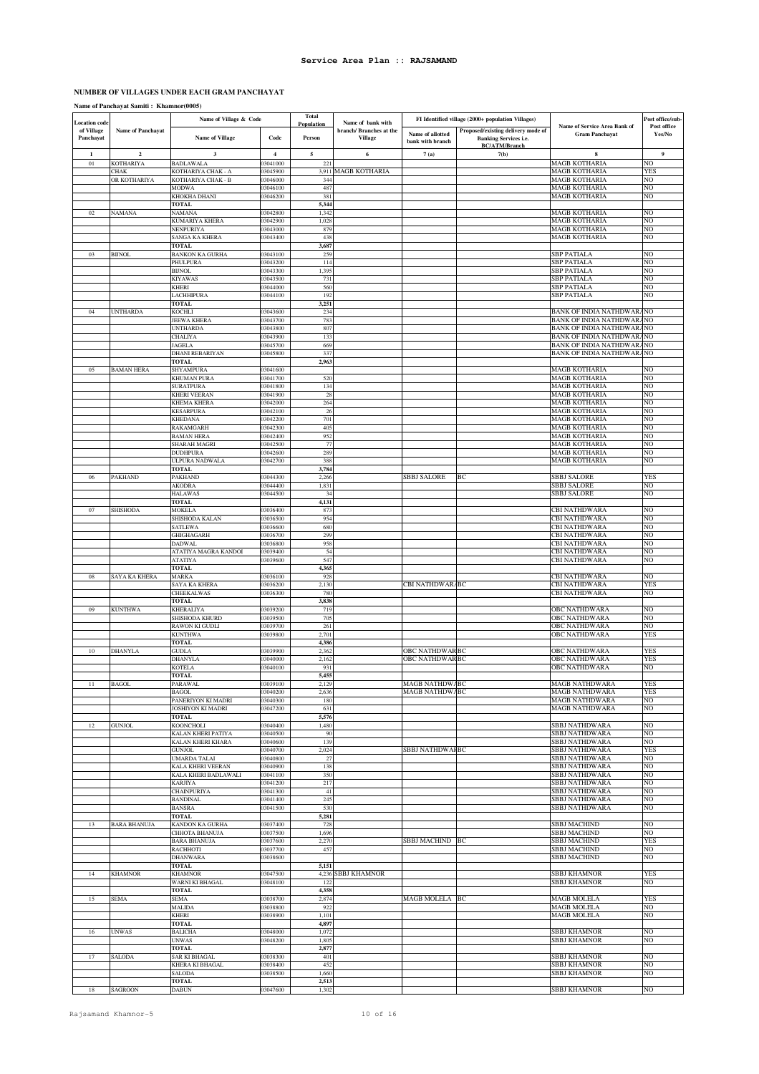### **NUMBER OF VILLAGES UNDER EACH GRAM PANCHAYAT**

### **Name of Panchayat Samiti : Khamnor(0005)**

| <b>Location</b> code    |                         | Name of Village & Code                 |                         | <b>Total</b><br>Population | Name of bank with                         |                                                  | FI Identified village (2000+ population Villages)                  |                                                        | Post office/sub-         |
|-------------------------|-------------------------|----------------------------------------|-------------------------|----------------------------|-------------------------------------------|--------------------------------------------------|--------------------------------------------------------------------|--------------------------------------------------------|--------------------------|
| of Village<br>Panchayat | Name of Panchayat       | <b>Name of Village</b>                 | Code                    | Person                     | branch/ Branches at the<br><b>Village</b> | Name of allotted<br>bank with branch             | Proposed/existing delivery mode of<br><b>Banking Services i.e.</b> | Name of Service Area Bank of<br><b>Gram Panchayat</b>  | Post office<br>Yes/No    |
| 1                       | $\overline{\mathbf{c}}$ | $\mathbf{3}$                           | $\overline{\mathbf{4}}$ | 5                          | 6                                         | 7(a)                                             | <b>BC/ATM/Branch</b><br>7(b)                                       | 8                                                      | 9                        |
| $_{01}$                 | KOTHARIYA               | <b>BADLAWALA</b>                       | 03041000                | 221                        |                                           |                                                  |                                                                    | MAGB KOTHARIA                                          | NO.                      |
|                         | CHAK                    | KOTHARIYA CHAK - A                     | 03045900                | 3,911                      | <b>MAGB KOTHARIA</b>                      |                                                  |                                                                    | MAGB KOTHARIA                                          | <b>YES</b>               |
|                         | OR KOTHARIYA            | KOTHARIYA CHAK - B<br><b>MODWA</b>     | 03046000<br>03046100    | 344<br>487                 |                                           |                                                  |                                                                    | MAGB KOTHARIA<br><b>MAGB KOTHARIA</b>                  | NO<br>NO.                |
|                         |                         | KHOKHA DHANI                           | 03046200                | 381                        |                                           |                                                  |                                                                    | MAGB KOTHARIA                                          | NO                       |
| 02                      |                         | <b>TOTAL</b>                           |                         | 5,344                      |                                           |                                                  |                                                                    |                                                        | NO                       |
|                         | <b>NAMANA</b>           | <b>NAMANA</b><br>KUMARIYA KHERA        | 03042800<br>03042900    | 1,342<br>1,028             |                                           |                                                  |                                                                    | MAGB KOTHARIA<br>MAGB KOTHARIA                         | NO                       |
|                         |                         | NENPURIYA                              | 03043000                | 879                        |                                           |                                                  |                                                                    | <b>MAGB KOTHARIA</b>                                   | NO                       |
|                         |                         | <b>SANGA KA KHERA</b><br>TOTAL         | 03043400                | 438<br>3,687               |                                           |                                                  |                                                                    | MAGB KOTHARIA                                          | NO                       |
| 03                      | <b>BIJNOL</b>           | <b>BANKON KA GURHA</b>                 | 03043100                | 259                        |                                           |                                                  |                                                                    | SBP PATIALA                                            | NO                       |
|                         |                         | PHULPURA                               | 03043200                | 114                        |                                           |                                                  |                                                                    | <b>SBP PATIALA</b>                                     | NO                       |
|                         |                         | <b>BUNOL</b>                           | 03043300<br>03043500    | 1,395<br>731               |                                           |                                                  |                                                                    | SBP PATIALA<br><b>SBP PATIALA</b>                      | NO.<br>NO                |
|                         |                         | <b>KIYAWAS</b><br><b>KHERI</b>         | 03044000                | 560                        |                                           |                                                  |                                                                    | SBP PATIALA                                            | NO                       |
|                         |                         | LACHHIPURA                             | 03044100                | 192                        |                                           |                                                  |                                                                    | <b>SBP PATIALA</b>                                     | NO                       |
| 04                      |                         | <b>TOTAL</b>                           | 03043600                | 3,251                      |                                           |                                                  |                                                                    |                                                        |                          |
|                         | <b>UNTHARDA</b>         | <b>KOCHLI</b><br>JEEWA KHERA           | 03043700                | 234<br>783                 |                                           |                                                  |                                                                    | BANK OF INDIA NATHDWARANO<br>BANK OF INDIA NATHDWARANO |                          |
|                         |                         | UNTHARDA                               | 03043800                | 807                        |                                           |                                                  |                                                                    | BANK OF INDIA NATHDWARANO                              |                          |
|                         |                         | CHALIYA                                | 03043900                | 133                        |                                           |                                                  |                                                                    | BANK OF INDIA NATHDWARANO                              |                          |
|                         |                         | <b>JAGELA</b><br>DHANI REBARIYAN       | 03045700<br>03045800    | 669<br>337                 |                                           |                                                  |                                                                    | BANK OF INDIA NATHDWARANO<br>BANK OF INDIA NATHDWARANO |                          |
|                         |                         | TOTAL                                  |                         | 2,963                      |                                           |                                                  |                                                                    |                                                        |                          |
| 05                      | <b>BAMAN HERA</b>       | SHYAMPURA                              | 03041600                |                            |                                           |                                                  |                                                                    | <b>MAGB KOTHARIA</b>                                   | NO.                      |
|                         |                         | KHUMAN PURA<br><b>SURATPURA</b>        | 03041700<br>03041800    | 520<br>134                 |                                           |                                                  |                                                                    | MAGB KOTHARIA<br>MAGB KOTHARIA                         | NO<br>NO                 |
|                         |                         | KHERI VEERAN                           | 03041900                | 28                         |                                           |                                                  |                                                                    | <b>MAGB KOTHARIA</b>                                   | NO                       |
|                         |                         | KHEMA KHERA                            | 03042000                | 264                        |                                           |                                                  |                                                                    | MAGB KOTHARIA                                          | NO                       |
|                         |                         | <b>KESARPURA</b><br><b>KHEDANA</b>     | 03042100<br>03042200    | 26<br>701                  |                                           |                                                  |                                                                    | <b>MAGB KOTHARIA</b><br><b>MAGB KOTHARIA</b>           | N <sub>O</sub><br>NO.    |
|                         |                         | RAKAMGARH                              | 03042300                | 405                        |                                           |                                                  |                                                                    | MAGB KOTHARIA                                          | NO                       |
|                         |                         | <b>BAMAN HERA</b>                      | 03042400                | 952                        |                                           |                                                  |                                                                    | MAGB KOTHARIA                                          | NO                       |
|                         |                         | SHARAH MAGRI<br><b>DUDHPURA</b>        | 03042500<br>03042600    | 77<br>289                  |                                           |                                                  |                                                                    | <b>MAGB KOTHARIA</b><br>MAGB KOTHARIA                  | NO<br>NO                 |
|                         |                         | ULPURA NADWALA                         | 03042700                | 388                        |                                           |                                                  |                                                                    | MAGB KOTHARIA                                          | NO                       |
|                         |                         | <b>TOTAL</b>                           |                         | 3,784                      |                                           |                                                  |                                                                    |                                                        |                          |
| 06                      | PAKHAND                 | PAKHAND<br>AKODRA                      | 03044300<br>03044400    | 2,266<br>1,831             |                                           | SBBJ SALORE                                      | BC                                                                 | SBBJ SALORE<br><b>SBBJ SALORE</b>                      | <b>YES</b><br>NO         |
|                         |                         | <b>HALAWAS</b>                         | 03044500                | 34                         |                                           |                                                  |                                                                    | <b>SBBJ SALORE</b>                                     | NO                       |
|                         |                         | <b>TOTAL</b>                           |                         | 4,131                      |                                           |                                                  |                                                                    |                                                        |                          |
| 07                      | <b>SHISHODA</b>         | <b>MOKELA</b><br>SHISHODA KALAN        | 03036400<br>03036500    | 873<br>954                 |                                           |                                                  |                                                                    | CBI NATHDWARA<br>CBI NATHDWARA                         | NO<br>NO                 |
|                         |                         | SATLEWA                                | 03036600                | 680                        |                                           |                                                  |                                                                    | CBI NATHDWARA                                          | NO.                      |
|                         |                         | GHIGHAGARH                             | 03036700                | 299                        |                                           |                                                  |                                                                    | CBI NATHDWARA                                          | N <sub>O</sub>           |
|                         |                         | <b>DADWAL</b>                          | 03036800                | 958                        |                                           |                                                  |                                                                    | CBI NATHDWARA                                          | NO                       |
|                         |                         | ATATIYA MAGRA KANDOI<br><b>ATATIYA</b> | 03039400<br>03039600    | 54<br>547                  |                                           |                                                  |                                                                    | CBI NATHDWARA<br>CBI NATHDWARA                         | NO<br>NO                 |
|                         |                         | <b>TOTAL</b>                           |                         | 4,365                      |                                           |                                                  |                                                                    |                                                        |                          |
| 08                      | SAYA KA KHERA           | <b>MARKA</b>                           | 03036100                | 928                        |                                           |                                                  |                                                                    | CBI NATHDWARA                                          | NO.                      |
|                         |                         | SAYA KA KHERA<br>CHEEKALWAS            | 03036200<br>03036300    | 2,130<br>780               |                                           | CBI NATHDWAR/BC                                  |                                                                    | CBI NATHDWARA<br>CBI NATHDWARA                         | <b>YES</b><br>NO         |
|                         |                         | TOTAL                                  |                         | 3,838                      |                                           |                                                  |                                                                    |                                                        |                          |
| 09                      | KUNTHWA                 | KHERALIYA                              | 03039200                | 719                        |                                           |                                                  |                                                                    | OBC NATHDWARA                                          | NO                       |
|                         |                         | SHISHODA KHURD<br>RAWON KI GUDLI       | 03039500<br>03039700    | 705<br>261                 |                                           |                                                  |                                                                    | OBC NATHDWARA<br>OBC NATHDWARA                         | NO<br>NO                 |
|                         |                         | <b>KUNTHWA</b>                         | 03039800                | 2,701                      |                                           |                                                  |                                                                    | OBC NATHDWARA                                          | <b>YES</b>               |
|                         |                         | TOTAL                                  |                         | 4,386                      |                                           |                                                  |                                                                    |                                                        |                          |
| $10\,$                  | <b>DHANYLA</b>          | <b>GUDLA</b><br>DHANYLA                | 03039900<br>03040000    | 2,362<br>2,162             |                                           | <b>OBC NATHDWAR BC</b><br><b>OBC NATHDWAR BC</b> |                                                                    | OBC NATHDWARA<br><b>OBC NATHDWARA</b>                  | <b>YES</b><br>YES        |
|                         |                         | KOTELA                                 | 03040100                | 931                        |                                           |                                                  |                                                                    | OBC NATHDWARA                                          | NO                       |
|                         |                         | <b>TOTAL</b>                           | 03039100                | 5,455                      |                                           |                                                  |                                                                    | <b>MAGR NATHDWARA</b>                                  |                          |
|                         | <b>BAGOL</b>            | PARAWA<br><b>BAGOL</b>                 | 03040200                | 2.129<br>2,636             |                                           | <b>MAGB NATHDWABC</b><br>MAGB NATHDWABC          |                                                                    | MAGB NATHDWARA                                         | <b>YES</b><br><b>YES</b> |
|                         |                         | PANERIYON KI MADRI                     | 03040300                | 180                        |                                           |                                                  |                                                                    | MAGB NATHDWARA                                         | NO                       |
|                         |                         | JOSHIYON KI MADRI                      | 03047200                | 631                        |                                           |                                                  |                                                                    | <b>MAGB NATHDWARA</b>                                  | NO.                      |
| 12                      | <b>GUNJOL</b>           | <b>TOTAL</b><br>KOONCHOLI              | 03040400                | 5,576<br>1,480             |                                           |                                                  |                                                                    | SBBJ NATHDWARA                                         | NO                       |
|                         |                         | KALAN KHERI PATIYA                     | 03040500                | 90                         |                                           |                                                  |                                                                    | <b>SBBJ NATHDWARA</b>                                  | NO.                      |
|                         |                         | KALAN KHERI KHARA                      | 03040600                | 139                        |                                           |                                                  |                                                                    | SBBJ NATHDWARA                                         | NO.                      |
|                         |                         | <b>GUNJOL</b><br>UMARDA TALAI          | 03040700<br>03040800    | 2,024<br>27                |                                           | SBBJ NATHDWAI BC                                 |                                                                    | SBBJ NATHDWARA<br><b>SBBJ NATHDWARA</b>                | <b>YES</b><br>NO.        |
|                         |                         | KALA KHERI VEERAN                      | 03040900                | 138                        |                                           |                                                  |                                                                    | SBBJ NATHDWARA                                         | NO.                      |
|                         |                         | KALA KHERI BADLAWALI                   | 03041100                | 350                        |                                           |                                                  |                                                                    | SBBJ NATHDWARA                                         | NO                       |
|                         |                         | <b>KARJIYA</b><br>CHAINPURIYA          | 03041200<br>03041300    | 217<br>41                  |                                           |                                                  |                                                                    | SBBJ NATHDWARA<br>SBBJ NATHDWARA                       | NO.<br>NO.               |
|                         |                         | <b>BANDINAL</b>                        | 03041400                | 245                        |                                           |                                                  |                                                                    | SBBJ NATHDWARA                                         | NO                       |
|                         |                         | <b>BANSRA</b><br><b>TOTAL</b>          | 03041500                | 530<br>5,281               |                                           |                                                  |                                                                    | SBBJ NATHDWARA                                         | NO                       |
| 13                      | <b>BARA BHANUJA</b>     | KANDON KA GURHA                        | 03037400                | 728                        |                                           |                                                  |                                                                    | SBBJ MACHIND                                           | NO                       |
|                         |                         | CHHOTA BHANUJA                         | 03037500                | 1,696                      |                                           |                                                  |                                                                    | SBBJ MACHIND                                           | NO.                      |
|                         |                         | <b>BARA BHANUJA</b>                    | 03037600                | 2,27<br>457                |                                           | SBBJ MACHIND BC                                  |                                                                    | <b>SBBJ MACHIND</b>                                    | <b>YES</b>               |
|                         |                         | RACHHOTI<br><b>DHANWARA</b>            | 03037700<br>03038600    |                            |                                           |                                                  |                                                                    | SBBJ MACHIND<br>SBBJ MACHIND                           | NO<br>NO.                |
|                         |                         | TOTAL                                  |                         | 5,151                      |                                           |                                                  |                                                                    |                                                        |                          |
| 14                      | <b>KHAMNOR</b>          | <b>KHAMNOR</b>                         | 03047500                | 4,236                      | <b>SBBJ KHAMNOR</b>                       |                                                  |                                                                    | SBBJ KHAMNOR                                           | YES                      |
|                         |                         | WARNI KI BHAGAL<br><b>TOTAL</b>        | 03048100                | 122<br>4,358               |                                           |                                                  |                                                                    | SBBJ KHAMNOR                                           | NO                       |
| 15                      | <b>SEMA</b>             | <b>SEMA</b>                            | 03038700                | 2,874                      |                                           | MAGB MOLELA BC                                   |                                                                    | <b>MAGB MOLELA</b>                                     | <b>YES</b>               |
|                         |                         | <b>MALIDA</b>                          | 03038800                | 922                        |                                           |                                                  |                                                                    | <b>MAGB MOLELA</b>                                     | NO.                      |
|                         |                         | KHERI<br><b>TOTAL</b>                  | 03038900                | 1,101<br>4,897             |                                           |                                                  |                                                                    | <b>MAGB MOLELA</b>                                     | NO                       |
| 16                      | <b>UNWAS</b>            | <b>BALICHA</b>                         | 03048000                | 1,072                      |                                           |                                                  |                                                                    | SBBJ KHAMNOR                                           | NO.                      |
|                         |                         | UNWAS                                  | 03048200                | 1,805                      |                                           |                                                  |                                                                    | <b>SBBJ KHAMNOR</b>                                    | NO.                      |
| 17                      | SALODA                  | TOTAL<br>SAR KI BHAGAL                 | 03038300                | 2,877<br>401               |                                           |                                                  |                                                                    | <b>SBBJ KHAMNOR</b>                                    | NO                       |
|                         |                         | KHERA KI BHAGAL                        | 03038400                | 452                        |                                           |                                                  |                                                                    | <b>SBBJ KHAMNOR</b>                                    | NO                       |
|                         |                         | SALODA                                 | 03038500                | 1,660                      |                                           |                                                  |                                                                    | SBBJ KHAMNOR                                           | NO.                      |
| 18                      | <b>SAGROON</b>          | <b>TOTAL</b><br><b>DABUN</b>           | 03047600                | 2,513<br>1,302             |                                           |                                                  |                                                                    | <b>SBBJ KHAMNOR</b>                                    | NO.                      |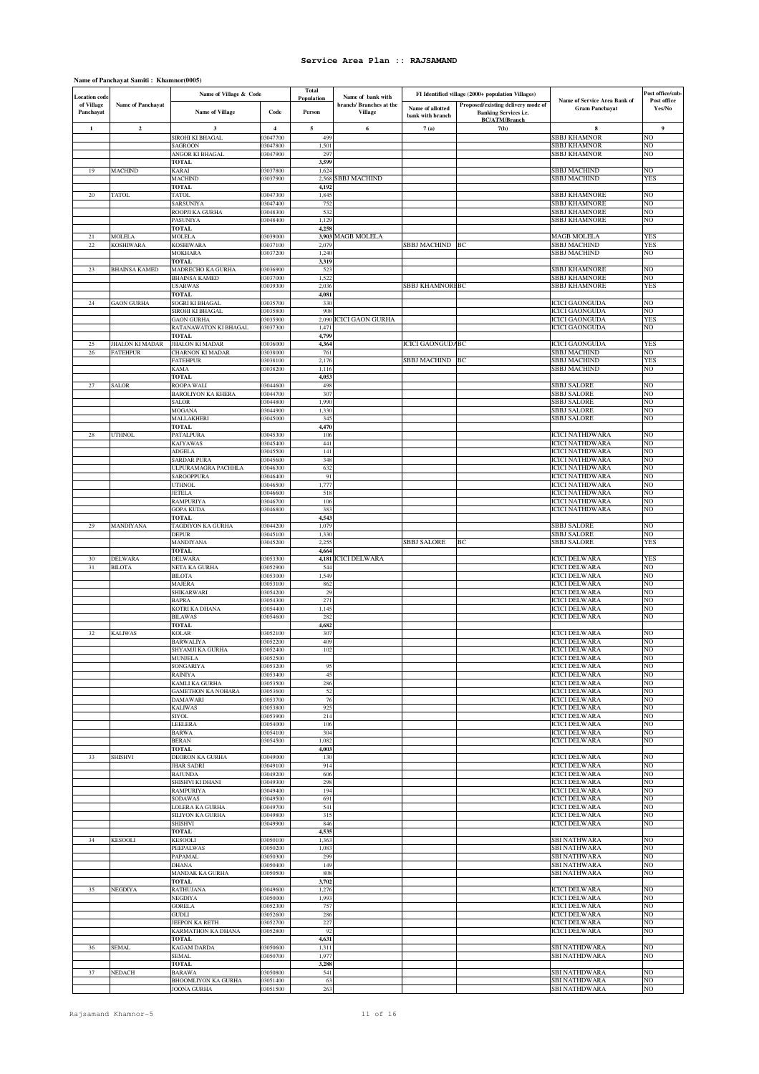### **Name of Panchayat Samiti : Khamnor(0005)**

|                                    |                                 | Name of Village & Code                           |                      | <b>Total</b>   |                                              |                                      | FI Identified village (2000+ population Villages) |                                                  | Post office/sub- |
|------------------------------------|---------------------------------|--------------------------------------------------|----------------------|----------------|----------------------------------------------|--------------------------------------|---------------------------------------------------|--------------------------------------------------|------------------|
| <b>Location</b> code<br>of Village | <b>Name of Panchayat</b>        |                                                  |                      | Population     | Name of bank with<br>branch/ Branches at the |                                      | Proposed/existing delivery mode of                | Name of Service Area Bank of                     | Post office      |
| Panchayat                          |                                 | <b>Name of Village</b>                           | Code                 | Person         | <b>Village</b>                               | Name of allotted<br>bank with branch | <b>Banking Services i.e.</b>                      | <b>Gram Panchayat</b>                            | Yes/No           |
| 1                                  | $\overline{\mathbf{c}}$         | 3                                                | $\overline{4}$       | 5              | 6                                            | 7(a)                                 | <b>BC/ATM/Branch</b><br>7(b)                      | 8                                                | 9                |
|                                    |                                 | SIROHI KI BHAGAL                                 | 03047700             | 499            |                                              |                                      |                                                   | <b>SBBJ KHAMNOR</b>                              | NO               |
|                                    |                                 | SAGROON                                          | 3047800              | 1,501          |                                              |                                      |                                                   | SBBJ KHAMNOR                                     | NO               |
|                                    |                                 | ANGOR KI BHAGAL                                  | 03047900             | 297            |                                              |                                      |                                                   | SBBJ KHAMNOR                                     | NO               |
| 19                                 | <b>MACHIND</b>                  | TOTAL<br><b>SARAI</b>                            | 03037800             | 3,599<br>1,624 |                                              |                                      |                                                   | <b>SBBJ MACHIND</b>                              | NO               |
|                                    |                                 | <b>MACHIND</b>                                   | 03037900             | 2,568          | <b>SBBJ MACHIND</b>                          |                                      |                                                   | SBBJ MACHIND                                     | <b>YES</b>       |
|                                    |                                 | TOTAL                                            |                      | 4,192          |                                              |                                      |                                                   |                                                  |                  |
| 20                                 | <b>TATOL</b>                    | <b>TATOL</b><br>SARSUNIYA                        | 03047300<br>03047400 | 1,845<br>752   |                                              |                                      |                                                   | SBBJ KHAMNORE<br>SBBJ KHAMNORE                   | NO<br>NO         |
|                                    |                                 | ROOPJI KA GURHA                                  | 03048300             | 532            |                                              |                                      |                                                   | SBBJ KHAMNORE                                    | NO               |
|                                    |                                 | PASUNIYA                                         | 3048400              | 1,129          |                                              |                                      |                                                   | SBBJ KHAMNORE                                    | NO               |
| 21                                 | <b>MOLELA</b>                   | <b>FOTAL</b><br>MOLELA                           | 03039000             | 4,258<br>3,903 | <b>MAGB MOLELA</b>                           |                                      |                                                   | <b>MAGB MOLELA</b>                               | YES              |
| $\bf{22}$                          | <b>KOSHIWARA</b>                | KOSHIWARA                                        | 03037100             | 2,079          |                                              | SBBJ MACHIND                         | BC                                                | SBBJ MACHIND                                     | YES              |
|                                    |                                 | <b>MOKHARA</b>                                   | 03037200             | 1,240          |                                              |                                      |                                                   | <b>SBBJ MACHIND</b>                              | NO               |
| 23                                 | <b>BHAINSA KAMED</b>            | <b>TOTAL</b><br>MADRECHO KA GURHA                | 03036900             | 3,319<br>523   |                                              |                                      |                                                   | SBBJ KHAMNORE                                    | NO               |
|                                    |                                 | <b>BHAINSA KAMED</b>                             | 03037000             | 1,52           |                                              |                                      |                                                   | SBBJ KHAMNORE                                    | NO               |
|                                    |                                 | <b>USARWAS</b>                                   | 03039300             | 2,036          |                                              | SBBJ KHAMNORFBC                      |                                                   | SBBJ KHAMNORE                                    | YES              |
| 24                                 | <b>GAON GURHA</b>               | <b>TOTAL</b><br>SOGRI KI BHAGAL                  | 03035700             | 4,081<br>330   |                                              |                                      |                                                   | <b>ICICI GAONGUDA</b>                            | NO               |
|                                    |                                 | SIROHI KI BHAGAL                                 | 03035800             | 908            |                                              |                                      |                                                   | <b>ICICI GAONGUDA</b>                            | NO               |
|                                    |                                 | <b>GAON GURHA</b>                                | 03035900             | 2,090          | <b>ICICI GAON GURHA</b>                      |                                      |                                                   | <b>ICICI GAONGUDA</b>                            | YES              |
|                                    |                                 | RATANAWATON KI BHAGAL<br>TOTAL                   | 3037300              | 1,471<br>4,799 |                                              |                                      |                                                   | <b>ICICI GAONGUDA</b>                            | NO               |
| 25                                 | <b>JHALON KI MADAR</b>          | JHALON KI MADAR                                  | 03036000             | 4,364          |                                              | <b>ICICI GAONGUDA BC</b>             |                                                   | <b>ICICI GAONGUDA</b>                            | YES              |
| 26                                 | <b>FATEHPUR</b>                 | <b>CHARNON KI MADAR</b>                          | 3038000              | 761            |                                              |                                      |                                                   | SBBJ MACHIND                                     | NO               |
|                                    |                                 | <b>FATEHPUR</b><br><b>KAMA</b>                   | 03038100<br>03038200 | 2,176<br>1,116 |                                              | <b>SBBJ MACHIND</b>                  | BC                                                | SBBJ MACHIND<br><b>SBBJ MACHIND</b>              | <b>YES</b><br>NO |
|                                    |                                 | TOTAL                                            |                      | 4,053          |                                              |                                      |                                                   |                                                  |                  |
| $27\,$                             | <b>SALOR</b>                    | ROOPA WALI                                       | 03044600             | 498            |                                              |                                      |                                                   | SBBJ SALORE                                      | NO               |
|                                    |                                 | <b>BAROLIYON KA KHERA</b><br><b>SALOR</b>        | 03044700<br>03044800 | 307<br>1,990   |                                              |                                      |                                                   | SBBJ SALORE<br>SBBJ SALORE                       | NO<br>NO         |
|                                    |                                 | MOGANA                                           | 3044900              | 1,330          |                                              |                                      |                                                   | SBBJ SALORE                                      | NO               |
|                                    |                                 | MALLAKHERI                                       | 03045000             | 345            |                                              |                                      |                                                   | SBBJ SALORE                                      | NO               |
| 28                                 | <b>UTHNOL</b>                   | TOTAL<br>PATALPURA                               | 03045300             | 4,470<br>106   |                                              |                                      |                                                   | <b>ICICI NATHDWARA</b>                           | NO               |
|                                    |                                 | <b>KAJYAWAS</b>                                  | 03045400             | 441            |                                              |                                      |                                                   | <b>ICICI NATHDWARA</b>                           | NO               |
|                                    |                                 | ADGELA                                           | 03045500             | 141            |                                              |                                      |                                                   | <b>ICICI NATHDWARA</b>                           | NO               |
|                                    |                                 | <b>SARDAR PURA</b><br><b>JLPURAMAGRA PACHHLA</b> | 03045600<br>03046300 | 348<br>632     |                                              |                                      |                                                   | <b>ICICI NATHDWARA</b><br><b>ICICI NATHDWARA</b> | NO<br>NO         |
|                                    |                                 | SAROOPPURA                                       | 03046400             | 91             |                                              |                                      |                                                   | <b>ICICI NATHDWARA</b>                           | NO               |
|                                    |                                 | <b>JTHNOL</b>                                    | 03046500             | 1,777          |                                              |                                      |                                                   | <b>ICICI NATHDWARA</b>                           | NO               |
|                                    |                                 | <b>JETELA</b><br><b>RAMPURIYA</b>                | 03046600<br>03046700 | 518<br>106     |                                              |                                      |                                                   | <b>ICICI NATHDWARA</b><br><b>ICICI NATHDWARA</b> | NO<br>NO         |
|                                    |                                 | <b>GOPA KUDA</b>                                 | 03046800             | 383            |                                              |                                      |                                                   | <b>ICICI NATHDWARA</b>                           | NO               |
|                                    |                                 | TOTAL                                            |                      | 4,543          |                                              |                                      |                                                   |                                                  |                  |
| 29                                 | <b>MANDIYANA</b>                | <b><i>TAGDIYON KA GURHA</i></b><br>DEPUR         | 03044200<br>3045100  | 1,079<br>1,330 |                                              |                                      |                                                   | <b>SBBJ SALORE</b><br><b>SBBJ SALORE</b>         | NO<br>NO         |
|                                    |                                 | MANDIYANA                                        | 03045200             | 2,255          |                                              | <b>SBBJ SALORE</b>                   | BС                                                | <b>SBBJ SALORE</b>                               | YES              |
|                                    |                                 | <b>TOTAL</b>                                     |                      | 4,664          |                                              |                                      |                                                   |                                                  |                  |
| 30<br>31                           | <b>DELWARA</b><br><b>BILOTA</b> | DELWARA<br>NETA KA GURHA                         | 3053300<br>03052900  | 544            | 4,181 ICICI DELWARA                          |                                      |                                                   | <b>ICICI DELWARA</b><br><b>ICICI DELWARA</b>     | <b>YES</b><br>NO |
|                                    |                                 | <b>BILOTA</b>                                    | 03053000             | 1,549          |                                              |                                      |                                                   | <b>ICICI DELWARA</b>                             | NO               |
|                                    |                                 | MAJERA                                           | 03053100             | 862            |                                              |                                      |                                                   | <b>ICICI DELWARA</b>                             | NO               |
|                                    |                                 | SHIKARWARI<br><b>BAPRA</b>                       | 03054200<br>03054300 | 29<br>271      |                                              |                                      |                                                   | <b>ICICI DELWARA</b><br><b>ICICI DELWARA</b>     | NO<br>NO         |
|                                    |                                 | KOTRI KA DHANA                                   | 03054400             | 1,145          |                                              |                                      |                                                   | <b>ICICI DELWARA</b>                             | NO               |
|                                    |                                 | <b>BILAWAS</b>                                   | 03054600             | 282            |                                              |                                      |                                                   | <b>ICICI DELWARA</b>                             | NO               |
| 32                                 | <b>KALIWAS</b>                  | <b>TOTAL</b><br><b>COLAR</b>                     | 3052100              | 4,682<br>307   |                                              |                                      |                                                   | <b>ICICI DELWARA</b>                             | NO               |
|                                    |                                 | <b>BARWALIYA</b>                                 | 3052200              | 409            |                                              |                                      |                                                   | <b>ICICI DELWARA</b>                             | NO               |
|                                    |                                 | SHYAMJI KA GURHA                                 | 03052400             | 102            |                                              |                                      |                                                   | <b>ICICI DELWARA</b>                             | NO               |
|                                    |                                 | MUNIELA<br>SONGARIYA                             | 03052500<br>03053200 | 95             |                                              |                                      |                                                   | <b>ICICI DELWARA</b><br><b>ICICI DELWARA</b>     | NO<br>NO         |
|                                    |                                 | <b>RAINIYA</b>                                   | 03053400             | 45             |                                              |                                      |                                                   | <b>ICICI DELWARA</b>                             | NO               |
|                                    |                                 | KAMLI KA GURHA                                   | 03053500             | 286            |                                              |                                      |                                                   | <b>ICICI DELWARA</b>                             | NO               |
|                                    |                                 | GAMETHON KA NOHARA<br><b>DAMAWARI</b>            | 03053600<br>03053700 | 52<br>76       |                                              |                                      |                                                   | <b>ICICI DELWARA</b><br><b>ICICI DELWARA</b>     | NO<br>NO         |
|                                    |                                 | <b>KALIWAS</b>                                   | 03053800             | 925            |                                              |                                      |                                                   | <b>ICICI DELWARA</b>                             | NO               |
|                                    |                                 | SIYOL                                            | 03053900             | 214            |                                              |                                      |                                                   | <b>ICICI DELWARA</b>                             | NO               |
|                                    |                                 | LEELERA<br><b>BARWA</b>                          | 03054000<br>03054100 | 106<br>304     |                                              |                                      |                                                   | <b>ICICI DELWARA</b><br><b>ICICI DELWARA</b>     | NO<br>NO         |
|                                    |                                 | <b>BERAN</b>                                     | 03054500             | 1,082          |                                              |                                      |                                                   | <b>ICICI DELWARA</b>                             | NO               |
|                                    |                                 | <b>TOTAL</b>                                     |                      | 4,003          |                                              |                                      |                                                   |                                                  |                  |
| 33                                 | <b>SHISHVI</b>                  | DEORON KA GURHA<br>JHAR SADRI                    | 03049000<br>03049100 | 130<br>914     |                                              |                                      |                                                   | <b>ICICI DELWARA</b><br><b>ICICI DELWARA</b>     | NO<br>NO         |
|                                    |                                 | <b>BAJUNDA</b>                                   | 03049200             | 606            |                                              |                                      |                                                   | <b>ICICI DELWARA</b>                             | NO               |
|                                    |                                 | SHISHVI KI DHANI                                 | 03049300             | 298            |                                              |                                      |                                                   | <b>ICICI DELWARA</b>                             | NO               |
|                                    |                                 | RAMPURIYA<br><b>SODAWAS</b>                      | 03049400<br>03049500 | 194<br>691     |                                              |                                      |                                                   | <b>ICICI DELWARA</b><br><b>ICICI DELWARA</b>     | NO<br>NO         |
|                                    |                                 | LOLERA KA GURHA                                  | 03049700             | 541            |                                              |                                      |                                                   | <b>ICICI DELWARA</b>                             | NO               |
|                                    |                                 | <b>SILIYON KA GURHA</b>                          | 03049800             | 315            |                                              |                                      |                                                   | <b>ICICI DELWARA</b>                             | NO               |
|                                    |                                 | <b>SHISHVI</b><br><b>TOTAL</b>                   | 03049900             | 846<br>4,535   |                                              |                                      |                                                   | <b>ICICI DELWARA</b>                             | NO               |
| 34                                 | <b>KESOOLI</b>                  | KESOOLI                                          | 03050100             | 1,363          |                                              |                                      |                                                   | <b>SBI NATHWARA</b>                              | NO               |
|                                    |                                 | <b>PEEPALWAS</b>                                 | 03050200             | 1,083          |                                              |                                      |                                                   | SBI NATHWARA                                     | NO               |
|                                    |                                 | PAPAMAL<br><b>DHANA</b>                          | 03050300<br>03050400 | 299<br>149     |                                              |                                      |                                                   | <b>SBI NATHWARA</b><br><b>SBI NATHWARA</b>       | NO<br>NO         |
|                                    |                                 | MANDAK KA GURHA                                  | 03050500             | 808            |                                              |                                      |                                                   | <b>SBI NATHWARA</b>                              | NO               |
|                                    |                                 | TOTAL                                            |                      | 3,702          |                                              |                                      |                                                   |                                                  |                  |
| 35                                 | <b>NEGDIYA</b>                  | RATHUJANA<br>NEGDIYA                             | 03049600<br>03050000 | 1,276<br>1,993 |                                              |                                      |                                                   | <b>ICICI DELWARA</b><br><b>ICICI DELWARA</b>     | NO<br>NO         |
|                                    |                                 | GORELA                                           | 03052300             | 757            |                                              |                                      |                                                   | <b>ICICI DELWARA</b>                             | NO               |
|                                    |                                 | GUDLI                                            | 03052600             | 286            |                                              |                                      |                                                   | <b>ICICI DELWARA</b>                             | NO               |
|                                    |                                 | JEEPON KA RETH<br>KARMATHON KA DHANA             | 03052700<br>03052800 | 227<br>92      |                                              |                                      |                                                   | <b>ICICI DELWARA</b><br><b>ICICI DELWARA</b>     | NO<br>NO         |
|                                    |                                 | <b>TOTAL</b>                                     |                      | 4,631          |                                              |                                      |                                                   |                                                  |                  |
| 36                                 | <b>SEMAL</b>                    | KAGAM DARDA                                      | 03050600             | 1,311          |                                              |                                      |                                                   | SBI NATHDWARA                                    | NO               |
|                                    |                                 | SEMAL<br><b>TOTAL</b>                            | 03050700             | 1,977<br>3,288 |                                              |                                      |                                                   | <b>SBI NATHDWARA</b>                             | NO               |
| 37                                 | <b>NEDACH</b>                   | <b>BARAWA</b>                                    | 03050800             | 541            |                                              |                                      |                                                   | SBI NATHDWARA                                    | NO               |
|                                    |                                 | <b>BHOOMLIYON KA GURHA</b>                       | 03051400             | 63             |                                              |                                      |                                                   | <b>SBI NATHDWARA</b>                             | NO               |
|                                    |                                 | JOONA GURHA                                      | 03051500             | 263            |                                              |                                      |                                                   | SBI NATHDWARA                                    | NO               |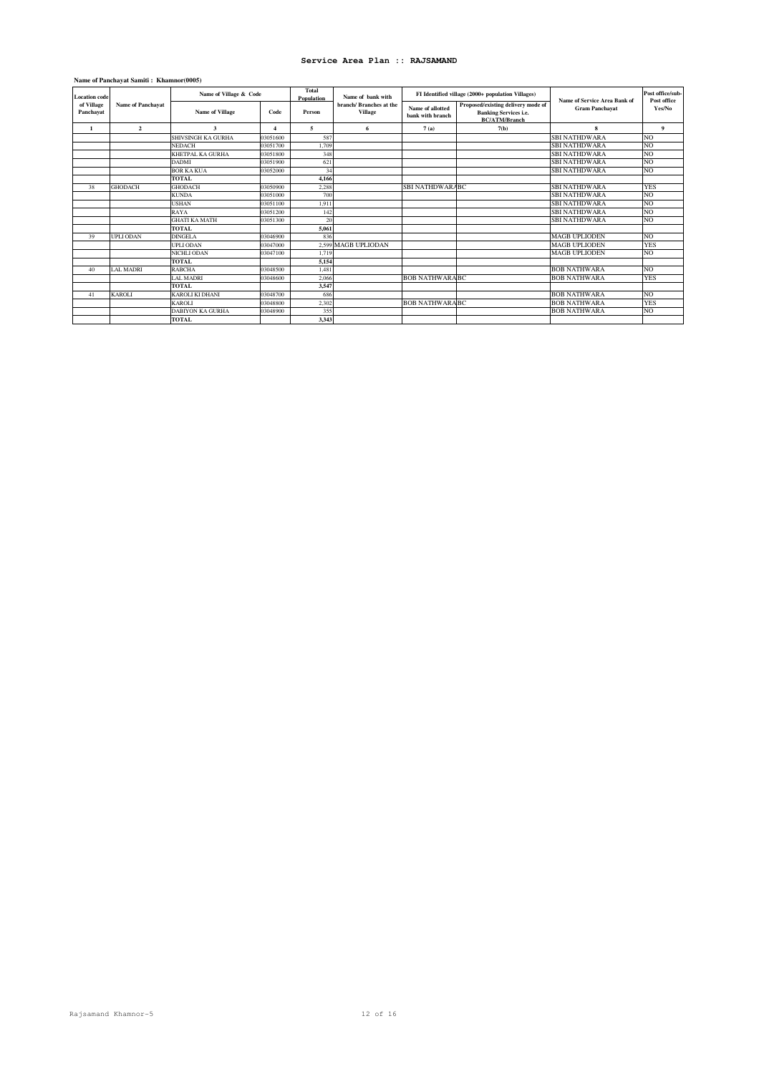## **Name of Panchayat Samiti : Khamnor(0005)**

| <b>Location</b> code    |                   | Name of Village & Code  |                         | Total<br><b>Population</b> | Name of hank with                         |                                      | FI Identified village (2000+ population Villages)                                          | Name of Service Area Bank of | Post office/sub-<br>Post office |
|-------------------------|-------------------|-------------------------|-------------------------|----------------------------|-------------------------------------------|--------------------------------------|--------------------------------------------------------------------------------------------|------------------------------|---------------------------------|
| of Village<br>Panchayat | Name of Panchayat | <b>Name of Village</b>  | Code                    | Person                     | branch/ Branches at the<br><b>Village</b> | Name of allotted<br>bank with branch | Proposed/existing delivery mode of<br><b>Banking Services i.e.</b><br><b>BC/ATM/Branch</b> | <b>Gram Panchayat</b>        | Yes/No                          |
| $\mathbf{1}$            | $\overline{2}$    | 3                       | $\overline{\mathbf{4}}$ | 5                          | 6                                         | 7(a)                                 | 7(b)                                                                                       | 8                            | 9                               |
|                         |                   | SHIVSINGH KA GURHA      | 03051600                | 587                        |                                           |                                      |                                                                                            | <b>SBI NATHDWARA</b>         | NO                              |
|                         |                   | <b>NEDACH</b>           | 03051700                | 1,709                      |                                           |                                      |                                                                                            | <b>SBI NATHDWARA</b>         | NO.                             |
|                         |                   | <b>KHETPAL KA GURHA</b> | 03051800                | 348                        |                                           |                                      |                                                                                            | <b>SBI NATHDWARA</b>         | NO                              |
|                         |                   | <b>DADMI</b>            | 03051900                | 621                        |                                           |                                      |                                                                                            | <b>SBI NATHDWARA</b>         | N <sub>O</sub>                  |
|                         |                   | <b>BOR KA KUA</b>       | 03052000                | 34                         |                                           |                                      |                                                                                            | <b>SBI NATHDWARA</b>         | NO                              |
|                         |                   | <b>TOTAL</b>            |                         | 4.166                      |                                           |                                      |                                                                                            |                              |                                 |
| 38                      | <b>GHODACH</b>    | <b>GHODACH</b>          | 03050900                | 2,288                      |                                           | <b>SBI NATHDWARABC</b>               |                                                                                            | <b>SBI NATHDWARA</b>         | <b>YES</b>                      |
|                         |                   | <b>KUNDA</b>            | 03051000                | 700                        |                                           |                                      |                                                                                            | <b>SBI NATHDWARA</b>         | NO                              |
|                         |                   | <b>USHAN</b>            | 03051100                | 1.911                      |                                           |                                      |                                                                                            | <b>SBI NATHDWARA</b>         | NO.                             |
|                         |                   | RAYA                    | 03051200                | 142                        |                                           |                                      |                                                                                            | <b>SBI NATHDWARA</b>         | NO.                             |
|                         |                   | <b>GHATI KA MATH</b>    | 03051300                | 20                         |                                           |                                      |                                                                                            | <b>SBI NATHDWARA</b>         | NO                              |
|                         |                   | <b>TOTAL</b>            |                         | 5,061                      |                                           |                                      |                                                                                            |                              |                                 |
| 39                      | <b>UPLI ODAN</b>  | <b>DINGELA</b>          | 03046900                | 836                        |                                           |                                      |                                                                                            | <b>MAGB UPLIODEN</b>         | NO.                             |
|                         |                   | <b>UPLI ODAN</b>        | 03047000                |                            | 2.599 MAGB UPLIODAN                       |                                      |                                                                                            | <b>MAGB UPLIODEN</b>         | <b>YES</b>                      |
|                         |                   | <b>NICHLI ODAN</b>      | 03047100                | 1.719                      |                                           |                                      |                                                                                            | <b>MAGB UPLIODEN</b>         | NO                              |
|                         |                   | <b>TOTAL</b>            |                         | 5.154                      |                                           |                                      |                                                                                            |                              |                                 |
| 40                      | <b>LAL MADRI</b>  | <b>RABCHA</b>           | 03048500                | 1,481                      |                                           |                                      |                                                                                            | <b>BOB NATHWARA</b>          | NO.                             |
|                         |                   | <b>LAL MADRI</b>        | 03048600                | 2,066                      |                                           | <b>BOB NATHWARA BC</b>               |                                                                                            | <b>BOB NATHWARA</b>          | <b>YES</b>                      |
|                         |                   | <b>TOTAL</b>            |                         | 3,547                      |                                           |                                      |                                                                                            |                              |                                 |
| 41                      | <b>KAROLI</b>     | <b>KAROLI KI DHANI</b>  | 03048700                | 686                        |                                           |                                      |                                                                                            | <b>BOB NATHWARA</b>          | N <sub>O</sub>                  |
|                         |                   | <b>KAROLI</b>           | 03048800                | 2.302                      |                                           | <b>BOB NATHWARA BC</b>               |                                                                                            | <b>BOB NATHWARA</b>          | <b>YES</b>                      |
|                         |                   | <b>DABIYON KA GURHA</b> | 03048900                | 355                        |                                           |                                      |                                                                                            | <b>BOB NATHWARA</b>          | NO                              |
|                         |                   | <b>TOTAL</b>            |                         | 3,343                      |                                           |                                      |                                                                                            |                              |                                 |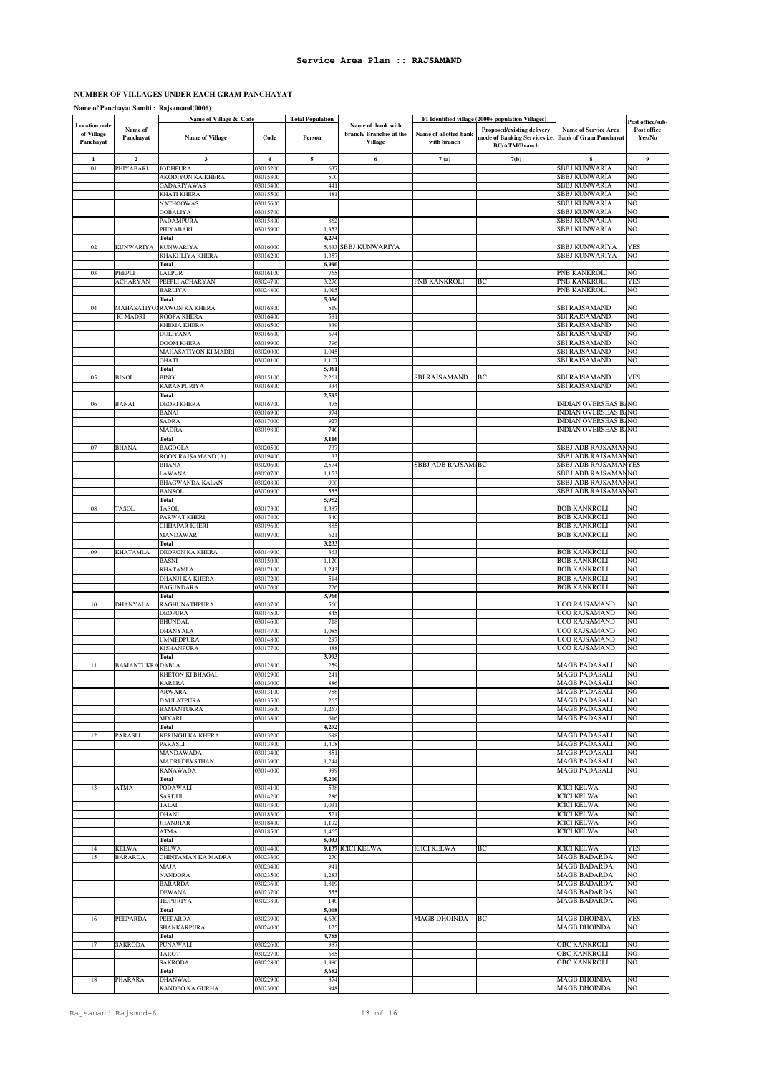# **NUMBER OF VILLAGES UNDER EACH GRAM PANCHAYAT**

# **Name of Panchayat Samiti : Rajsamand(0006)**

|                                    |                         | Name of Village & Code             |                      | <b>Total Population</b> | Name of bank with       |                       | FI Identified village (2000+ population Villages) |                                              | Post office/sub- |
|------------------------------------|-------------------------|------------------------------------|----------------------|-------------------------|-------------------------|-----------------------|---------------------------------------------------|----------------------------------------------|------------------|
| <b>Location</b> code<br>of Village | Name of                 |                                    |                      |                         | branch/ Branches at the | Name of allotted bank | Proposed/existing delivery                        | Name of Service Area                         | Post office      |
| Panchayat                          | Panchayat               | <b>Name of Village</b>             | Code                 | Person                  | Village                 | with branch           | mode of Banking Services i.e.                     | <b>Bank of Gram Panchayat</b>                | Yes/No           |
|                                    |                         |                                    |                      |                         |                         |                       | <b>BC/ATM/Branch</b>                              |                                              |                  |
| $\mathbf{1}$                       | $\overline{\mathbf{2}}$ | 3                                  | $\overline{4}$       | $\sqrt{5}$              | 6                       | 7(a)                  | 7(b)                                              | 8                                            | $\boldsymbol{9}$ |
| 01                                 | PHIYABARI               | <b>JODHPURA</b>                    | 03015200             | 637                     |                         |                       |                                                   | SBBJ KUNWARIA                                | NO               |
|                                    |                         | AKODIYON KA KHERA                  | 03015300             | 500                     |                         |                       |                                                   | SBBJ KUNWARIA                                | NO               |
|                                    |                         | <b>GADARIYAWAS</b>                 | 03015400             | 441                     |                         |                       |                                                   | SBBJ KUNWARIA                                | NO               |
|                                    |                         | <b>KHATI KHERA</b>                 | 03015500             | 481                     |                         |                       |                                                   | SBBJ KUNWARIA                                | NO               |
|                                    |                         | <b>NATHOOWAS</b>                   | 03015600             |                         |                         |                       |                                                   | SBBJ KUNWARIA                                | NO               |
|                                    |                         | <b>GOBALIYA</b>                    | 03015700             |                         |                         |                       |                                                   | SBBJ KUNWARIA                                | NO               |
|                                    |                         | PADAMPURA                          | 03015800             | 862                     |                         |                       |                                                   | SBBJ KUNWARIA                                | NO               |
|                                    |                         | PHIYABARI<br>Total                 | 03015900             | 1,353<br>4,274          |                         |                       |                                                   | SBBJ KUNWARIA                                | NO               |
| $02\,$                             | <b>KUNWARIYA</b>        | <b>KUNWARIYA</b>                   | 03016000             | 5,633                   | <b>SBBJ KUNWARIYA</b>   |                       |                                                   | SBBJ KUNWARIYA                               | <b>YES</b>       |
|                                    |                         | <b>KHAKHLIYA KHERA</b>             | 03016200             | 1,357                   |                         |                       |                                                   | SBBJ KUNWARIYA                               | NO               |
|                                    |                         | Total                              |                      | 6,990                   |                         |                       |                                                   |                                              |                  |
| 03                                 | PEEPLI                  | LALPUR                             | 3016100              | 765                     |                         |                       |                                                   | PNB KANKROLI                                 | NO               |
|                                    | <b>ACHARYAN</b>         | PEEPLI ACHARYAN                    | 03024700             | 3,276                   |                         | PNB KANKROLI          | BС                                                | PNB KANKROLI                                 | <b>YES</b>       |
|                                    |                         | <b>BARLIYA</b>                     | 03024800             | 1,015                   |                         |                       |                                                   | PNB KANKROLI                                 | NO               |
|                                    |                         | Total                              |                      | 5,056                   |                         |                       |                                                   |                                              |                  |
| 04                                 | <b>MAHASATIYO</b>       | <b>RAWON KA KHERA</b>              | 03016300             | 519                     |                         |                       |                                                   | SBI RAJSAMAND                                | NO               |
|                                    | <b>KI MADRI</b>         | ROOPA KHERA                        | 03016400             | 581                     |                         |                       |                                                   | SBI RAJSAMAND                                | NO               |
|                                    |                         | <b>KHEMA KHERA</b>                 | 03016500             | 339                     |                         |                       |                                                   | SBI RAJSAMAND                                | NO               |
|                                    |                         | <b>DULIYANA</b>                    | 03016600             | 674                     |                         |                       |                                                   | SBI RAJSAMAND                                | NO               |
|                                    |                         | <b>DOOM KHERA</b>                  | 03019900             | 796                     |                         |                       |                                                   | SBI RAJSAMAND                                | NO               |
|                                    |                         | MAHASATIYON KI MADRI               | 03020000             | 1,045                   |                         |                       |                                                   | SBI RAJSAMAND                                | NO               |
|                                    |                         | <b>GHATI</b>                       | 03020100             | 1,107                   |                         |                       |                                                   | <b>SBI RAJSAMAND</b>                         | NO               |
|                                    |                         | <b>Total</b>                       |                      | 5,061                   |                         |                       |                                                   |                                              |                  |
| 05                                 | <b>BINOL</b>            | <b>BINOL</b>                       | 03015100             | 2,261                   |                         | <b>SBI RAJSAMAND</b>  | BС                                                | SBI RAJSAMAND                                | YES<br>NO        |
|                                    |                         | <b>KARANPURIYA</b>                 | 03016800             | 334                     |                         |                       |                                                   | <b>SBI RAJSAMAND</b>                         |                  |
|                                    |                         | Total                              |                      | 2,59.                   |                         |                       |                                                   |                                              |                  |
| 06                                 | BANAI                   | <b>DEORI KHERA</b><br><b>BANAI</b> | 03016700<br>03016900 | 475<br>974              |                         |                       |                                                   | INDIAN OVERSEAS BANO<br>INDIAN OVERSEAS BANO |                  |
|                                    |                         | <b>SADRA</b>                       | 03017000             | 927                     |                         |                       |                                                   | <b>INDIAN OVERSEAS BANO</b>                  |                  |
|                                    |                         | <b>MADRA</b>                       | 03019800             | 740                     |                         |                       |                                                   | INDIAN OVERSEAS BANO                         |                  |
|                                    |                         | <b>Total</b>                       |                      | 3,116                   |                         |                       |                                                   |                                              |                  |
| 07                                 | <b>BHANA</b>            | <b>BAGDOLA</b>                     | 03020500             | 737                     |                         |                       |                                                   | SBBJ ADB RAJSAMANNO                          |                  |
|                                    |                         | ROON RAJSAMAND (A)                 | 03019400             | 3 <sup>2</sup>          |                         |                       |                                                   | SBBJ ADB RAJSAMANNO                          |                  |
|                                    |                         | <b>BHANA</b>                       | 03020600             | 2,574                   |                         | SBBJ ADB RAJSAM BC    |                                                   | SBBJ ADB RAJSAMANYES                         |                  |
|                                    |                         | LAWANA                             | 03020700             | 1,153                   |                         |                       |                                                   | SBBJ ADB RAJSAMANNO                          |                  |
|                                    |                         | <b>BHAGWANDA KALAN</b>             | 03020800             | 900                     |                         |                       |                                                   | SBBJ ADB RAJSAMANNO                          |                  |
|                                    |                         | <b>BANSOL</b>                      | 03020900             | 555                     |                         |                       |                                                   | SBBJ ADB RAJSAMANNO                          |                  |
|                                    |                         | <b>Total</b>                       |                      | 5,952                   |                         |                       |                                                   |                                              |                  |
| 08                                 | TASOL                   | TASOL                              | 03017300             | 1,38'                   |                         |                       |                                                   | <b>BOB KANKROLI</b>                          | NO               |
|                                    |                         | PARWAT KHERI                       | 03017400             | 340                     |                         |                       |                                                   | <b>BOB KANKROLI</b>                          | NO               |
|                                    |                         | CHHAPAR KHERI                      | 03019600             | 885                     |                         |                       |                                                   | <b>BOB KANKROLI</b>                          | NO               |
|                                    |                         | MANDAWAR                           | 03019700             | 621                     |                         |                       |                                                   | <b>BOB KANKROLI</b>                          | NO               |
|                                    |                         | <b>Total</b>                       |                      | 3,233                   |                         |                       |                                                   |                                              |                  |
| 09                                 | KHATAMLA                | DEORON KA KHERA                    | 03014900             | 363                     |                         |                       |                                                   | <b>BOB KANKROLI</b>                          | NO               |
|                                    |                         | <b>BASNI</b>                       | 03015000             | 1,120                   |                         |                       |                                                   | <b>BOB KANKROLI</b>                          | NO               |
|                                    |                         | <b>KHATAMLA</b>                    | 03017100<br>03017200 | 1,243<br>514            |                         |                       |                                                   | <b>BOB KANKROLI</b><br><b>BOB KANKROLI</b>   | NO<br>NO         |
|                                    |                         | DHANJI KA KHERA                    |                      |                         |                         |                       |                                                   |                                              |                  |
|                                    |                         | <b>BAGUNDARA</b><br><b>Total</b>   | 03017600             | 726<br>3,966            |                         |                       |                                                   | <b>BOB KANKROLI</b>                          | NO               |
| 10                                 | DHANYALA                | RAGHUNATHPURA                      | 03013700             | 560                     |                         |                       |                                                   | UCO RAJSAMAND                                | NO               |
|                                    |                         | <b>DEOPURA</b>                     | 3014500              | 845                     |                         |                       |                                                   | UCO RAJSAMAND                                | NO               |
|                                    |                         | <b>BHUNDAL</b>                     | 03014600             | 718                     |                         |                       |                                                   | UCO RAJSAMAND                                | NO               |
|                                    |                         | <b>DHANYALA</b>                    | 03014700             | 1,085                   |                         |                       |                                                   | UCO RAJSAMAND                                | NO               |
|                                    |                         | <b>UMMEDPURA</b>                   | 03014800             | 297                     |                         |                       |                                                   | UCO RAJSAMAND                                | NO               |
|                                    |                         | <b>KISHANPURA</b>                  | 03017700             | 488                     |                         |                       |                                                   | UCO RAJSAMAND                                | NO               |
|                                    |                         | <b>Total</b>                       |                      | 3,993                   |                         |                       |                                                   |                                              |                  |
| 11                                 | <b>BAMANTUKR</b>        | <b>DABLA</b>                       | 03012800             | 259                     |                         |                       |                                                   | <b>MAGB PADASALI</b>                         | NO               |
|                                    |                         | KHETON KI BHAGAL                   | 03012900             | 241                     |                         |                       |                                                   | <b>MAGB PADASALI</b>                         | NO               |
|                                    |                         | <b>KARERA</b>                      | 03013000             | 886                     |                         |                       |                                                   | <b>MAGB PADASALI</b>                         | NO               |
|                                    |                         | <b>ARWARA</b>                      | 03013100             | 758                     |                         |                       |                                                   | <b>MAGB PADASALI</b>                         | NO               |
|                                    |                         | <b>DAULATPURA</b>                  | 03013500             | 265                     |                         |                       |                                                   | <b>MAGB PADASALI</b>                         | NO               |
|                                    |                         | <b>BAMANTUKRA</b>                  | 03013600             | 1,267                   |                         |                       |                                                   | <b>MAGB PADASALI</b>                         | NO               |
|                                    |                         | MIYARI                             | 03013800             | 616                     |                         |                       |                                                   | <b>MAGB PADASALI</b>                         | NO               |
|                                    |                         | Total                              |                      | 4,292                   |                         |                       |                                                   |                                              |                  |
| 12                                 | PARASLI                 | KERINGJI KA KHERA                  | 03013200             | 698                     |                         |                       |                                                   | <b>MAGB PADASALI</b>                         | NO               |
|                                    |                         | PARASLI                            | 03013300             | 1,408                   |                         |                       |                                                   | <b>MAGB PADASALI</b>                         | NO               |
|                                    |                         | MANDAWADA<br><b>MADRI DEVSTHAN</b> | 03013400             | 851                     |                         |                       |                                                   | <b>MAGB PADASALI</b>                         | NO               |
|                                    |                         | <b>KANAWADA</b>                    | 03013900<br>03014000 | 1,244<br>999            |                         |                       |                                                   | <b>MAGB PADASALI</b><br><b>MAGB PADASALI</b> | NO<br>NO         |
|                                    |                         | <b>Total</b>                       |                      | 5,200                   |                         |                       |                                                   |                                              |                  |
| 13                                 | ATMA                    | <b>PODAWALI</b>                    | 03014100             | 538                     |                         |                       |                                                   | <b>ICICI KELWA</b>                           | NO               |
|                                    |                         | SARDUL                             | 03014200             | 286                     |                         |                       |                                                   | <b>ICICI KELWA</b>                           | NO               |
|                                    |                         | TALAI                              | 03014300             | 1,031                   |                         |                       |                                                   | <b>ICICI KELWA</b>                           | NO               |
|                                    |                         | <b>DHANI</b>                       | 03018300             | 521                     |                         |                       |                                                   | <b>ICICI KELWA</b>                           | NO               |
|                                    |                         | <b>JHANJHAR</b>                    | 03018400             | 1,192                   |                         |                       |                                                   | <b>ICICI KELWA</b>                           | NO               |
|                                    |                         | <b>ATMA</b>                        | 03018500             | 1,465                   |                         |                       |                                                   | <b>ICICI KELWA</b>                           | NO               |
|                                    |                         | Total                              |                      | 5,033                   |                         |                       |                                                   |                                              |                  |
| 14                                 | <b>KELWA</b>            | <b>KELWA</b>                       | 03014400             |                         | 9,137 ICICI KELWA       | <b>ICICI KELWA</b>    | BС                                                | <b>ICICI KELWA</b>                           | <b>YES</b>       |
| 15                                 | <b>BARARDA</b>          | CHINTAMAN KA MADRA                 | 03023300             | 270                     |                         |                       |                                                   | <b>MAGB BADARDA</b>                          | NO               |
|                                    |                         | MAJA                               | 03023400             | 941                     |                         |                       |                                                   | <b>MAGB BADARDA</b>                          | NO               |
|                                    |                         | <b>NANDORA</b>                     | 03023500             | 1,283                   |                         |                       |                                                   | <b>MAGB BADARDA</b>                          | NO               |
|                                    |                         | <b>BARARDA</b>                     | 03023600             | 1,819                   |                         |                       |                                                   | <b>MAGB BADARDA</b>                          | NO               |
|                                    |                         | <b>DEWANA</b>                      | 03023700             | 555                     |                         |                       |                                                   | MAGB BADARDA                                 | NO               |
|                                    |                         | TEJPURIYA                          | 03023800             | 140                     |                         |                       |                                                   | <b>MAGB BADARDA</b>                          | NO               |
|                                    | PEEPARDA                | <b>Total</b>                       | 03023900             | 5,008<br>4,630          |                         | <b>MAGB DHOINDA</b>   | BC                                                | <b>MAGB DHOINDA</b>                          | <b>YES</b>       |
| 16                                 |                         | PEEPARDA<br>SHANKARPURA            | 03024000             | 125                     |                         |                       |                                                   | <b>MAGB DHOINDA</b>                          | NO               |
|                                    |                         | Total                              |                      | 4,755                   |                         |                       |                                                   |                                              |                  |
| 17                                 | SAKRODA                 | PUNAWALI                           | 03022600             | 987                     |                         |                       |                                                   | <b>OBC KANKROLI</b>                          | NO               |
|                                    |                         | <b>TAROT</b>                       | 03022700             | 685                     |                         |                       |                                                   | <b>OBC KANKROLI</b>                          | NO               |
|                                    |                         | <b>SAKRODA</b>                     | 03022800             | 1,980                   |                         |                       |                                                   | OBC KANKROLI                                 | NO               |
|                                    |                         | Total                              |                      | 3,652                   |                         |                       |                                                   |                                              |                  |
| 18                                 | PHARARA                 | <b>DHANWAL</b>                     | 03022900             | 874                     |                         |                       |                                                   | <b>MAGB DHOINDA</b>                          | NO               |
|                                    |                         | KANDEO KA GURHA                    | 03023000             | 948                     |                         |                       |                                                   | <b>MAGB DHOINDA</b>                          | NO               |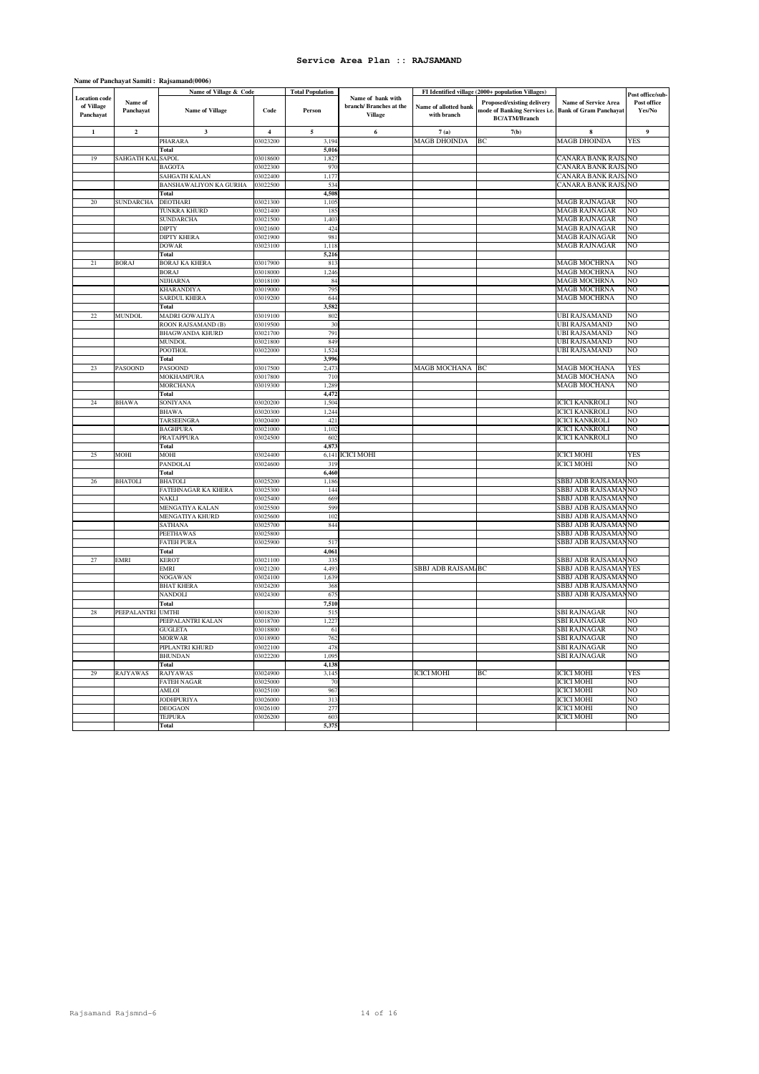|                                                 |                      | Name of Village & Code            |                      | <b>Total Population</b> |                                                                |                                      | FI Identified village (2000+ population Villages)                                          |                                                              |                                           |
|-------------------------------------------------|----------------------|-----------------------------------|----------------------|-------------------------|----------------------------------------------------------------|--------------------------------------|--------------------------------------------------------------------------------------------|--------------------------------------------------------------|-------------------------------------------|
| <b>Location</b> code<br>of Village<br>Panchayat | Name of<br>Panchayat | <b>Name of Village</b>            | Code                 | Person                  | Name of hank with<br>branch/ Branches at the<br><b>Village</b> | Name of allotted bank<br>with branch | <b>Proposed/existing delivery</b><br>mode of Banking Services i.e.<br><b>BC/ATM/Branch</b> | <b>Name of Service Area</b><br><b>Bank of Gram Panchayat</b> | Post office/sub-<br>Post office<br>Yes/No |
| $\mathbf 1$                                     | $\mathbf 2$          | $\mathbf{3}$                      | $\overline{4}$       | $\sqrt{5}$              | 6                                                              | 7(a)                                 | 7(b)                                                                                       | 8                                                            | 9                                         |
|                                                 |                      | PHARARA                           | 3023200              | 3,194                   |                                                                | <b>MAGB DHOINDA</b>                  | BC                                                                                         | <b>MAGB DHOINDA</b>                                          | YES                                       |
|                                                 |                      | Total                             |                      | 5,016                   |                                                                |                                      |                                                                                            |                                                              |                                           |
| 19                                              | SAHGATH KAL          | <b>SAPOL</b>                      | 3018600              | 1,827                   |                                                                |                                      |                                                                                            | CANARA BANK RAJS                                             | NΟ                                        |
|                                                 |                      | <b>BAGOTA</b>                     | 03022300             | 970                     |                                                                |                                      |                                                                                            | CANARA BANK RAJS                                             | NO                                        |
|                                                 |                      | SAHGATH KALAN                     | 03022400             | 1,177                   |                                                                |                                      |                                                                                            | CANARA BANK RAJS                                             | NO                                        |
|                                                 |                      | BANSHAWALIYON KA GURHA            | 03022500             | 534                     |                                                                |                                      |                                                                                            | CANARA BANK RAJS                                             | NO                                        |
|                                                 |                      | <b>Total</b>                      |                      | 4,508                   |                                                                |                                      |                                                                                            |                                                              |                                           |
| 20                                              | <b>SUNDARCHA</b>     | DEOTHARI                          | 03021300             | 1,105                   |                                                                |                                      |                                                                                            | <b>MAGB RAJNAGAR</b>                                         | NO                                        |
|                                                 |                      | TUNKRA KHURD                      | 03021400             | 185                     |                                                                |                                      |                                                                                            | <b>MAGB RAJNAGAR</b>                                         | NΩ                                        |
|                                                 |                      | <b>SUNDARCHA</b>                  | 03021500             | 1,403                   |                                                                |                                      |                                                                                            | <b>MAGB RAJNAGAR</b>                                         | NΩ                                        |
|                                                 |                      | <b>DIPTY</b>                      | 03021600             | 424                     |                                                                |                                      |                                                                                            | MAGB RAJNAGAR                                                | NΟ                                        |
|                                                 |                      | <b>DIPTY KHERA</b>                | 03021900             | 981                     |                                                                |                                      |                                                                                            | <b>MAGB RAJNAGAR</b>                                         | NΩ                                        |
|                                                 |                      | <b>DOWAR</b>                      | 03023100             | 1,118                   |                                                                |                                      |                                                                                            | <b>MAGB RAJNAGAR</b>                                         | NO                                        |
| 21                                              | <b>BORAJ</b>         | <b>Total</b>                      | 03017900             | 5,216<br>813            |                                                                |                                      |                                                                                            |                                                              | NO                                        |
|                                                 |                      | <b>BORAJ KA KHERA</b>             |                      |                         |                                                                |                                      |                                                                                            | <b>MAGB MOCHRNA</b>                                          | NΩ                                        |
|                                                 |                      | <b>BORAJ</b>                      | 03018000             | 1,246<br>84             |                                                                |                                      |                                                                                            | <b>MAGB MOCHRNA</b><br>MAGB MOCHRNA                          | NO                                        |
|                                                 |                      | <b>NIJHARNA</b><br>KHARANDIYA     | 03018100<br>03019000 | 795                     |                                                                |                                      |                                                                                            | <b>MAGB MOCHRNA</b>                                          | NO                                        |
|                                                 |                      | SARDUL KHERA                      | 03019200             | 644                     |                                                                |                                      |                                                                                            | MAGB MOCHRNA                                                 | NO                                        |
|                                                 |                      | Total                             |                      | 3,582                   |                                                                |                                      |                                                                                            |                                                              |                                           |
| 22.                                             | <b>MUNDOL</b>        | MADRI GOWALIYA                    | 03019100             | 802                     |                                                                |                                      |                                                                                            | <b>UBI RAJSAMAND</b>                                         | NO                                        |
|                                                 |                      | ROON RAJSAMAND (B)                | 03019500             | 30                      |                                                                |                                      |                                                                                            | <b>UBI RAJSAMAND</b>                                         | NO                                        |
|                                                 |                      | <b>BHAGWANDA KHURD</b>            | 03021700             | 791                     |                                                                |                                      |                                                                                            | UBI RAJSAMAND                                                | NO                                        |
|                                                 |                      | <b>MUNDOL</b>                     | 03021800             | 849                     |                                                                |                                      |                                                                                            | <b>UBI RAJSAMAND</b>                                         | NO                                        |
|                                                 |                      | <b>POOTHOL</b>                    | 03022000             | 1.524                   |                                                                |                                      |                                                                                            | <b>UBI RAJSAMAND</b>                                         | NO                                        |
|                                                 |                      | Total                             |                      | 3,996                   |                                                                |                                      |                                                                                            |                                                              |                                           |
| 23                                              | <b>PASOOND</b>       | <b>PASOOND</b>                    | 03017500             | 2,473                   |                                                                | MAGB MOCHANA                         | BC                                                                                         | MAGB MOCHANA                                                 | YES                                       |
|                                                 |                      | MOKHAMPURA                        | 03017800             | 710                     |                                                                |                                      |                                                                                            | <b>MAGB MOCHANA</b>                                          | NO                                        |
|                                                 |                      | <b>MORCHANA</b>                   | 03019300             | 1,289                   |                                                                |                                      |                                                                                            | <b>MAGB MOCHANA</b>                                          | NO                                        |
|                                                 |                      | Total                             |                      | 4,472                   |                                                                |                                      |                                                                                            |                                                              |                                           |
| 24                                              | <b>BHAWA</b>         | <b>SONIYANA</b>                   | 03020200             | 1,504                   |                                                                |                                      |                                                                                            | <b>ICICI KANKROLI</b>                                        | NO                                        |
|                                                 |                      | <b>BHAWA</b>                      | 03020300             | 1,244                   |                                                                |                                      |                                                                                            | <b>ICICI KANKROLI</b>                                        | NO                                        |
|                                                 |                      | <b>TARSEENGRA</b>                 | 03020400             | 421                     |                                                                |                                      |                                                                                            | <b>ICICI KANKROLI</b>                                        | NΟ                                        |
|                                                 |                      | <b>BAGHPURA</b>                   | 03021000             | 1,102                   |                                                                |                                      |                                                                                            | <b>ICICI KANKROLI</b>                                        | NO                                        |
|                                                 |                      | PRATAPPURA                        | 03024500             | 602                     |                                                                |                                      |                                                                                            | <b>ICICI KANKROLI</b>                                        | NO                                        |
|                                                 |                      | <b>Total</b>                      |                      | 4,873                   |                                                                |                                      |                                                                                            |                                                              |                                           |
| 25                                              | MOHI                 | MOHI                              | 03024400             | 6,141                   | <b>ICICI MOHI</b>                                              |                                      |                                                                                            | <b>ICICI MOHI</b>                                            | <b>YES</b>                                |
|                                                 |                      | PANDOLAI                          | 03024600             | 319                     |                                                                |                                      |                                                                                            | <b>ICICI MOHI</b>                                            | NO                                        |
|                                                 |                      | Total                             |                      | 6,460                   |                                                                |                                      |                                                                                            |                                                              |                                           |
| 26                                              | <b>BHATOLI</b>       | <b>BHATOLI</b>                    | 03025200             | 1,186                   |                                                                |                                      |                                                                                            | SBBJ ADB RAJSAMA                                             | N <sub>O</sub>                            |
|                                                 |                      | FATEHNAGAR KA KHERA               | 03025300             | 144                     |                                                                |                                      |                                                                                            | SBBJ ADB RAJSAMA                                             | NO                                        |
|                                                 |                      | <b>NAKLI</b>                      | 03025400             | 669                     |                                                                |                                      |                                                                                            | SBBJ ADB RAJSAMAI                                            | NO                                        |
|                                                 |                      | MENGATIYA KALAN                   | 03025500             | 599                     |                                                                |                                      |                                                                                            | SBBJ ADB RAJSAMA                                             | N <sub>O</sub>                            |
|                                                 |                      | MENGATIYA KHURD                   | 03025600             | 102                     |                                                                |                                      |                                                                                            | SBBJ ADB RAJSAMA                                             | N <sub>O</sub>                            |
|                                                 |                      | <b>SATHANA</b>                    | 03025700             | 844                     |                                                                |                                      |                                                                                            | SBBJ ADB RAJSAMA                                             | NO                                        |
|                                                 |                      | <b>PEETHAWAS</b>                  | 03025800             |                         |                                                                |                                      |                                                                                            | SBBJ ADB RAJSAMA                                             | NO                                        |
|                                                 |                      | <b>FATEH PURA</b><br><b>Total</b> | 03025900             | 517<br>4,061            |                                                                |                                      |                                                                                            | SBBJ ADB RAJSAMA!                                            | NO                                        |
| 27                                              | <b>EMRI</b>          | <b>KEROT</b>                      | 03021100             | 335                     |                                                                |                                      |                                                                                            | SBBJ ADB RAJSAMA                                             | NO                                        |
|                                                 |                      | EMRI                              | 03021200             | 4,493                   |                                                                | SBBJ ADB RAJSAM. BC                  |                                                                                            | SBBJ ADB RAJSAMANYES                                         |                                           |
|                                                 |                      | <b>NOGAWAN</b>                    | 03024100             | 1,639                   |                                                                |                                      |                                                                                            | SBBJ ADB RAJSAMA!                                            | NO                                        |
|                                                 |                      | <b>BHAT KHERA</b>                 | 03024200             | 368                     |                                                                |                                      |                                                                                            | SBBJ ADB RAJSAMA!                                            | NO                                        |
|                                                 |                      | NANDOLI                           | 03024300             | 675                     |                                                                |                                      |                                                                                            | SBBJ ADB RAJSAMAI                                            | NO                                        |
|                                                 |                      | Total                             |                      | 7,510                   |                                                                |                                      |                                                                                            |                                                              |                                           |
| 28                                              | PEEPALANTRI UMTHI    |                                   | 3018200              | 515                     |                                                                |                                      |                                                                                            | SBI RAJNAGAR                                                 | NΟ                                        |
|                                                 |                      | PEEPALANTRI KALAN                 | 03018700             | 1.227                   |                                                                |                                      |                                                                                            | SBI RAJNAGAR                                                 | NΟ                                        |
|                                                 |                      | <b>GUGLETA</b>                    | 03018800             | 61                      |                                                                |                                      |                                                                                            | <b>SBI RAJNAGAR</b>                                          | NO                                        |
|                                                 |                      | <b>MORWAR</b>                     | 03018900             | 762                     |                                                                |                                      |                                                                                            | SBI RAJNAGAR                                                 | NO                                        |
|                                                 |                      | PIPLANTRI KHURD                   | 03022100             | 478                     |                                                                |                                      |                                                                                            | SBI RAJNAGAR                                                 | NΩ                                        |
|                                                 |                      | <b>BHUNDAN</b>                    | 03022200             | 1.09 <sup>4</sup>       |                                                                |                                      |                                                                                            | SBI RAJNAGAR                                                 | NO                                        |
|                                                 |                      | <b>Total</b>                      |                      | 4,138                   |                                                                |                                      |                                                                                            |                                                              |                                           |
| 29                                              | RAJYAWAS             | <b>RAJYAWAS</b>                   | 13024900             | 3,145                   |                                                                | <b>ICICI MOHI</b>                    | BC                                                                                         | <b>ICICI MOHI</b>                                            | YES                                       |
|                                                 |                      | <b>FATEH NAGAR</b>                | 03025000             | 70                      |                                                                |                                      |                                                                                            | <b>ICICI MOHI</b>                                            | NΩ                                        |
|                                                 |                      | <b>AMLOI</b>                      | 03025100             | 967                     |                                                                |                                      |                                                                                            | <b>ICICI MOHI</b>                                            | NO                                        |
|                                                 |                      | <b>JODHPURIYA</b>                 | 03026000             | 313                     |                                                                |                                      |                                                                                            | <b>ICICI MOHI</b>                                            | NO                                        |
|                                                 |                      | <b>DEOGAON</b>                    | 03026100             | 277                     |                                                                |                                      |                                                                                            | <b>ICICI MOHI</b>                                            | NO                                        |
|                                                 |                      | <b>TEJPURA</b>                    | 03026200             | 603                     |                                                                |                                      |                                                                                            | <b>ICICI MOHI</b>                                            | NO                                        |
|                                                 |                      | <b>Total</b>                      |                      | 5,375                   |                                                                |                                      |                                                                                            |                                                              |                                           |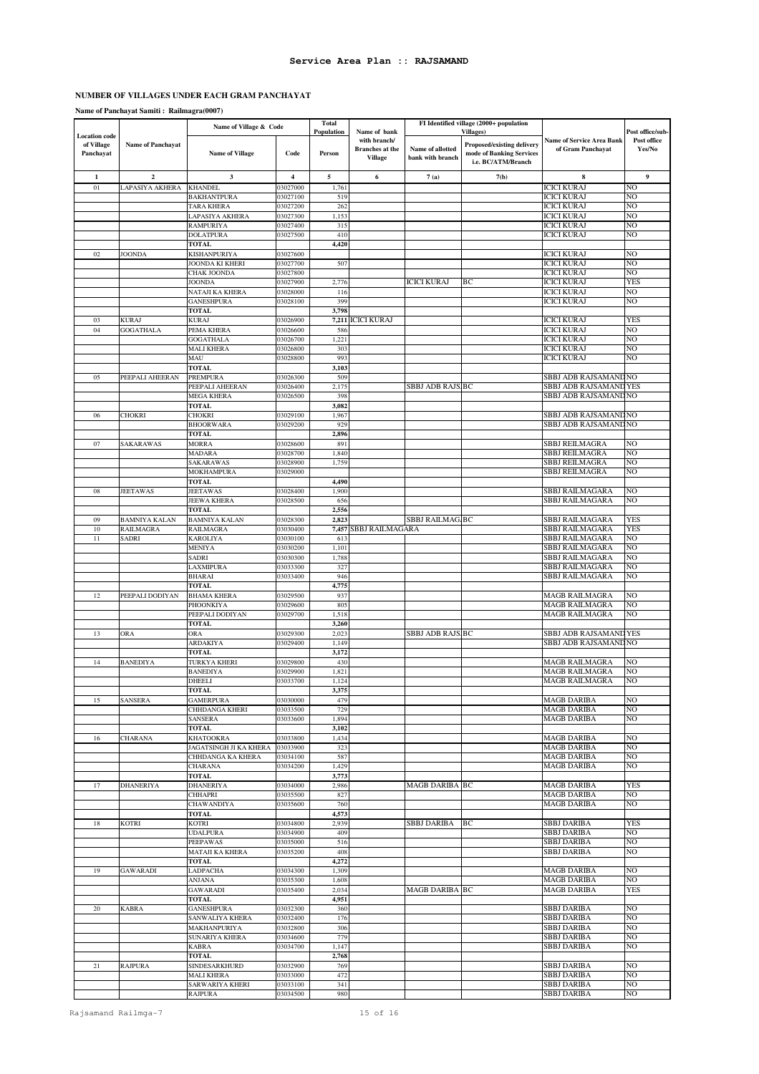# **NUMBER OF VILLAGES UNDER EACH GRAM PANCHAYAT**

# **Name of Panchayat Samiti : Railmagra(0007)**

|                         | Name of Village & Code              |                                      |                      | <b>Total</b><br>Name of bank<br>Population |                        | FI Identified village (2000+ population<br><b>Villages</b> ) |                                                        |                                          | Post office/sub-     |
|-------------------------|-------------------------------------|--------------------------------------|----------------------|--------------------------------------------|------------------------|--------------------------------------------------------------|--------------------------------------------------------|------------------------------------------|----------------------|
| <b>Location code</b>    |                                     |                                      |                      |                                            | with branch/           |                                                              |                                                        | <b>Name of Service Area Bank</b>         | Post office          |
| of Village<br>Panchayat | Name of Panchayat                   | <b>Name of Village</b>               | Code                 | Person                                     | <b>Branches</b> at the | Name of allotted                                             | Proposed/existing delivery<br>mode of Banking Services | of Gram Panchayat                        | Yes/No               |
|                         |                                     |                                      |                      |                                            | <b>Village</b>         | bank with branch                                             | i.e. BC/ATM/Branch                                     |                                          |                      |
|                         |                                     |                                      | $\boldsymbol{4}$     |                                            |                        |                                                              |                                                        |                                          | 9                    |
| $\mathbf 1$<br>01       | $\boldsymbol{2}$<br>LAPASIYA AKHERA | $\mathbf{3}$<br><b>KHANDEL</b>       | 03027000             | 5<br>1,761                                 | 6                      | 7(a)                                                         | 7(b)                                                   | 8<br><b>ICICI KURAJ</b>                  | NO                   |
|                         |                                     | <b>BAKHANTPURA</b>                   | 03027100             | 519                                        |                        |                                                              |                                                        | ICICI KURAJ                              | NO                   |
|                         |                                     | <b>TARA KHERA</b>                    | 03027200             | 262                                        |                        |                                                              |                                                        | ICICI KURAJ                              | NO                   |
|                         |                                     | LAPASIYA AKHERA                      | 03027300             | 1,153                                      |                        |                                                              |                                                        | ICICI KURAJ                              | NO                   |
|                         |                                     | <b>RAMPURIYA</b>                     | 03027400             | 315                                        |                        |                                                              |                                                        | <b>ICICI KURAJ</b>                       | NO                   |
|                         |                                     | <b>DOLATPURA</b><br><b>TOTAL</b>     | 03027500             | 410<br>4,420                               |                        |                                                              |                                                        | ICICI KURAJ                              | NO                   |
| 02                      | <b>JOONDA</b>                       | KISHANPURIYA                         | 03027600             |                                            |                        |                                                              |                                                        | ICICI KURAJ                              | NO                   |
|                         |                                     | JOONDA KI KHERI                      | 03027700             | 507                                        |                        |                                                              |                                                        | ICICI KURAJ                              | NO                   |
|                         |                                     | CHAK JOONDA                          | 03027800             |                                            |                        |                                                              |                                                        | ICICI KURAJ                              | NO                   |
|                         |                                     | <b>JOONDA</b>                        | 03027900             | 2,776                                      |                        | ICICI KURAJ                                                  | ВC                                                     | ICICI KURAJ                              | <b>YES</b>           |
|                         |                                     | NATAJI KA KHERA<br><b>GANESHPURA</b> | 03028000<br>03028100 | 116<br>399                                 |                        |                                                              |                                                        | ICICI KURAJ<br>ICICI KURAJ               | NO<br>NO             |
|                         |                                     | <b>TOTAL</b>                         |                      | 3,798                                      |                        |                                                              |                                                        |                                          |                      |
| 03                      | <b>KURAJ</b>                        | <b>KURAJ</b>                         | 03026900             | 7,211                                      | <b>ICICI KURAJ</b>     |                                                              |                                                        | <b>ICICI KURAJ</b>                       | <b>YES</b>           |
| 04                      | <b>GOGATHALA</b>                    | PEMA KHERA                           | 03026600             | 586                                        |                        |                                                              |                                                        | <b>ICICI KURAJ</b>                       | NO                   |
|                         |                                     | GOGATHALA<br>MALI KHERA              | 03026700<br>03026800 | 1,221<br>303                               |                        |                                                              |                                                        | <b>ICICI KURAJ</b><br><b>ICICI KURAJ</b> | NO<br>NO             |
|                         |                                     | MAU                                  | 03028800             | 993                                        |                        |                                                              |                                                        | ICICI KURAJ                              | NO                   |
|                         |                                     | <b>TOTAL</b>                         |                      | 3,103                                      |                        |                                                              |                                                        |                                          |                      |
| 05                      | PEEPALI AHEERAN                     | <b>PREMPURA</b>                      | 03026300             | 509                                        |                        |                                                              |                                                        | SBBJ ADB RAJSAMAND NO                    |                      |
|                         |                                     | PEEPALI AHEERAN                      | 03026400             | 2,175                                      |                        | SBBJ ADB RAJS.BC                                             |                                                        | SBBJ ADB RAJSAMAND YES                   |                      |
|                         |                                     | MEGA KHERA<br><b>TOTAL</b>           | 03026500             | 398<br>3,082                               |                        |                                                              |                                                        | SBBJ ADB RAJSAMAND NO                    |                      |
| 06                      | <b>CHOKRI</b>                       | <b>CHOKRI</b>                        | 03029100             | 1,967                                      |                        |                                                              |                                                        | SBBJ ADB RAJSAMAND NO                    |                      |
|                         |                                     | <b>BHOORWARA</b>                     | 03029200             | 929                                        |                        |                                                              |                                                        | SBBJ ADB RAJSAMAND NO                    |                      |
|                         |                                     | TOTAL                                |                      | 2,896                                      |                        |                                                              |                                                        |                                          |                      |
| 07                      | SAKARAWAS                           | <b>MORRA</b>                         | 03028600             | 891                                        |                        |                                                              |                                                        | SBBJ REILMAGRA<br><b>SBBJ REILMAGRA</b>  | NO<br>NO             |
|                         |                                     | MADARA<br>SAKARAWAS                  | 03028700<br>03028900 | 1,840<br>1,759                             |                        |                                                              |                                                        | SBBJ REILMAGRA                           | NO                   |
|                         |                                     | MOKHAMPURA                           | 03029000             |                                            |                        |                                                              |                                                        | SBBJ REILMAGRA                           | NO                   |
|                         |                                     | <b>TOTAL</b>                         |                      | 4,490                                      |                        |                                                              |                                                        |                                          |                      |
| ${\bf 08}$              | <b>JEETAWAS</b>                     | <b>JEETAWAS</b>                      | 03028400             | 1,900                                      |                        |                                                              |                                                        | SBBJ RAILMAGARA                          | NO                   |
|                         |                                     | <b>JEEWA KHERA</b>                   | 03028500             | 656                                        |                        |                                                              |                                                        | SBBJ RAILMAGARA                          | NO                   |
| 09                      | <b>BAMNIYA KALAN</b>                | <b>TOTAL</b><br><b>BAMNIYA KALAN</b> | 03028300             | 2,556<br>2,823                             |                        | <b>SBBJ RAILMAG.BC</b>                                       |                                                        | SBBJ RAILMAGARA                          | <b>YES</b>           |
| 10                      | <b>RAILMAGRA</b>                    | <b>RAILMAGRA</b>                     | 03030400             | 7,457                                      | SBBJ RAILMAGARA        |                                                              |                                                        | SBBJ RAILMAGARA                          | <b>YES</b>           |
| $1\,1$                  | SADRI                               | <b>KAROLIYA</b>                      | 03030100             | 61                                         |                        |                                                              |                                                        | SBBJ RAILMAGARA                          | NO                   |
|                         |                                     | MENIYA                               | 03030200             | 1,101                                      |                        |                                                              |                                                        | SBBJ RAILMAGARA                          | NO                   |
|                         |                                     | SADRI                                | 03030300             | 1,788<br>327                               |                        |                                                              |                                                        | SBBJ RAILMAGARA<br>SBBJ RAILMAGARA       | NO<br>NO             |
|                         |                                     | LAXMIPURA<br><b>BHARAI</b>           | 03033300<br>03033400 | 946                                        |                        |                                                              |                                                        | SBBJ RAILMAGARA                          | NO                   |
|                         |                                     | TOTAL                                |                      | 4,775                                      |                        |                                                              |                                                        |                                          |                      |
| 12                      | PEEPALI DODIYAN                     | <b>BHAMA KHERA</b>                   | 03029500             | 937                                        |                        |                                                              |                                                        | MAGB RAILMAGRA                           | NO                   |
|                         |                                     | PHOONKIYA                            | 03029600             | 805                                        |                        |                                                              |                                                        | MAGB RAILMAGRA                           | NO                   |
|                         |                                     | PEEPALI DODIYAN<br><b>TOTAL</b>      | 03029700             | 1,518<br>3,260                             |                        |                                                              |                                                        | MAGB RAILMAGRA                           | NO                   |
| 13                      | ORA                                 | <b>ORA</b>                           | 03029300             | 2,02                                       |                        | SBBJ ADB RAJS BC                                             |                                                        | SBBJ ADB RAJSAMAND YES                   |                      |
|                         |                                     | ARDAKIYA                             | 03029400             | 1,149                                      |                        |                                                              |                                                        | SBBJ ADB RAJSAMAND NO                    |                      |
|                         |                                     | TOTAL                                |                      | 3,172                                      |                        |                                                              |                                                        |                                          |                      |
| 14                      | <b>BANEDIYA</b>                     | <b>TURKYA KHERI</b>                  | 03029800             | 430                                        |                        |                                                              |                                                        | MAGB RAILMAGRA                           | NO                   |
|                         |                                     | <b>BANEDIYA</b><br><b>DHEELI</b>     | 03029900<br>03033700 | 1,821<br>1,124                             |                        |                                                              |                                                        | MAGB RAILMAGRA<br>MAGB RAILMAGRA         | NO<br>NO             |
|                         |                                     | TOTAL                                |                      | 3,375                                      |                        |                                                              |                                                        |                                          |                      |
| 15                      | SANSERA                             | <b>GAMERPURA</b>                     | 03030000             | 479                                        |                        |                                                              |                                                        | <b>MAGB DARIBA</b>                       | N <sub>O</sub>       |
|                         |                                     | CHHDANGA KHERI                       | 03033500             | 729                                        |                        |                                                              |                                                        | <b>MAGB DARIBA</b>                       | NO                   |
|                         |                                     | SANSERA                              | 03033600             | 1,894                                      |                        |                                                              |                                                        | <b>MAGB DARIBA</b>                       | N <sub>O</sub>       |
| 16                      | <b>CHARANA</b>                      | <b>TOTAL</b><br><b>KHATOOKRA</b>     | 03033800             | 3,102<br>1,434                             |                        |                                                              |                                                        | <b>MAGB DARIBA</b>                       | NO                   |
|                         |                                     | JAGATSINGH JI KA KHERA               | 03033900             | 323                                        |                        |                                                              |                                                        | <b>MAGB DARIBA</b>                       | NO                   |
|                         |                                     | CHHDANGA KA KHERA                    | 03034100             | 587                                        |                        |                                                              |                                                        | <b>MAGB DARIBA</b>                       | NO                   |
|                         |                                     | CHARANA                              | 03034200             | 1,429                                      |                        |                                                              |                                                        | MAGB DARIBA                              | NO                   |
| 17                      | <b>DHANERIYA</b>                    | <b>TOTAL</b><br><b>DHANERIYA</b>     | 03034000             | 3,773<br>2,986                             |                        | <b>MAGB DARIBA BC</b>                                        |                                                        | MAGB DARIBA                              | <b>YES</b>           |
|                         |                                     | CHHAPRI                              | 03035500             | 827                                        |                        |                                                              |                                                        | MAGB DARIBA                              | NO                   |
|                         |                                     | CHAWANDIYA                           | 03035600             | 760                                        |                        |                                                              |                                                        | MAGB DARIBA                              | NO                   |
|                         |                                     | TOTAL                                |                      | 4,573                                      |                        |                                                              |                                                        |                                          |                      |
| 18                      | <b>KOTRI</b>                        | <b>KOTRI</b>                         | 03034800             | 2,939                                      |                        | <b>SBBJ DARIBA</b>                                           | BC                                                     | SBBJ DARIBA                              | <b>YES</b>           |
|                         |                                     | <b>UDALPURA</b><br><b>PEEPAWAS</b>   | 03034900<br>03035000 | 409<br>516                                 |                        |                                                              |                                                        | SBBJ DARIBA<br>SBBJ DARIBA               | NO<br>NO.            |
|                         |                                     | MATAJI KA KHERA                      | 03035200             | 408                                        |                        |                                                              |                                                        | SBBJ DARIBA                              | NO                   |
|                         |                                     | <b>TOTAL</b>                         |                      | 4,272                                      |                        |                                                              |                                                        |                                          |                      |
| 19                      | <b>GAWARADI</b>                     | LADPACHA                             | 03034300             | 1,309                                      |                        |                                                              |                                                        | <b>MAGB DARIBA</b>                       | NO                   |
|                         |                                     | ANJANA                               | 03035300             | 1,608                                      |                        |                                                              |                                                        | <b>MAGB DARIBA</b>                       | NO                   |
|                         |                                     | <b>GAWARADI</b><br><b>TOTAL</b>      | 03035400             | 2,034<br>4,951                             |                        | <b>MAGB DARIBA BC</b>                                        |                                                        | <b>MAGB DARIBA</b>                       | <b>YES</b>           |
| 20                      | <b>KABRA</b>                        | <b>GANESHPURA</b>                    | 03032300             | 360                                        |                        |                                                              |                                                        | SBBJ DARIBA                              | NO                   |
|                         |                                     | SANWALIYA KHERA                      | 03032400             | 176                                        |                        |                                                              |                                                        | SBBJ DARIBA                              | NO                   |
|                         |                                     | MAKHANPURIYA                         | 03032800             | 306                                        |                        |                                                              |                                                        | SBBJ DARIBA                              | N <sub>O</sub>       |
|                         |                                     | SUNARIYA KHERA                       | 03034600             | 779                                        |                        |                                                              |                                                        | SBBJ DARIBA                              | N <sub>O</sub><br>NO |
|                         |                                     | KABRA<br><b>TOTAL</b>                | 03034700             | 1,147<br>2,768                             |                        |                                                              |                                                        | SBBJ DARIBA                              |                      |
| 21                      | <b>RAJPURA</b>                      | SINDESARKHURD                        | 03032900             | 769                                        |                        |                                                              |                                                        | SBBJ DARIBA                              | NO                   |
|                         |                                     | <b>MALI KHERA</b>                    | 03033000             | 472                                        |                        |                                                              |                                                        | SBBJ DARIBA                              | NO                   |
|                         |                                     | SARWARIYA KHERI                      | 03033100             | 341                                        |                        |                                                              |                                                        | SBBJ DARIBA                              | NO.                  |
|                         |                                     | <b>RAJPURA</b>                       | 03034500             | 980                                        |                        |                                                              |                                                        | SBBJ DARIBA                              | NO                   |

Rajsamand Railmga-7 15 of 16